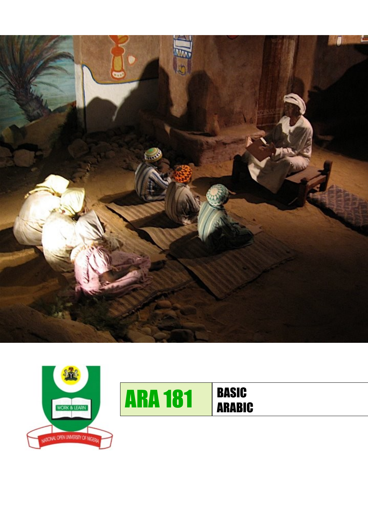



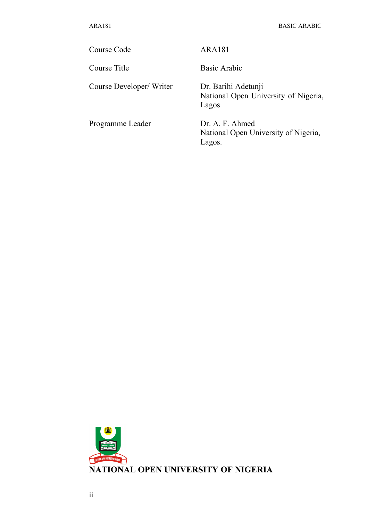Course Code ARA181

Course Developer/ Writer Dr. Barihi Adetunji

Course Title Basic Arabic

National Open University of Nigeria, Lagos

Programme Leader Dr. A. F. Ahmed

National Open University of Nigeria, Lagos.

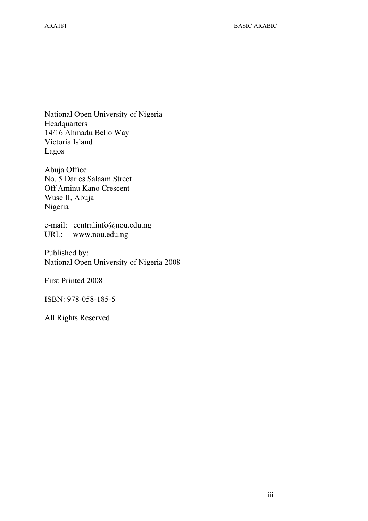National Open University of Nigeria **Headquarters** 14/16 Ahmadu Bello Way Victoria Island Lagos

Abuja Office No. 5 Dar es Salaam Street Off Aminu Kano Crescent Wuse II, Abuja Nigeria

e-mail: centralinfo@nou.edu.ng URL: www.nou.edu.ng

Published by: National Open University of Nigeria 2008

First Printed 2008

ISBN: 978-058-185-5

All Rights Reserved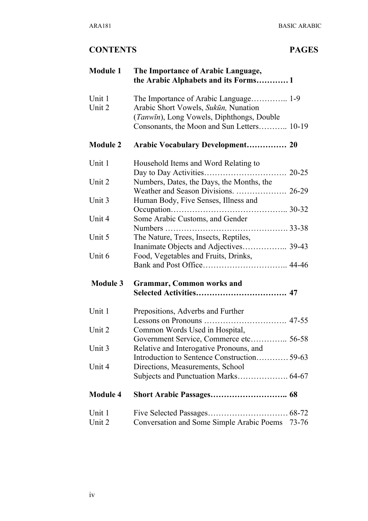| <b>Module 1</b>  | The Importance of Arabic Language,<br>the Arabic Alphabets and its Forms1         |                       |
|------------------|-----------------------------------------------------------------------------------|-----------------------|
| Unit 1<br>Unit 2 | Arabic Short Vowels, Sukūn, Nunation<br>(Tanwin), Long Vowels, Diphthongs, Double |                       |
|                  | Consonants, the Moon and Sun Letters 10-19                                        |                       |
| <b>Module 2</b>  | <b>Arabic Vocabulary Development 20</b>                                           |                       |
| Unit 1           | Household Items and Word Relating to                                              | $20 - 25$             |
| Unit 2           | Numbers, Dates, the Days, the Months, the                                         |                       |
| Unit 3           | Human Body, Five Senses, Illness and                                              |                       |
| Unit 4           | Some Arabic Customs, and Gender                                                   |                       |
| Unit 5           | The Nature, Trees, Insects, Reptiles,<br>Inanimate Objects and Adjectives 39-43   |                       |
| Unit 6           | Food, Vegetables and Fruits, Drinks,                                              |                       |
| <b>Module 3</b>  | <b>Grammar, Common works and</b>                                                  |                       |
|                  |                                                                                   |                       |
| Unit 1           | Prepositions, Adverbs and Further                                                 |                       |
| Unit 2           | Common Words Used in Hospital,                                                    |                       |
| Unit 3           | Government Service, Commerce etc 56-58<br>Relative and Interogative Pronouns, and |                       |
| Unit 4           | Introduction to Sentence Construction 59-63<br>Directions, Measurements, School   |                       |
|                  |                                                                                   |                       |
| <b>Module 4</b>  |                                                                                   |                       |
| Unit 1           | Five Selected Passages                                                            | $\ldots \ldots 68-72$ |
| Unit 2           | Conversation and Some Simple Arabic Poems                                         | 73-76                 |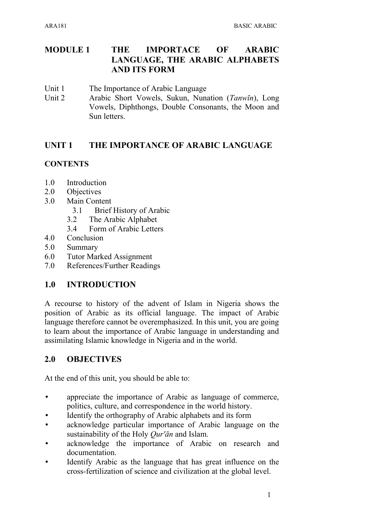### **MODULE 1 THE IMPORTACE OF ARABIC LANGUAGE, THE ARABIC ALPHABETS AND ITS FORM**

- Unit 1 The Importance of Arabic Language
- Unit 2 Arabic Short Vowels, Sukun, Nunation (*Tanwīn*), Long Vowels, Diphthongs, Double Consonants, the Moon and Sun letters.

### **UNIT 1 THE IMPORTANCE OF ARABIC LANGUAGE**

### **CONTENTS**

- 1.0 Introduction
- 2.0 Objectives
- 3.0 Main Content
	- 3.1 Brief History of Arabic
	- 3.2 The Arabic Alphabet
	- 3.4 Form of Arabic Letters
- 4.0 Conclusion
- 5.0 Summary
- 6.0 Tutor Marked Assignment
- 7.0 References/Further Readings

### **1.0 INTRODUCTION**

A recourse to history of the advent of Islam in Nigeria shows the position of Arabic as its official language. The impact of Arabic language therefore cannot be overemphasized. In this unit, you are going to learn about the importance of Arabic language in understanding and assimilating Islamic knowledge in Nigeria and in the world.

### **2.0 OBJECTIVES**

At the end of this unit, you should be able to:

- appreciate the importance of Arabic as language of commerce, politics, culture, and correspondence in the world history.
- Identify the orthography of Arabic alphabets and its form
- acknowledge particular importance of Arabic language on the sustainability of the Holy *Qur'ān* and Islam.
- acknowledge the importance of Arabic on research and documentation.
- Identify Arabic as the language that has great influence on the cross-fertilization of science and civilization at the global level.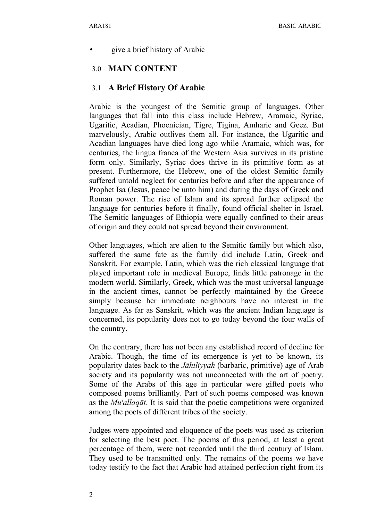• give a brief history of Arabic

### 3.0 **MAIN CONTENT**

### 3.1 **A Brief History Of Arabic**

Arabic is the youngest of the Semitic group of languages. Other languages that fall into this class include Hebrew, Aramaic, Syriac, Ugaritic, Acadian, Phoenician, Tigre, Tigina, Amharic and Geez. But marvelously, Arabic outlives them all. For instance, the Ugaritic and Acadian languages have died long ago while Aramaic, which was, for centuries, the lingua franca of the Western Asia survives in its pristine form only. Similarly, Syriac does thrive in its primitive form as at present. Furthermore, the Hebrew, one of the oldest Semitic family suffered untold neglect for centuries before and after the appearance of Prophet Isa (Jesus, peace be unto him) and during the days of Greek and Roman power. The rise of Islam and its spread further eclipsed the language for centuries before it finally, found official shelter in Israel. The Semitic languages of Ethiopia were equally confined to their areas of origin and they could not spread beyond their environment.

Other languages, which are alien to the Semitic family but which also, suffered the same fate as the family did include Latin, Greek and Sanskrit. For example, Latin, which was the rich classical language that played important role in medieval Europe, finds little patronage in the modern world. Similarly, Greek, which was the most universal language in the ancient times, cannot be perfectly maintained by the Greece simply because her immediate neighbours have no interest in the language. As far as Sanskrit, which was the ancient Indian language is concerned, its popularity does not to go today beyond the four walls of the country.

On the contrary, there has not been any established record of decline for Arabic. Though, the time of its emergence is yet to be known, its popularity dates back to the *Jāhiliyyah* (barbaric, primitive) age of Arab society and its popularity was not unconnected with the art of poetry. Some of the Arabs of this age in particular were gifted poets who composed poems brilliantly. Part of such poems composed was known as the *Mu'allaqāt*. It is said that the poetic competitions were organized among the poets of different tribes of the society.

Judges were appointed and eloquence of the poets was used as criterion for selecting the best poet. The poems of this period, at least a great percentage of them, were not recorded until the third century of Islam. They used to be transmitted only. The remains of the poems we have today testify to the fact that Arabic had attained perfection right from its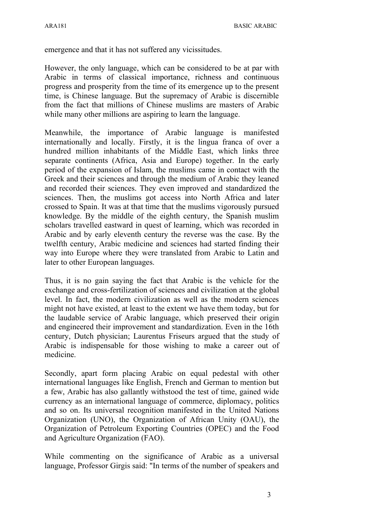emergence and that it has not suffered any vicissitudes.

However, the only language, which can be considered to be at par with Arabic in terms of classical importance, richness and continuous progress and prosperity from the time of its emergence up to the present time, is Chinese language. But the supremacy of Arabic is discernible from the fact that millions of Chinese muslims are masters of Arabic while many other millions are aspiring to learn the language.

Meanwhile, the importance of Arabic language is manifested internationally and locally. Firstly, it is the lingua franca of over a hundred million inhabitants of the Middle East, which links three separate continents (Africa, Asia and Europe) together. In the early period of the expansion of Islam, the muslims came in contact with the Greek and their sciences and through the medium of Arabic they leaned and recorded their sciences. They even improved and standardized the sciences. Then, the muslims got access into North Africa and later crossed to Spain. It was at that time that the muslims vigorously pursued knowledge. By the middle of the eighth century, the Spanish muslim scholars travelled eastward in quest of learning, which was recorded in Arabic and by early eleventh century the reverse was the case. By the twelfth century, Arabic medicine and sciences had started finding their way into Europe where they were translated from Arabic to Latin and later to other European languages.

Thus, it is no gain saying the fact that Arabic is the vehicle for the exchange and cross-fertilization of sciences and civilization at the global level. In fact, the modern civilization as well as the modern sciences might not have existed, at least to the extent we have them today, but for the laudable service of Arabic language, which preserved their origin and engineered their improvement and standardization. Even in the 16th century, Dutch physician; Laurentus Friseurs argued that the study of Arabic is indispensable for those wishing to make a career out of medicine.

Secondly, apart form placing Arabic on equal pedestal with other international languages like English, French and German to mention but a few, Arabic has also gallantly withstood the test of time, gained wide currency as an international language of commerce, diplomacy, politics and so on. Its universal recognition manifested in the United Nations Organization (UNO), the Organization of African Unity (OAU), the Organization of Petroleum Exporting Countries (OPEC) and the Food and Agriculture Organization (FAO).

While commenting on the significance of Arabic as a universal language, Professor Girgis said: "In terms of the number of speakers and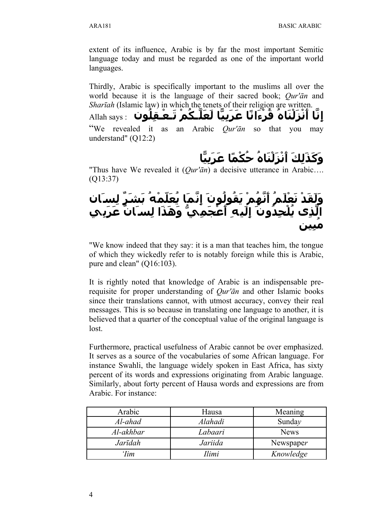extent of its influence, Arabic is by far the most important Semitic language today and must be regarded as one of the important world languages.

Thirdly, Arabic is specifically important to the muslims all over the world because it is the language of their sacred book; *Qur'ān* and *Sharīah* (Islamic law) in which the tenets of their religion are written.

 $\mathbf{u}$ إِنَّا أَنْزَلْنَاهُ قَرْءَانًا عَرَبِيَّا لَعَلَّـكُمْ تَـعْـقِلُون<br>ا "We revealed it as an Arabic *Qur'ān* so that you may understand" (Q12:2)

# **و ك ذ لك أ نز لن اه حكما ع ر بيا**

"Thus have We revealed it (*Qur'ān*) a decisive utterance in Arabic…. (Q13:37)

## وَلَقَدْ نَعْلَمَ أَنْهُمْ يَقُولُونَ إِنَّمَا يُعَلَّمُهُ بَشَرٍ لِسَان الَّذِي يُلْحِدُونَ إِلَيهِ أَعْجَمِيٌّ وَهَذَا لِسَـانَ عَرَبِي **مبين**

"We know indeed that they say: it is a man that teaches him, the tongue of which they wickedly refer to is notably foreign while this is Arabic, pure and clean" (Q16:103).

It is rightly noted that knowledge of Arabic is an indispensable prerequisite for proper understanding of *Qur'ān* and other Islamic books since their translations cannot, with utmost accuracy, convey their real messages. This is so because in translating one language to another, it is believed that a quarter of the conceptual value of the original language is lost.

Furthermore, practical usefulness of Arabic cannot be over emphasized. It serves as a source of the vocabularies of some African language. For instance Swahli, the language widely spoken in East Africa, has sixty percent of its words and expressions originating from Arabic language. Similarly, about forty percent of Hausa words and expressions are from Arabic. For instance:

| Arabic     | Hausa   | Meaning     |
|------------|---------|-------------|
| Al-ahad    | Alahadi | Sunday      |
| Al-akhbar  | Labaari | <b>News</b> |
| Jarīdah    | Jariida | Newspaper   |
| <i>Tim</i> | Ilimi   | Knowledge   |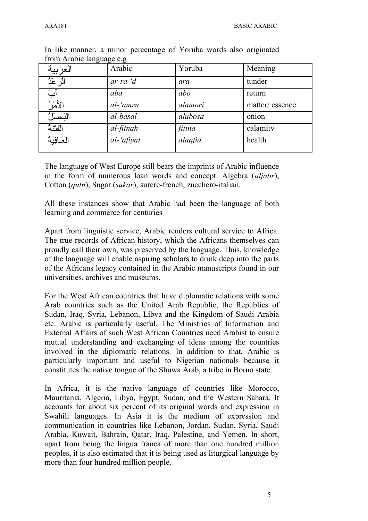| العربية     | Arabic      | Yoruba  | Meaning        |
|-------------|-------------|---------|----------------|
| الًر عْدُ   | $ar-ra$ $d$ | ara     | tunder         |
| آبَ         | aba         | abo     | return         |
| الأمرُ      | al-'amru    | alamori | matter/essence |
| البَصَلُ    | al-basal    | alubosa | onion          |
| الفِتْنَهُ  | al-fitnah   | fitina  | calamity       |
| العَافِيَةُ | al-'afiyat  | alaafia | health         |
|             |             |         |                |

In like manner, a minor percentage of Yoruba words also originated from Arabic language e.g

The language of West Europe still bears the imprints of Arabic influence in the form of numerous loan words and concept: Algebra (*aljabr*), Cotton (*qutn*), Sugar (*sukar*), surcre-french, zucchero-italian.

All these instances show that Arabic had been the language of both learning and commerce for centuries

Apart from linguistic service, Arabic renders cultural service to Africa. The true records of African history, which the Africans themselves can proudly call their own, was preserved by the language. Thus, knowledge of the language will enable aspiring scholars to drink deep into the parts of the Africans legacy contained in the Arabic manuscripts found in our universities, archives and museums.

For the West African countries that have diplomatic relations with some Arab countries such as the United Arab Republic, the Republics of Sudan, Iraq, Syria, Lebanon, Libya and the Kingdom of Saudi Arabia etc. Arabic is particularly useful. The Ministries of Information and External Affairs of such West African Countries need Arabist to ensure mutual understanding and exchanging of ideas among the countries involved in the diplomatic relations. In addition to that, Arabic is particularly important and useful to Nigerian nationals because it constitutes the native tongue of the Shuwa Arab, a tribe in Borno state.

In Africa, it is the native language of countries like Morocco, Mauritania, Algeria, Libya, Egypt, Sudan, and the Western Sahara. It accounts for about six percent of its original words and expression in Swahili languages. In Asia it is the medium of expression and communication in countries like Lebanon, Jordan, Sudan, Syria, Saudi Arabia, Kuwait, Bahrain, Qatar. Iraq, Palestine, and Yemen. In short, apart from being the lingua franca of more than one hundred million peoples, it is also estimated that it is being used as liturgical language by more than four hundred million people.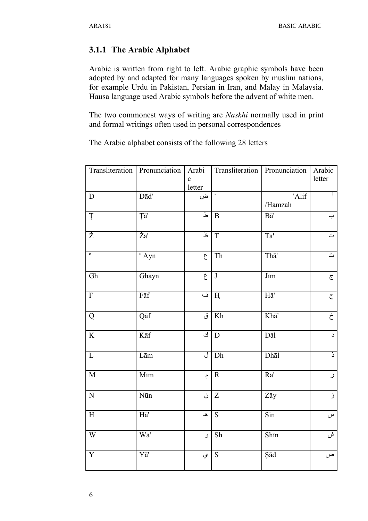### 3.1.1 The Arabic Alphabet

Arabic is written from right to left. Arabic graphic symbols have been adopted by and adapted for many languages spoken by muslim nations, for example Urdu in Pakistan, Persian in Iran, and Malay in Malaysia. Hausa language used Arabic symbols before the advent of white men.

The two commonest ways of writing are *Naskhi* normally used in print and formal writings often used in personal correspondences

The Arabic alphabet consists of the following 28 letters

| Transliteration         | Pronunciation                 | Arabi                          |                         | Transliteration   Pronunciation | Arabic                    |
|-------------------------|-------------------------------|--------------------------------|-------------------------|---------------------------------|---------------------------|
|                         |                               | $\mathbf c$<br>letter          |                         |                                 | letter                    |
| $\mathbf D$             | Đād'                          | ض                              | $\pmb{\mathsf{I}}$      | 'Alif                           |                           |
|                         |                               |                                |                         | /Hamzah                         |                           |
| Ţ                       | Ţā'                           | ط                              | $\mathbf{B}$            | $B\bar{a}'$                     | $\hookrightarrow$         |
| $\dot{Z}$               | $\overline{Za}$ '             | $\overline{\mathbf{r}}$        | $\overline{T}$          | Tā'                             | ت                         |
| $\overline{\text{c}}$   | $\mathrm{c}$ Ayn              | $\epsilon$                     | Th                      | Thā'                            | $\overline{\mathfrak{L}}$ |
| Gh                      | Ghayn                         | $\overline{\dot{\mathcal{E}}}$ | $\overline{\mathbf{J}}$ | $J\bar{\text{m}}$               | $\overline{\mathbb{C}}$   |
| $\overline{\mathrm{F}}$ | $F\bar{a}f$                   | $\dot{\underline{\mathbf{u}}}$ | H                       | Hā'                             | $\mathsf C$               |
| ${\bf Q}$               | Qāf                           | ق                              | Kh                      | Khā'                            | $\dot{\bar{c}}$           |
| $\overline{\mathbf{K}}$ | $K\bar{a}f$                   | <u>ای</u>                      | D                       | Dāl                             | د                         |
| $\mathbf L$             | Lām                           | ل                              | Dh                      | Dhāl                            | $\overline{a}$            |
| $\overline{\text{M}}$   | Mīm                           | $\hat{\zeta}$                  | ${\bf R}$               | $R\bar{a}$ '                    | $\mathcal{L}$             |
| ${\bf N}$               | Nūn                           | ن                              | Z                       | Zāy                             | j.                        |
| $\mathbf H$             | $H\bar{a}'$                   | $\blacktriangle$               | S                       | Sīn                             | $\omega$                  |
| $\overline{W}$          | $\overline{\text{W}\text{a}}$ | و                              | Sh                      | Shīn                            | $\mathring{\omega}$       |
| $\overline{\mathbf{Y}}$ | Yā'                           | ي                              | ${\bf S}$               | Şād                             | ص                         |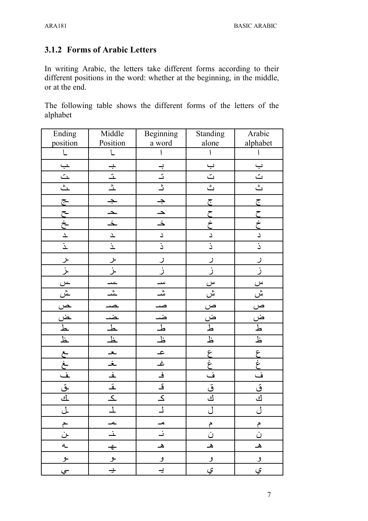### **3.1.2 Forms of Arabic Letters**

In writing Arabic, the letters take different forms according to their different positions in the word: whether at the beginning, in the middle, or at the end.

The following table shows the different forms of the letters of the alphabet

| Ending                            | Middle          | Beginning                                                                         | Standing                                                                                                                                                                                                                                                                                                                                                                                                                                                        | Arabic                                                                                                                                                                                                                                                                                                                                                                                                                                                          |
|-----------------------------------|-----------------|-----------------------------------------------------------------------------------|-----------------------------------------------------------------------------------------------------------------------------------------------------------------------------------------------------------------------------------------------------------------------------------------------------------------------------------------------------------------------------------------------------------------------------------------------------------------|-----------------------------------------------------------------------------------------------------------------------------------------------------------------------------------------------------------------------------------------------------------------------------------------------------------------------------------------------------------------------------------------------------------------------------------------------------------------|
| position                          | Position        | a word                                                                            | alone                                                                                                                                                                                                                                                                                                                                                                                                                                                           | alphabet                                                                                                                                                                                                                                                                                                                                                                                                                                                        |
| $\mathbf{1}$                      |                 |                                                                                   |                                                                                                                                                                                                                                                                                                                                                                                                                                                                 |                                                                                                                                                                                                                                                                                                                                                                                                                                                                 |
|                                   |                 |                                                                                   | $\overline{\mathbf{u}}$                                                                                                                                                                                                                                                                                                                                                                                                                                         |                                                                                                                                                                                                                                                                                                                                                                                                                                                                 |
|                                   |                 |                                                                                   | $\overline{\mathfrak{L}}$                                                                                                                                                                                                                                                                                                                                                                                                                                       | $\frac{1}{2}$                                                                                                                                                                                                                                                                                                                                                                                                                                                   |
| $\frac{1}{2}$                     |                 | $\frac{1}{2}$                                                                     | $\begin{tabular}{ c c } \hline \multicolumn{3}{ c }{\textbf{}} & \multicolumn{3}{ c }{\textbf{}} \\ \multicolumn{3}{ c }{\textbf{}} & \multicolumn{3}{ c }{\textbf{}} \\ \multicolumn{3}{ c }{\textbf{}} & \multicolumn{3}{ c }{\textbf{}} \\ \multicolumn{3}{ c }{\textbf{}} & \multicolumn{3}{ c }{\textbf{}} \\ \multicolumn{3}{ c }{\textbf{}} & \multicolumn{3}{ c }{\textbf{}} \\ \multicolumn{3}{ c }{\textbf{}} & \multicolumn{3}{ c }{\textbf{}} \\ \$ | $\begin{tabular}{ c c } \hline \multicolumn{3}{ c }{\textbf{}} & \multicolumn{3}{ c }{\textbf{}} \\ \multicolumn{3}{ c }{\textbf{}} & \multicolumn{3}{ c }{\textbf{}} \\ \multicolumn{3}{ c }{\textbf{}} & \multicolumn{3}{ c }{\textbf{}} \\ \multicolumn{3}{ c }{\textbf{}} & \multicolumn{3}{ c }{\textbf{}} \\ \multicolumn{3}{ c }{\textbf{}} & \multicolumn{3}{ c }{\textbf{}} \\ \multicolumn{3}{ c }{\textbf{}} & \multicolumn{3}{ c }{\textbf{}} \\ \$ |
|                                   |                 | $\frac{1}{4}$                                                                     |                                                                                                                                                                                                                                                                                                                                                                                                                                                                 |                                                                                                                                                                                                                                                                                                                                                                                                                                                                 |
|                                   |                 |                                                                                   | ج ح<br>خ ج                                                                                                                                                                                                                                                                                                                                                                                                                                                      | ここさ                                                                                                                                                                                                                                                                                                                                                                                                                                                             |
|                                   |                 | $\frac{1}{2}$                                                                     |                                                                                                                                                                                                                                                                                                                                                                                                                                                                 |                                                                                                                                                                                                                                                                                                                                                                                                                                                                 |
|                                   |                 |                                                                                   | $\mathcal{L}_{\text{}}$                                                                                                                                                                                                                                                                                                                                                                                                                                         | $\overline{a}$                                                                                                                                                                                                                                                                                                                                                                                                                                                  |
| ج- ح- خ- ح- ت- 1<br>  ح- ح- ح- خ- | $\overline{z}$  |                                                                                   | $\frac{1}{2}$                                                                                                                                                                                                                                                                                                                                                                                                                                                   | $\frac{1}{2}$                                                                                                                                                                                                                                                                                                                                                                                                                                                   |
|                                   |                 | J                                                                                 |                                                                                                                                                                                                                                                                                                                                                                                                                                                                 | ر                                                                                                                                                                                                                                                                                                                                                                                                                                                               |
|                                   |                 | <u>ز</u>                                                                          | .<br>ز                                                                                                                                                                                                                                                                                                                                                                                                                                                          | <u>ز</u>                                                                                                                                                                                                                                                                                                                                                                                                                                                        |
|                                   |                 | س                                                                                 |                                                                                                                                                                                                                                                                                                                                                                                                                                                                 |                                                                                                                                                                                                                                                                                                                                                                                                                                                                 |
|                                   |                 | $\frac{1}{2}$                                                                     | $\frac{1}{2}$ $\frac{1}{2}$ $\frac{1}{2}$ $\frac{1}{2}$ $\frac{1}{2}$                                                                                                                                                                                                                                                                                                                                                                                           |                                                                                                                                                                                                                                                                                                                                                                                                                                                                 |
|                                   |                 |                                                                                   |                                                                                                                                                                                                                                                                                                                                                                                                                                                                 |                                                                                                                                                                                                                                                                                                                                                                                                                                                                 |
|                                   |                 |                                                                                   |                                                                                                                                                                                                                                                                                                                                                                                                                                                                 | $\begin{array}{c c}\n\hline\n\text{b} & \text{b}\n\end{array}$                                                                                                                                                                                                                                                                                                                                                                                                  |
|                                   |                 |                                                                                   |                                                                                                                                                                                                                                                                                                                                                                                                                                                                 |                                                                                                                                                                                                                                                                                                                                                                                                                                                                 |
|                                   |                 | $\frac{1}{2}$                                                                     |                                                                                                                                                                                                                                                                                                                                                                                                                                                                 |                                                                                                                                                                                                                                                                                                                                                                                                                                                                 |
|                                   |                 |                                                                                   |                                                                                                                                                                                                                                                                                                                                                                                                                                                                 |                                                                                                                                                                                                                                                                                                                                                                                                                                                                 |
|                                   |                 |                                                                                   | حزبها                                                                                                                                                                                                                                                                                                                                                                                                                                                           | <br>غ<br>غ                                                                                                                                                                                                                                                                                                                                                                                                                                                      |
|                                   |                 | $\begin{array}{ c c } \hline \hline \hline \hline \hline \hline \end{array}$ ا ما | $\frac{1}{2}$                                                                                                                                                                                                                                                                                                                                                                                                                                                   | $\frac{1}{2}$                                                                                                                                                                                                                                                                                                                                                                                                                                                   |
|                                   |                 |                                                                                   | ق<br>ك                                                                                                                                                                                                                                                                                                                                                                                                                                                          | _<br>في                                                                                                                                                                                                                                                                                                                                                                                                                                                         |
|                                   |                 |                                                                                   |                                                                                                                                                                                                                                                                                                                                                                                                                                                                 |                                                                                                                                                                                                                                                                                                                                                                                                                                                                 |
|                                   |                 |                                                                                   |                                                                                                                                                                                                                                                                                                                                                                                                                                                                 |                                                                                                                                                                                                                                                                                                                                                                                                                                                                 |
|                                   |                 | مــ                                                                               | م                                                                                                                                                                                                                                                                                                                                                                                                                                                               | م                                                                                                                                                                                                                                                                                                                                                                                                                                                               |
| م<br>ن                            | ᅺ               | نہ                                                                                | ن                                                                                                                                                                                                                                                                                                                                                                                                                                                               | ن                                                                                                                                                                                                                                                                                                                                                                                                                                                               |
| $\mathbf{A}_{-}$                  | $\triangleleft$ | هـ                                                                                | هـ                                                                                                                                                                                                                                                                                                                                                                                                                                                              | ه                                                                                                                                                                                                                                                                                                                                                                                                                                                               |
| ع                                 | ع               | و                                                                                 | و                                                                                                                                                                                                                                                                                                                                                                                                                                                               | <u>و</u>                                                                                                                                                                                                                                                                                                                                                                                                                                                        |
| جي                                | $\div$          | $\div$                                                                            | ي                                                                                                                                                                                                                                                                                                                                                                                                                                                               | ي                                                                                                                                                                                                                                                                                                                                                                                                                                                               |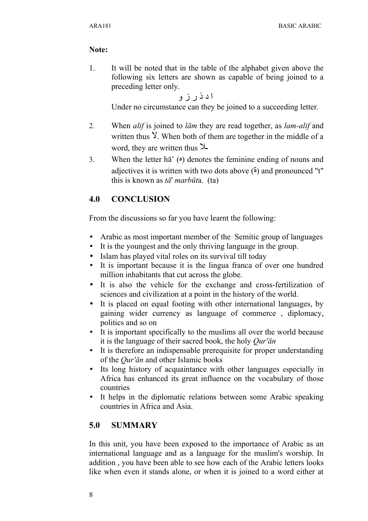### **Note:**

1. It will be noted that in the table of the alphabet given above the following six letters are shown as capable of being joined to a preceding letter only.

ا د ذ ر ز و

Under no circumstance can they be joined to a succeeding letter.

- 2. When *alif* is joined to *lām* they are read together, as *lam-alif* and written thus  $\lambda$ . When both of them are together in the middle of a word, they are written thus  $\lambda$
- 3. When the letter  $h\bar{a}'$  ( $\circ$ ) denotes the feminine ending of nouns and adjectives it is written with two dots above  $\ddot{\bullet}$  and pronounced "t" this is known as *tā*' *marbūt*a. (ta)

### **4.0 CONCLUSION**

From the discussions so far you have learnt the following:

- Arabic as most important member of the Semitic group of languages
- It is the youngest and the only thriving language in the group.
- Islam has played vital roles on its survival till today
- It is important because it is the lingua franca of over one hundred million inhabitants that cut across the globe.
- It is also the vehicle for the exchange and cross-fertilization of sciences and civilization at a point in the history of the world.
- It is placed on equal footing with other international languages, by gaining wider currency as language of commerce , diplomacy, politics and so on
- It is important specifically to the muslims all over the world because it is the language of their sacred book, the holy *Qur'ān*
- It is therefore an indispensable prerequisite for proper understanding of the *Qur'ān* and other Islamic books
- Its long history of acquaintance with other languages especially in Africa has enhanced its great influence on the vocabulary of those countries
- It helps in the diplomatic relations between some Arabic speaking countries in Africa and Asia.

### **5.0 SUMMARY**

In this unit, you have been exposed to the importance of Arabic as an international language and as a language for the muslim's worship. In addition , you have been able to see how each of the Arabic letters looks like when even it stands alone, or when it is joined to a word either at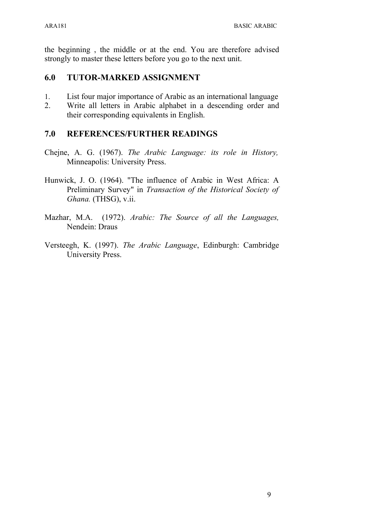the beginning , the middle or at the end. You are therefore advised strongly to master these letters before you go to the next unit.

### **6.0 TUTOR-MARKED ASSIGNMENT**

- 1. List four major importance of Arabic as an international language
- 2. Write all letters in Arabic alphabet in a descending order and their corresponding equivalents in English.

### **7.0 REFERENCES/FURTHER READINGS**

- Chejne, A. G. (1967). *The Arabic Language: its role in History,* Minneapolis: University Press.
- Hunwick, J. O. (1964). "The influence of Arabic in West Africa: A Preliminary Survey" in *Transaction of the Historical Society of Ghana.* (THSG), v.ii.
- Mazhar, M.A. (1972). *Arabic: The Source of all the Languages,* Nendein: Draus
- Versteegh, K. (1997). *The Arabic Language*, Edinburgh: Cambridge University Press.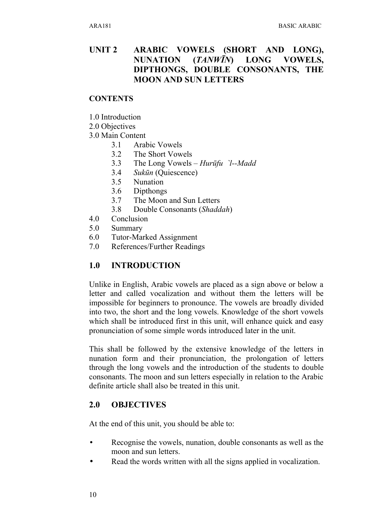### **UNIT 2 ARABIC VOWELS (SHORT AND LONG), NUNATION (***TANWĪN***) LONG VOWELS, DIPTHONGS, DOUBLE CONSONANTS, THE MOON AND SUN LETTERS**

### **CONTENTS**

- 1.0 Introduction
- 2.0 Objectives
- 3.0 Main Content
	- 3.1 Arabic Vowels
	- 3.2 The Short Vowels
	- 3.3 The Long Vowels *Hurūfu `l--Madd*
	- 3.4 *Sukūn* (Quiescence)
	- 3.5 Nunation
	- 3.6 Dipthongs
	- 3.7 The Moon and Sun Letters
	- 3.8 Double Consonants (*Shaddah*)
- 4.0 Conclusion
- 5.0 Summary
- 6.0 Tutor-Marked Assignment
- 7.0 References/Further Readings

### **1.0 INTRODUCTION**

Unlike in English, Arabic vowels are placed as a sign above or below a letter and called vocalization and without them the letters will be impossible for beginners to pronounce. The vowels are broadly divided into two, the short and the long vowels. Knowledge of the short vowels which shall be introduced first in this unit, will enhance quick and easy pronunciation of some simple words introduced later in the unit.

This shall be followed by the extensive knowledge of the letters in nunation form and their pronunciation, the prolongation of letters through the long vowels and the introduction of the students to double consonants. The moon and sun letters especially in relation to the Arabic definite article shall also be treated in this unit.

### **2.0 OBJECTIVES**

At the end of this unit, you should be able to:

- Recognise the vowels, nunation, double consonants as well as the moon and sun letters.
- Read the words written with all the signs applied in vocalization.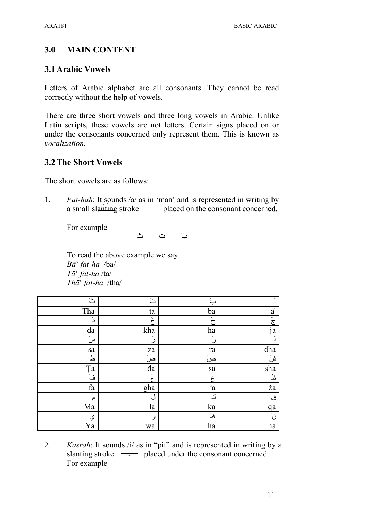### **3.0 MAIN CONTENT**

### **3.1Arabic Vowels**

Letters of Arabic alphabet are all consonants. They cannot be read correctly without the help of vowels.

There are three short vowels and three long vowels in Arabic. Unlike Latin scripts, these vowels are not letters. Certain signs placed on or under the consonants concerned only represent them. This is known as *vocalization.*

### **3.2The Short Vowels**

The short vowels are as follows:

1. *Fat-hah*: It sounds /a/ as in 'man' and is represented in writing by a small slanting stroke placed on the consonant concerned.

For example

بَ تُ ثَ

To read the above example we say *Bā*' *fat-ha* /ba/ *Tā*' *fat-ha* /ta/ *Thā*' *fat-ha* /tha/

| $\ddot{c}$       | ڪَ                                | $\tilde{\hookrightarrow}$ |                               |
|------------------|-----------------------------------|---------------------------|-------------------------------|
| Tha              | ta                                | ba                        | $\mathbf{a}^{\prime}$         |
| دَ               | и,                                | ,<br>ح                    | $\overline{\tilde{\tau}}$     |
| da               | kha                               | ha                        | $i\bar{a}$                    |
| سَ               | $\tilde{\mathcal{L}}$             | ╭                         | ۮ                             |
| sa               | za                                | ra                        | dha                           |
| ط                | $\overline{\dot{\tilde{\omega}}}$ | Σ<br>ص                    | $\overline{\mathring{a}}$ للأ |
| Ţa               | đa                                | sa                        | sha                           |
| $\tilde{\omega}$ | ć                                 | غ                         | Ŀ                             |
| fa               | gha                               | $\mathbf{c}_{\mathbf{a}}$ | ża                            |
| ,<br>م           | - 1<br>$\iota$ .                  | كَ                        | قَ                            |
| Ma               | la                                | ka                        | qa                            |
| <u>ي</u> َ       | ,<br>و                            | ۿۘ                        | نَ                            |
| Ya               | wa                                | ha                        | na                            |

2. *Kasrah*: It sounds /i/ as in "pit" and is represented in writing by a slanting stroke  $\equiv$  placed under the consonant concerned. For example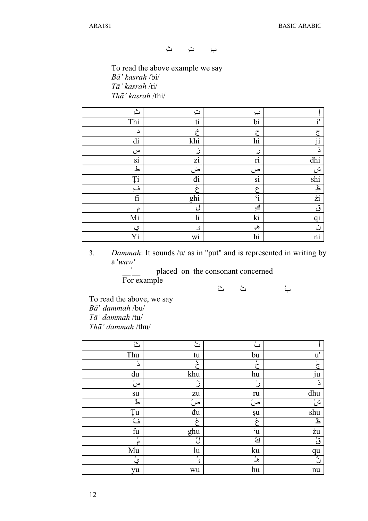بa تa ثa

To read the above example we say *Bā' kasrah* /bi/ *Tā' kasrah* /ti/ *Thā' kasrah* /thi/

| ݺ                | ت                       | ب                       |                         |
|------------------|-------------------------|-------------------------|-------------------------|
| Thi              | ti                      | bi                      | $\mathbf{i}'$           |
| دِ               | ېنې                     | ح                       | ج                       |
| di               | khi                     | hi                      | $\ddot{1}$              |
| س                | ز                       | ر                       | ذِ                      |
| si               | zi                      | $\overline{\textbf{n}}$ | dhi                     |
| طِ               | ض                       | ص                       | ىن                      |
| <b>Ti</b>        | đi                      | si                      | $\overline{\text{shi}}$ |
| ف                | غ                       | عج                      | $\frac{1}{2}$           |
| $\rm{fi}$        | ghi                     | $\mathbf{c}_1$          | $\overline{\dot{z}}$    |
| م                | ک                       | <u>ائ</u>               | ق                       |
| Mi               | $\overline{\mathbf{h}}$ | ki                      | $\overline{qi}$         |
| <u>ي</u>         | و                       | هي                      | $\dot{\omega}$          |
| $\overline{Y_1}$ | wi                      | hi                      | $\overline{\text{ni}}$  |

3. *Dammah*: It sounds /u/ as in "put" and is represented in writing by a '*waw'*

بQ تQ ثQ

placed on the consonant concerned For example

To read the above, we say *Bā*' *dammah* /bu/ *Tā' dammah* /tu/ *Thā' dammah* /thu/

| $\overline{\mathcal{L}}$ | $\overline{\mathbb{C}}$ | بُ                |               |
|--------------------------|-------------------------|-------------------|---------------|
| Thu                      | tu                      | bu                | $\mathbf{u}'$ |
| دُ                       | シ                       | ۶<br>┮            |               |
| du                       | khu                     | hu                | ju            |
| و<br>س                   | ٠.                      | ۶                 | دُّ           |
| su                       | ${\it zu}$              | ru                | dhu           |
| طُ                       | ضُ                      | $\mathbf{S}$<br>ص | شُ            |
| Ţu                       | đu                      | şu                | shu           |
| فَّ                      | ۼ                       | ۼ                 | 玉             |
| fu                       | ghu                     | $c_{\mathbf{u}}$  | żu            |
| ۶<br>م                   | ڷؙ                      | ڵؿٞ               | قُ            |
| Mu                       | lu                      | ku                | qu            |
| يُ                       | ×<br>و                  | هُـُ              | نۡ            |
| yu                       | wu                      | hu                | nu            |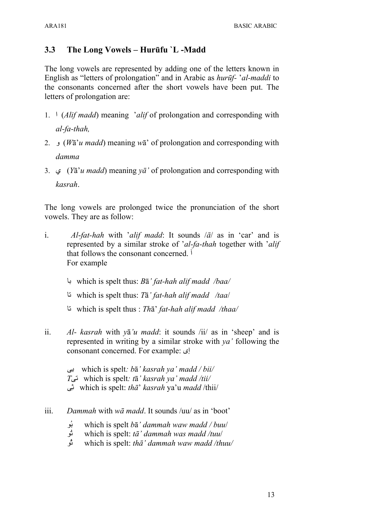### **3.3 The Long Vowels – Hurūfu `L -Madd**

The long vowels are represented by adding one of the letters known in English as "letters of prolongation" and in Arabic as *hurūf-* '*al-maddi* to the consonants concerned after the short vowels have been put. The letters of prolongation are:

- 1. ا) *Alif madd*) meaning '*alif* of prolongation and corresponding with *al-fa-thah,*
- 2. و) *W*ā'*u madd*) meaning *w*ā' of prolongation and corresponding with *damma*
- 3. ي) *Y*ā'*u madd*) meaning *yā'* of prolongation and corresponding with *kasrah*.

The long vowels are prolonged twice the pronunciation of the short vowels. They are as follow:

- i. *Al*-*fat-hah* with '*alif madd*: It sounds /*ā*/ as in 'car' and is represented by a similar stroke of '*al-fa-thah* together with '*alif* that follows the consonant concerned. آ For example
	- با which is spelt thus: *B*ā*' fat-hah alif madd /baa/*
	- تا which is spelt thus: *T*ā*' fat-hah alif madd /taa*/
	- تا which is spelt thus : *Th*ā' *fat-hah alif madd /thaa/*
- ii. *Al- kasrah* with *y*ā*'u madd*: it sounds /ii/ as in 'sheep' and is represented in writing by a similar stroke with *ya'* following the consonant concerned. For example: إى
	- ىaبwhich is spelt*: b*ā*' kasrah ya' madd / bii/ T*تىwhich is spelt*: t*ā*' kasrah ya' madd /tii/* ىaث which is spelt: *thā*' *kasrah* ya'u *madd* /thii/
- iii. *Dammah* with *wā madd*. It sounds /uu/ as in 'boot'
	- وQب which is spelt *b*ā*' dammah waw madd / buu*/
	- <sub>فو</sub><br>which is spelt: *tā' dammah was madd /tuu/*<br>which is spelt: *thā' dammah waw madd /thu*
	- which is spelt: *thā' dammah waw madd /thuu/*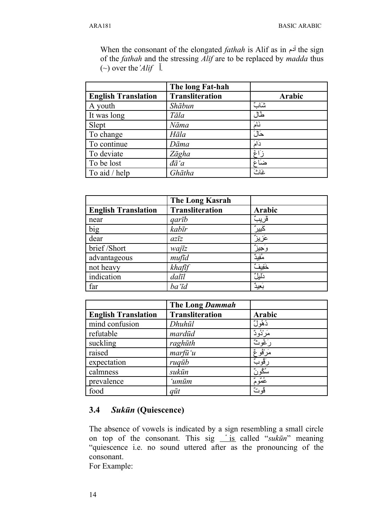When the consonant of the elongated *fathah* is Alif as in آدم the sign of the *fathah* and the stressing *Alif* are to be replaced by *madda* thus  $(\sim)$  over the *'Alif*  $\overline{\phantom{a}}$ *l.* 

|                            | The long Fat-hah       |        |
|----------------------------|------------------------|--------|
| <b>English Translation</b> | <b>Transliteration</b> | Arabic |
| A youth                    | Shābun                 | شات    |
| It was long                | Tāla                   | طال    |
| Slept                      | Nāma                   | نَامَ  |
| To change                  | Hāla                   | حَالَ  |
| To continue                | Dāma                   | دَامَ  |
| To deviate                 | Zāgha                  | ز ًاغ  |
| To be lost                 | đā'a                   | ضآغ    |
| To aid / help              | Ghātha                 | غاث    |

|                            | The Long Kasrah        |          |
|----------------------------|------------------------|----------|
| <b>English Translation</b> | <b>Transliteration</b> | Arabic   |
| near                       | garīb                  | ڨريبٌ    |
| big                        | kabīr                  | كَبِير ُ |
| dear                       | $az\overline{z}$       | ؘۼؘزيزً  |
| brief/Short                | wajīz                  | وَجِيزٌ  |
| advantageous               | mufid                  | مُفِيدٌ  |
| not heavy                  | khafīf                 | خَفِيفٌ  |
| indication                 | dalīl                  | دَليلٌ   |
| far                        | ba'īd                  | بَعِيدٌ  |

|                            | The Long Dammah        |            |
|----------------------------|------------------------|------------|
| <b>English Translation</b> | <b>Transliteration</b> | Arabic     |
| mind confusion             | Dhuhūl                 | ڎۿؙۅڵٞ     |
| refutable                  | mardūd                 | ۫مَرْنُودٌ |
| suckling                   | raghūth                | رَغُوثٌ    |
| raised                     | $\frac{m}{u}$ 'u       | مَرْڤُوعٌ  |
| expectation                | ruqub                  | رَڤُوبٌ    |
| calmness                   | sukūn                  | سُكُو نُ   |
| prevalence                 | ʻumūm                  | عُمُومٌ    |
| food                       | $q\bar{u}t$            | ڨوٽُ       |

### **3.4** *Sukūn* **(Quiescence)**

The absence of vowels is indicated by a sign resembling a small circle on top of the consonant. This sig <u>is</u> called "*sukūn*" meaning "quiescence i.e. no sound uttered after as the pronouncing of the consonant.

For Example: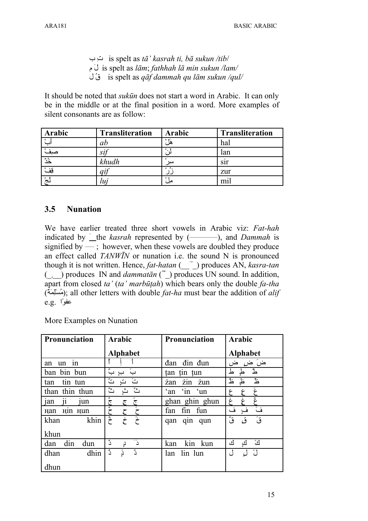is spelt as  $t\bar{a}$ ' *kasrah ti, bā sukun /tib*/ is spelt as  $l\bar{a}m$ ; fathhah  $l\bar{a}$  min sukun /lam/ is spelt as  $q\bar{q}f$  dammah qu lām sukun /qul/

It should be noted that *sukūn* does not start a word in Arabic. It can only be in the middle or at the final position in a word. More examples of silent consonants are as follow:

| Arabic            | <b>Transliteration</b> | Arabic                | <b>Transliteration</b> |
|-------------------|------------------------|-----------------------|------------------------|
| $\circ$           | ab                     | $\circ$ $\cdot$<br>ها | hal                    |
|                   | $\mathcal{S}l$         | ۰                     | lan                    |
| $\bullet$ $\circ$ | khudh                  | $\circ$<br>سير        | S <sub>1</sub> r       |
| قفْ               |                        | $^{\circ}$            | zur                    |
| $\circ$           | $\iota$                | $\circ$               | m1                     |

#### $3.5$ **Nunation**

We have earlier treated three short vowels in Arabic viz: Fat-hah indicated by  $\hat{\ }$  the *kasrah* represented by  $(\underline{\hspace{1cm}})$ , and *Dammah* is signified by  $\rightarrow$ ; however, when these vowels are doubled they produce an effect called *TANWIN* or nunation i.e. the sound N is pronounced though it is not written. Hence, fat-hatan ( i) produces AN, kasra-tan  $\left( \right)$  produces IN and *dammatan* ( $\prime$ ) produces UN sound. In addition, apart from closed ta' (ta' marbutah) which bears only the double  $fa$ -tha (مُسْلِّعَة); all other letters with double *fat-ha* must bear the addition of *alif* e.g. '2

More Examples on Nunation

| <b>Pronunciation</b>                   | <b>Arabic</b>                              | <b>Pronunciation</b>    | Arabic           |
|----------------------------------------|--------------------------------------------|-------------------------|------------------|
|                                        | <b>Alphabet</b>                            |                         | <b>Alphabet</b>  |
| 1n<br>un<br>an                         |                                            | đan đin đun             | ض ض<br>ض         |
| ban bin bun                            | یہ<br>ب ِ ب<br>ب                           | tin tun<br>tan          | کے<br>ط          |
| tin tun<br>tan                         | $\sum_{i=1}^{n}$<br>$\tilde{\omega}$<br>تٍ | zin zun<br>żan          | ڂ<br>غذ<br>ظٍ    |
| than thin thun                         | ٽُ<br>ٽُ<br>ݺ                              | 'in 'un<br>$\alpha$ and | غ<br>۶<br>ىپى    |
| <sub>1</sub> an<br>1un<br>11           | ی<br>ج<br>$\overline{\mathbb{C}}$<br>ج     | ghan ghin ghun          | غ<br>ځ           |
| H <sub>11</sub> H <sub>un</sub><br>Han | 28                                         | fin fun<br>fan          | فَ<br>ف<br>فٍ    |
| khin<br>khan                           | يعجم<br>خ<br>خ                             | qin qun<br>qan          | ڨُ<br>قُ<br>ق    |
| khun                                   |                                            |                         |                  |
| din<br>dan<br>dun                      | 28<br>--<br>د<br>د<br>دٍ                   | kin kun<br>kan          | ڵؿٞ<br>ك<br>ڵػۣ۪ |
| dhin<br>dhan                           | ه.<br>ذٍ<br>دًّ<br>د                       | lin lun<br>lan          | ڵٙ<br>ں          |
| dhun                                   |                                            |                         |                  |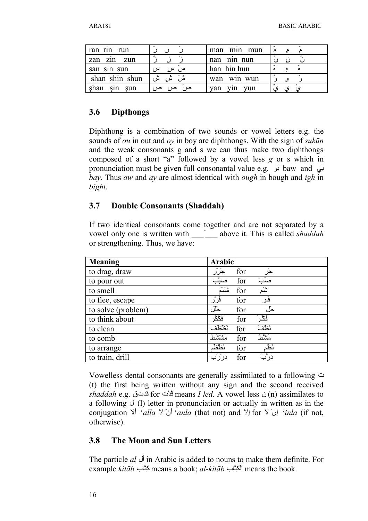| ran rin run     |                  | man min mun       |  |
|-----------------|------------------|-------------------|--|
| zan zin zun     |                  | nan nin nun       |  |
| san sin sun     | س<br>سر ہ<br>سرے | han hin hun       |  |
| shan shin shun  | ش ش              | win wun<br>wan    |  |
| shan<br>sin sun | ص                | van<br>vun<br>vın |  |

### **3.6 Dipthongs**

Diphthong is a combination of two sounds or vowel letters e.g. the sounds of *ou* in out and *oy* in boy are diphthongs. With the sign of *sukūn* and the weak consonants g and s we can thus make two diphthongs composed of a short "a" followed by a vowel less *g* or s which in pronunciation must be given full consonantal value e.g. بنی baw and يب *bay*. Thus *aw* and *ay* are almost identical with *ough* in bough and *igh* in *bight*.

### **3.7 Double Consonants (Shaddah)**

If two identical consonants come together and are not separated by a vowel only one is written with \_\_\_ّ\_\_\_ above it. This is called *shaddah* or strengthening. Thus, we have:

| <b>Meaning</b>     | Arabic                    |
|--------------------|---------------------------|
| to drag, draw      | جَرْر<br>for<br>جر        |
| to pour out        | صَبَّ<br>صبثب<br>for      |
| to smell           | ور<br>سم<br>شَم<br>for    |
| to flee, escape    | فَرْر<br>فَر<br>for       |
| to solve (problem) | حَلل<br>for<br>حل ،       |
| to think about     | فَگَر َ<br>فَكْكَر<br>for |
| to clean           | نَظَفَ<br>نظظف<br>for     |
| to comb            | متشط<br>مسشط<br>for       |
| to arrange         | نَظَم<br>نظظم<br>for      |
| to train, drill    | دَرَّبَ<br>ۮۯۯؙڹ<br>for   |

Vowelless dental consonants are generally assimilated to a following ت (t) the first being written without any sign and the second received  $shaddah$  e.g. قدت for قدت means *I led*. A vowel less ن) (n) assimilates to a following  $\cup$  (1) letter in pronunciation or actually in written as in the conjugation  $Y^{\dagger}$  '*alla*  $Y$  *`inla* (that not) and  $Y^{\dagger}$  for  $Y^{\dagger}$  *inla* (if not, otherwise).

### **3.8 The Moon and Sun Letters**

The particle *al* لVأ in Arabic is added to nouns to make them definite. For example *kitāb* الكبَّاب means a book; *al-kitāb* الكبَّاب means the book.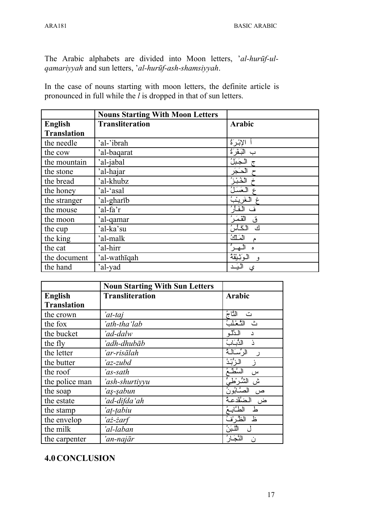The Arabic alphabets are divided into Moon letters, '*al-hurūf-ulqamariyyah* and sun letters, '*al-hurūf-ash-shamsiyyah*.

In the case of nouns starting with moon letters, the definite article is pronounced in full while the *l* is dropped in that of sun letters.

|                    | <b>Nouns Starting With Moon Letters</b> |                 |
|--------------------|-----------------------------------------|-----------------|
| <b>English</b>     | <b>Transliteration</b>                  | Arabic          |
| <b>Translation</b> |                                         |                 |
| the needle         | 'al-'ibrah                              | الإبْرَةُ       |
| the cow            | 'al-baqarat                             | بِ الْبَقَرِ`ةُ |
| the mountain       | 'al-jabal                               | الجَبَلُ        |
| the stone          | 'al-hajar                               | الحَجَر         |
| the bread          | 'al-khubz                               | الخُبْزُ        |
| the honey          | 'al-'asal                               | المعَسَلُ       |
| the stranger       | 'al-gharīb                              | الغرينب         |
| the mouse          | 'al-fa'r                                | الفأر           |
| the moon           | 'al-qamar                               | القَمَرُ<br>ق   |
| the cup            | 'al-ka'su                               | الكأس<br>ك      |
| the king           | 'al-malk                                | المكلئ<br>م     |
| the cat            | 'al-hirr                                | ۵               |
| the document       | 'al-wathiqah                            | الوزبتقة<br>و.  |
| the hand           | 'al-yad                                 | اليَـد<br>ي     |

|                    | <b>Noun Starting With Sun Letters</b> |                              |
|--------------------|---------------------------------------|------------------------------|
| <b>English</b>     | <b>Transliteration</b>                | <b>Arabic</b>                |
| <b>Translation</b> |                                       |                              |
| the crown          | 'at-taj                               | النَّاجُ<br>ٽ                |
| the fox            | 'ath-thaʻlab                          | الأخلب<br>ث                  |
| the bucket         | 'ad-dalw                              | الدَّلُو<br>د                |
| the fly            | 'adh-dhubāb                           | الذباب<br>ذ                  |
| the letter         | 'ar-risālah                           | الرِّسَالَـةُ<br>ر           |
| the butter         | 'az-zubd                              | الزُّبْدُ                    |
| the roof           | 'as-sath                              | السَّطْعُ<br>$\omega$        |
| the police man     | 'ash-shurtiyyu                        | الشُرْطَحُ<br>ش              |
| the soap           | 'aş-şabun                             | الصَّابُونُ                  |
| the estate         | 'ad-difda'ah                          | الضَّقْدعةُ<br>ض             |
| the stamp          | 'aț-țabiu                             | الطَّابِعُ<br>ط              |
| the envelop        | 'aż-żarf                              | الظرف<br>上                   |
| the milk           | 'al-laban                             | اللبزخ<br>$\left($           |
| the carpenter      | 'an-najār                             | لنَّجَـار ُ<br>$\mathcal{L}$ |

### **4.0CONCLUSION**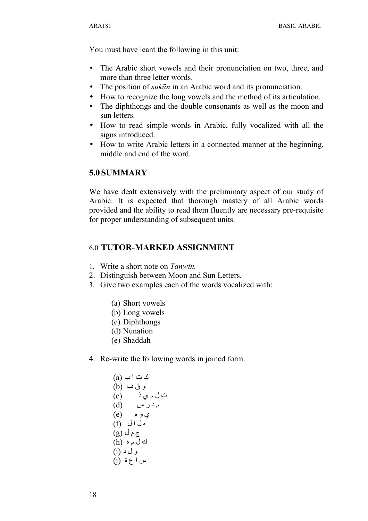You must have leant the following in this unit:

- The Arabic short vowels and their pronunciation on two, three, and more than three letter words.
- The position of *sukūn* in an Arabic word and its pronunciation.
- How to recognize the long vowels and the method of its articulation.
- The diphthongs and the double consonants as well as the moon and sun letters.
- How to read simple words in Arabic, fully vocalized with all the signs introduced.
- How to write Arabic letters in a connected manner at the beginning, middle and end of the word.

### **5.0 SUMMARY**

We have dealt extensively with the preliminary aspect of our study of Arabic. It is expected that thorough mastery of all Arabic words provided and the ability to read them fluently are necessary pre-requisite for proper understanding of subsequent units.

### 6.0 **TUTOR-MARKED ASSIGNMENT**

- 1. Write a short note on *Tanwīn.*
- 2. Distinguish between Moon and Sun Letters.
- 3. Give two examples each of the words vocalized with:
	- (a) Short vowels
	- (b) Long vowels
	- (c) Diphthongs
	- (d) Nunation
	- (e) Shaddah
- 4. Re-write the following words in joined form.

| (a) $\cup$ $\cup$ $\cup$ $\cup$        |
|----------------------------------------|
| (b) $\cup$ $\cup$ $\cup$               |
| (c) $\cup$ $\cup$ $\cup$ $\cup$        |
| (d) $\cup$ $\cup$ $\cup$ $\cup$ $\cup$ |
| (e) $\cup$ $\cup$ $\cup$ $\cup$        |
| (f) $\cup$ $\cup$ $\cup$ $\cup$        |
| (g) $\cup$ $\cap$ $\cup$ $\cup$        |
| (h) $\circ$ $\cup$ $\cup$              |
| (i) $\cup$ $\cup$ $\cup$               |
| (j) $\circ$ $\cup$ $\cup$              |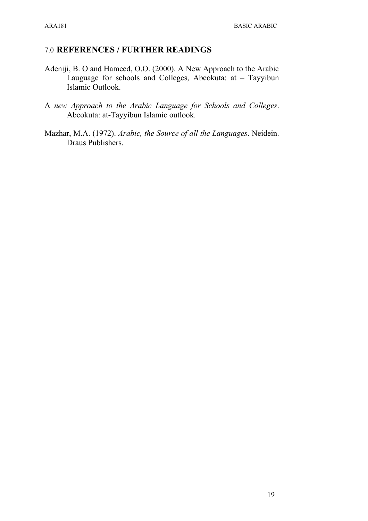### 7.0 **REFERENCES / FURTHER READINGS**

- Adeniji, B. O and Hameed, O.O. (2000). A New Approach to the Arabic Lauguage for schools and Colleges, Abeokuta: at – Tayyibun Islamic Outlook.
- A *new Approach to the Arabic Language for Schools and Colleges*. Abeokuta: at-Tayyibun Islamic outlook.
- Mazhar, M.A. (1972). *Arabic, the Source of all the Languages*. Neidein. Draus Publishers.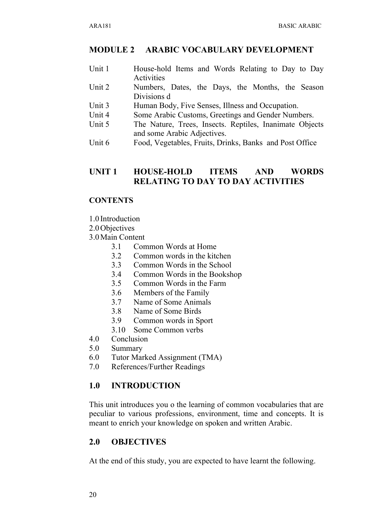### **MODULE 2 ARABIC VOCABULARY DEVELOPMENT**

- Unit 1 House-hold Items and Words Relating to Day to Day Activities
- Unit 2 Numbers, Dates, the Days, the Months, the Season Divisions d
- Unit 3 Human Body, Five Senses, Illness and Occupation.
- Unit 4 Some Arabic Customs, Greetings and Gender Numbers.
- Unit 5 The Nature, Trees, Insects. Reptiles, Inanimate Objects and some Arabic Adjectives.
- Unit 6 Food, Vegetables, Fruits, Drinks, Banks and Post Office

### **UNIT 1 HOUSE-HOLD ITEMS AND WORDS RELATING TO DAY TO DAY ACTIVITIES**

### **CONTENTS**

- 1.0 Introduction
- 2.0Objectives
- 3.0Main Content
	- 3.1 Common Words at Home
	- 3.2 Common words in the kitchen
	- 3.3 Common Words in the School
	- 3.4 Common Words in the Bookshop
	- 3.5 Common Words in the Farm
	- 3.6 Members of the Family
	- 3.7 Name of Some Animals
	- 3.8 Name of Some Birds
	- 3.9 Common words in Sport
	- 3.10 Some Common verbs
- 4.0 Conclusion
- 5.0 Summary
- 6.0 Tutor Marked Assignment (TMA)
- 7.0 References/Further Readings

### **1.0 INTRODUCTION**

This unit introduces you o the learning of common vocabularies that are peculiar to various professions, environment, time and concepts. It is meant to enrich your knowledge on spoken and written Arabic.

### **2.0 OBJECTIVES**

At the end of this study, you are expected to have learnt the following.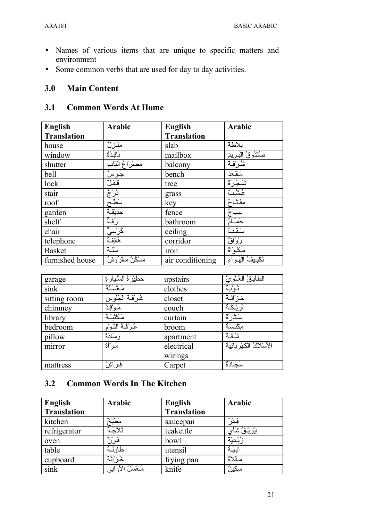- Names of various items that are unique to specific matters and environment
- Some common verbs that are used for day to day activities.

#### **Main Content**  $3.0$

#### $3.1$ **Common Words At Home**

| English            | <b>Arabic</b>      | <b>English</b>     | <b>Arabic</b>                          |
|--------------------|--------------------|--------------------|----------------------------------------|
| <b>Translation</b> |                    | <b>Translation</b> |                                        |
| house              | مَنْزِلٌ           | slab               | بَلاطة                                 |
| window             | نَافِدَةٌ          | mailbox            | <u>صَنْدُوقُ الْبَرِيدِ</u><br>شُرِقَة |
| shutter            | مصنراغ الناب       | balcony            |                                        |
| bell               | ۘڿۘڔؘڛٞ            | bench              | مَقْعَد                                |
| lock               | قَفَلٌ             | tree               | شَجَرَةٌ                               |
| stair              | دُرْجٌ<br>سَطَّح   | grass              | عشبٌ                                   |
| roof               |                    | key                | مِڤتَاحٌ                               |
| garden             | حَدِيقَـهٌ         | fence              | سبيَاجٌ                                |
| shelf              | رَفَّ              | bathroom           | حَمَـٰٓامٌ                             |
| chair              | ݣۯؙٮٮؠۣٞٞ          | ceiling            | سَقْفٌ                                 |
| telephone          | هَاتِفٌ            | corridor           | رُوَاقٌ                                |
| <b>Basket</b>      | سلّهٌ              | iron               | مِكْوَاةٌ                              |
| furnished house    | مَسْكَنٌ مَـڤرُوشٌ | air conditioning   | تَكْبِيفُ الْهَوَاءِ                   |

| garage       | حَظِيْرَةُ السَّيارَةِ | upstairs   | الطَآبةُ العُلْويَّ         |
|--------------|------------------------|------------|-----------------------------|
| sink         | مَغْسَلَة              | clothes    | ݨݸݔ                         |
| sitting room | غُرْفَهُ الْجُلُوس     | closet     | خِزَ انَـهٌ                 |
| chimney      | مَوْقِدٌ               | couch      | ريْكَهُ                     |
| library      | مَكْتَـَـَّةٌ          | curtain    | سَتَار َةٌ                  |
| bedroom      | غُرْفَهُ النَّوْمِ     | broom      | مكْنَسَةٌ                   |
| pillow       | وسَادَةٌ               | apartment  | دوی م<br>سنگه               |
| mirror       | مَـر ْأَةٌ             | electrical | الأسلاكُ الكَهْرِ بَائِيَةُ |
|              |                        | wirings    |                             |
| mattress     | فِرَاشٌ                | Carpet     | سَحَّادَةٌ                  |

#### $3.2$ **Common Words In The Kitchen**

| <b>English</b>     | <b>Arabic</b>          | <b>English</b>     | Arabic      |
|--------------------|------------------------|--------------------|-------------|
| <b>Translation</b> |                        | <b>Translation</b> |             |
| kitchen            | مَطْبَةٌ               | saucepan           |             |
| refrigerator       | ثلاجَةٌ                | teakettle          | ٳڹ۠ڔۑۛ۠ڨؙۺٲ |
| oven               | فَرْزٌ                 | bowl               | ۯؙڹٛۮؽؘٲ    |
| table              | طاولة                  | utensil            |             |
| cupboard           | خَزَ انَّةٌ            | frying pan         | مِـقْلاَةٌ  |
| sink               | مَــَـمْسلُ الأوَانِـي | knife              | سِكِير: ٌ   |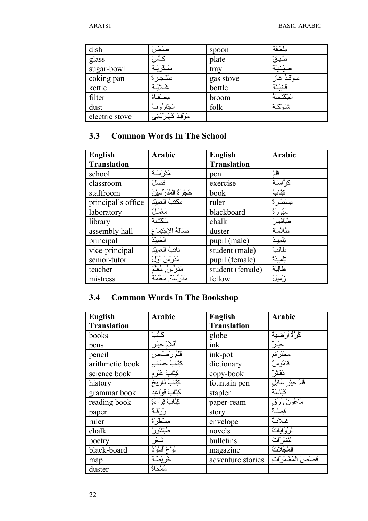| dish           | صَحْاً ُ              | spoon     | ملعَقَةٌ        |
|----------------|-----------------------|-----------|-----------------|
| glass          | كَأْس                 | plate     | طَبَقٌّ         |
| sugar-bowl     | سُكْرِيَـةٌ           | tray      | صينيبة          |
| coking pan     | طلْجَرَةٌ             | gas stove | مَـوْقِـدُ غَاز |
| kettle         | غلابة                 | bottle    | قَنِيْنَةٌ      |
| filter         | مصنْفَاةٌ             | broom     | المكذَسَةُ      |
| dust           | الجارُوفُ             | folk      | شَوْكَة         |
| electric stove | مَوْقِدُ كَهْرِبَائِي |           |                 |

#### $3.3$ **Common Words In The School**

| English            | <b>Arabic</b>             | <b>English</b>     | <b>Arabic</b> |
|--------------------|---------------------------|--------------------|---------------|
| <b>Translation</b> |                           | <b>Translation</b> |               |
| school             | مَدْرِ َسَـةٌ             | pen                | قُلْمٌ        |
| classroom          | فَصَلْ                    | exercise           | ݣُر َّاسَـةٌ  |
| staffroom          | حُجْرَةُ الْمُدَرِّسِيْنَ | book               | كِتَابٌ       |
| principal's office | مَكْتَبُ الْعَمِيْدِ      | ruler              | مسطرة         |
| laboratory         | مَعْمَلٌ                  | blackboard         | سَبُورَةٌ     |
| library            | مَكْتَبَةٌ                | chalk              | طَبَاشْيِرٌ   |
| assembly hall      | صَالَةُ الإجْتِمَاعِ      | duster             | طُلاَسَةٌ     |
| principal          | العَميْدُ                 | pupil (male)       | ڗڷڡۑۮٞ        |
| vice-principal     | نَائِبُ الْعَمِيْدِ       | student (male)     | طالِبٌ        |
| senior-tutor       | مُدَرِّسُ أَوَّلُ         | pupil (female)     | ؾڷڡؽۮۄٞ       |
| teacher            | مُدَرِّسٌ مُعَلَّمٌ       | student (female)   | طالبَة        |
| mistress           | مُدَرِّسَةٌ مُعَلَّمَةٌ   | fellow             | زَمِيلٌ       |

#### **Common Words In The Bookshop**  $3.4$

| <b>English</b>     | <b>Arabic</b>         | <b>English</b>     | <b>Arabic</b>                                                                                                                                                                                                                                                                                                                                       |
|--------------------|-----------------------|--------------------|-----------------------------------------------------------------------------------------------------------------------------------------------------------------------------------------------------------------------------------------------------------------------------------------------------------------------------------------------------|
| <b>Translation</b> |                       | <b>Translation</b> |                                                                                                                                                                                                                                                                                                                                                     |
| books              | ݣݩݑ                   | globe              | ݣْرَّةُ أَرْضِيَةٌ                                                                                                                                                                                                                                                                                                                                  |
| pens               | أقلامٌ حِبْر ٍ        | ink                | $\begin{picture}(120,10) \put(0,0){\line(1,0){10}} \put(15,0){\line(1,0){10}} \put(15,0){\line(1,0){10}} \put(15,0){\line(1,0){10}} \put(15,0){\line(1,0){10}} \put(15,0){\line(1,0){10}} \put(15,0){\line(1,0){10}} \put(15,0){\line(1,0){10}} \put(15,0){\line(1,0){10}} \put(15,0){\line(1,0){10}} \put(15,0){\line(1,0){10}} \put(15,0){\line($ |
| pencil             | قَلْمُ رَصَا <u>ص</u> | ink-pot            | محْبَرَةم                                                                                                                                                                                                                                                                                                                                           |
| arithmetic book    | كِتَابُ حِسَابِ       | dictionary         | قَامُوسٌ                                                                                                                                                                                                                                                                                                                                            |
| science book       | كِتَابٌ عُلُومٍ       | copy-book          | دَقْتَرُ                                                                                                                                                                                                                                                                                                                                            |
| history            | كِتَابُ تَارِيخِ      | fountain pen       | قَلْمُ حِبْرٍ سَائِلٍ                                                                                                                                                                                                                                                                                                                               |
| grammar book       | كِتَابُ قَوَاعِدِ     | stapler            | كَبَاسَةٌ                                                                                                                                                                                                                                                                                                                                           |
| reading book       | كِتَابُ قِرَاءَةِ     | paper-ream         | <u>مَاعُونُ وَرَق</u>                                                                                                                                                                                                                                                                                                                               |
| paper              | وَرَقَّهُ             | story              | قصَّةٌ                                                                                                                                                                                                                                                                                                                                              |
| ruler              | مسطرة                 | envelope           | غِلاَفٌ                                                                                                                                                                                                                                                                                                                                             |
| chalk              | <del>طَبْشُور</del> ' | novels             | الرُّوَايَاتُ                                                                                                                                                                                                                                                                                                                                       |
| poetry             | شيعر                  | bulletins          | النَّشَرَ اتُ                                                                                                                                                                                                                                                                                                                                       |
| black-board        | لَمُوْحٌ أَسْوَدٌ     | magazine           | المَجَلاَتُ                                                                                                                                                                                                                                                                                                                                         |
| map                | خريطة                 | adventure stories  | قِصَصَ الْمُغَامَرَ اتِ                                                                                                                                                                                                                                                                                                                             |
| duster             | مُمْحَاةٌ             |                    |                                                                                                                                                                                                                                                                                                                                                     |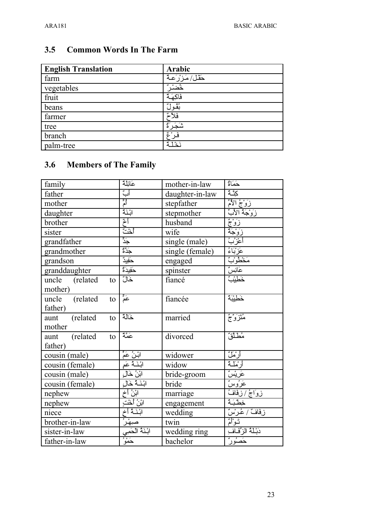| <b>English Translation</b> | Arabic            |
|----------------------------|-------------------|
| farm                       | حَقْل/مَزِرْعِـهُ |
| vegetables                 | <u>؞ؙۻ</u>        |
| fruit                      | فَاكِهَةٌ         |
| beans                      | بَقْولٌ           |
| farmer                     | فَلاً             |
| tree                       |                   |
| branch                     |                   |
| palm-tree                  | نَدْ1ةُ           |

### **3.5 Common Words In The Farm**

### **3.6 Members of The Family**

| family                   | عَائِلَةٌ                              | mother-in-law   | حَمَاةٌ                                 |
|--------------------------|----------------------------------------|-----------------|-----------------------------------------|
| father                   | أبٌ                                    | daughter-in-law | كَثَّمَّ                                |
| mother                   | أَمْ                                   | stepfather      |                                         |
| daughter                 | ابْنَةٌ                                | stepmother      |                                         |
| brother                  | أخ                                     | husband         |                                         |
| sister                   | أخْتٌ                                  | wife            |                                         |
| grandfather              | ے<br>جَد                               | single (male)   |                                         |
| grandmother              | $\frac{1}{\sum\limits_{i=1}^{k-1}a_i}$ | single (female) | <u>عَزْبَاءُ</u><br>مَخْطُوْبٌ          |
| grandson                 | __<br>حَفِيدٌ                          | engaged         |                                         |
| granddaughter            | حَفِيدَةٌ<br>خَالٌ                     | spinster        | <u>عَانِسٌ</u><br>خَطِيْبٌ              |
| uncle<br>(related)<br>to |                                        | fiancé          |                                         |
| mother)                  |                                        |                 |                                         |
| uncle<br>(related)<br>to | ۔ *<br>عم                              | fiancée         | خَطِيْبَةٌ                              |
| father)                  |                                        |                 |                                         |
| (related)<br>aunt<br>to  | خالة                                   | married         | مُتَزَوَّجٌ                             |
| mother                   |                                        |                 |                                         |
| (related<br>aunt<br>to   | عَمَّة                                 | divorced        | مُطَلَّقٌ                               |
| father)                  |                                        |                 |                                         |
| cousin (male)            | ابْـنُ عَمٍّ                           | widower         | أرْمَلٌ                                 |
| cousin (female)          | ابْنَـٰهُ عَمِ                         | widow           | أرْمَلْـة                               |
| cousin (male)            | <u>ابْنُ خَالِ</u>                     | bride-groom     | ٟۼؘڔؽؚۨۺٞ                               |
| cousin (female)          | ابْنَيَّةً خَالِ                       | bride           | <u>غَرُوسٌ</u>                          |
| nephew                   | ابْنُ أخ                               | marriage        | زواجُ /زفَافُ                           |
| nephew                   | ابْنُ أَخْتٍ                           | engagement      | <u>خِطَّبَهُ</u><br>زِفَافٌ / عُرسٌ     |
| niece                    | ابْنَيَّةُ أَخ                         | wedding         |                                         |
| brother-in-law           |                                        | twin            | توأمٌ                                   |
| sister-in-law            |                                        | wedding ring    | دَبْـلَـٰٰٰٓٓ الزِّفَـاٰفِـٰ<br>حَصُورٌ |
| father-in-law            |                                        | bachelor        |                                         |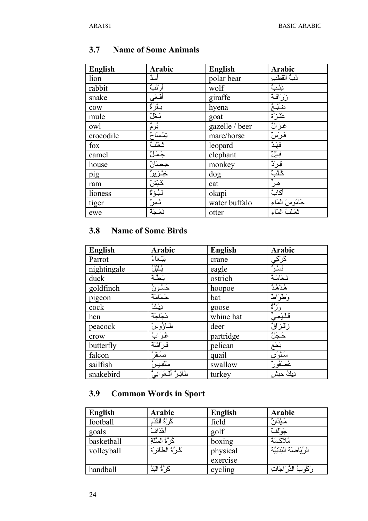| <b>English</b> | Arabic                            | <b>English</b> | Arabic                   |
|----------------|-----------------------------------|----------------|--------------------------|
| lion           | أسدٌ                              | polar bear     | دُبُّ القَطْبَ           |
| rabbit         | أرْنَبٌ                           | wolf           | ݩݑݔ                      |
| snake          | <u>أفْعَى</u>                     | giraffe        | <u>زَرَافَهُ</u>         |
| cow            | بَقَرَةٌ                          | hyena          | <u>ضَبْعٌ</u><br>عَذْزَة |
| mule           | بّغَلٌ                            | goat           |                          |
| owl            | ڹؙۛۅۛڋ                            | gazelle / beer | خَزَالٌ                  |
| crocodile      | تِمْسَاحٌ                         | mare/horse     | فَرَسٌ                   |
| fox            | تَعْلَبُ                          | leopard        | فَهْدٌ                   |
| camel          | جَمَلُ                            | elephant       | فِيلٌ                    |
| house          | <u>حِصَانٌ</u>                    | monkey         | قِرْدٌ                   |
| pig            | <u>ڂٟڷڒۑڔؙؔ</u><br>ػٙ <u>ڹۺ</u> ٞ | dog            | ػٙڷڹٞ                    |
| ram            |                                   | cat            | هِرٌّ                    |
| lioness        | لَبُوَّةٌ                         | okapi          | أكَابٌ                   |
| tiger          | نَمِرٌ<br>نَعْجَةٌ                | water buffalo  | جَامُوسُ الْمَاءِ        |
| ewe            |                                   | otter          | تَعْلَبُ المُاءِ         |

#### **Name of Some Animals**  $3.7$

#### **Name of Some Birds**  $3.8$

| <b>English</b> | Arabic                  | <b>English</b> | Arabic                  |
|----------------|-------------------------|----------------|-------------------------|
| Parrot         | بَيْغَاءُ               | crane          |                         |
| nightingale    | ڹؙڷڹؙڵ                  | eagle          | <u>ػٙڔ۠ػؚۑ</u><br>ؖڹؘۺۯ |
| duck           |                         | ostrich        | نَعَامَةٌ               |
| goldfinch      | َبَطَّةٌ<br>حَسُونُ     | hoopoe         | ۿؙۮۿؙڎۨ                 |
| pigeon         | حَمَامَةٌ               | bat            | وَطْوَاطُ               |
| cock           | ديلڭ                    | goose          | وزًة                    |
| hen            | دَجَاجَةٌ               | whine hat      | ڨ۫ڷڹۛ۫ۼؠٞۨٞ             |
| peacock        | <u>مْسَاؤُوسُ</u> ّ     | deer           | <u>زَقْزَاقٌ</u>        |
| crow           | ۼ۫رَابٌ                 | partridge      | حَجَلٌ                  |
| butterfly      | فَرَاشَةٌ               | pelican        | بَحَع                   |
| falcon         | صَقْرٌ                  | quail          | سَلْوَى                 |
| sailfish       | سَلَفِيسُ               | swallow        | عُصَنْفُورٌ             |
| snakebird      | طائِر ؒ أَفْعَوَ انِيٌّ | turkey         | دِيكُ حَبَشٍ            |

## 3.9 Common Words in Sport

| <b>English</b> | Arabic                             | <b>English</b> | Arabic                      |
|----------------|------------------------------------|----------------|-----------------------------|
| football       | كُرِّةُ ٱلْقَدَمِ                  | field          | مَبِّدَار <sup>.</sup> "    |
| goals          | أهْدَافُ                           | golf           | جَوْلُفُّ                   |
| basketball     | كُرِّةُ السَّلَّةِ                 | boxing         | مُلاَكَمَةٌ                 |
| volleyball     | كُرِّةُ الطَّأَئِر <sup>ِ</sup> ةِ | physical       | الرِّيَاضَةُ الْبَدَنِيَّةُ |
|                |                                    | exercise       |                             |
| handball       | كُرِ ٞةُ الْبَدِّ                  | cycling        | رُكُوبُ الدَّرَاجَاتِ       |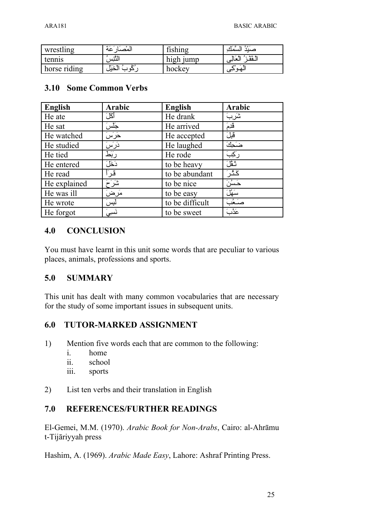| wrestling    | .<br>المصبار عه | fishing   | السمك               |
|--------------|-----------------|-----------|---------------------|
| tennis       | التّنِس         | high jump | الـقَفْرُ الْعَالِي |
| horse riding | الأيذال         | hockey    | الهوتي              |

### **3.10 Some Common Verbs**

| <b>English</b> | Arabic | <b>English</b>  | Arabic  |
|----------------|--------|-----------------|---------|
| He ate         | أكلَ   | He drank        | شَربَ   |
| He sat         | جَلسَ  | He arrived      | َقَدِمَ |
| He watched     | حَرَسَ | He accepted     | قَبِلَ  |
| He studied     | دَرَسَ | He laughed      | ضَحِكَ  |
| He tied        | ربَط   | He rode         | رکِبَ   |
| He entered     | دَخَلَ | to be heavy     | تَفْلَ  |
| He read        | ڤر     | to be abundant  | ػڎ۫ڔؘ   |
| He explained   | شَرَ َ | to be nice      | حَسُنَ  |
| He was ill     | مَرضَ  | to be easy      | سَهْلَ  |
| He wrote       | لبسَ   | to be difficult | صَحُبَ  |
| He forgot      | نَسِیَ | to be sweet     | عَدُٰبَ |

### **4.0 CONCLUSION**

You must have learnt in this unit some words that are peculiar to various places, animals, professions and sports.

### **5.0 SUMMARY**

This unit has dealt with many common vocabularies that are necessary for the study of some important issues in subsequent units.

### **6.0 TUTOR-MARKED ASSIGNMENT**

- 1) Mention five words each that are common to the following:
	- i. home
	- ii. school
	- iii. sports
- 2) List ten verbs and their translation in English

### **7.0 REFERENCES/FURTHER READINGS**

El-Gemei, M.M. (1970). *Arabic Book for Non-Arabs*, Cairo: al-Ahrāmu t-Tijāriyyah press

Hashim, A. (1969). *Arabic Made Easy*, Lahore: Ashraf Printing Press.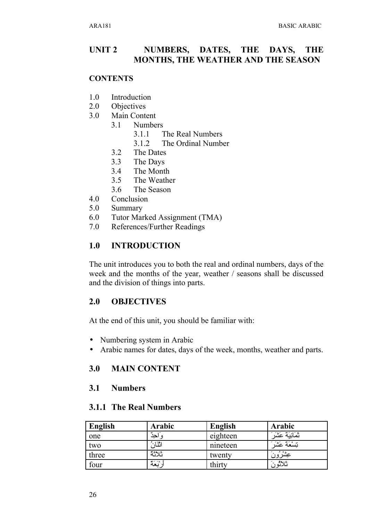#### UNIT<sub>2</sub> NUMBERS, DATES, THE DAYS, THE **MONTHS, THE WEATHER AND THE SEASON**

### **CONTENTS**

- $1.0$ Introduction
- $2.0$ **Objectives**
- $3.0$ Main Content
	- $3.1$ **Numbers** 
		- $311$ The Real Numbers
		- $3.1.2$ The Ordinal Number
	- $3.2$ The Dates
	- $3.3$ The Days
	- $3.4$ The Month
	- The Weather  $3.5$
	- The Season 36
- $4.0$ Conclusion
- $5.0$ Summary
- 6.0 Tutor Marked Assignment (TMA)
- 7.0 References/Further Readings

#### **INTRODUCTION**  $1.0$

The unit introduces you to both the real and ordinal numbers, days of the week and the months of the year, weather / seasons shall be discussed and the division of things into parts.

#### $2.0$ **OBJECTIVES**

At the end of this unit, you should be familiar with:

- Numbering system in Arabic
- Arabic names for dates, days of the week, months, weather and parts.

#### $3.0$ **MAIN CONTENT**

#### $3.1$ **Numbers**

### **3.1.1 The Real Numbers**

| English | Arabic           | <b>English</b> | Arabic                       |
|---------|------------------|----------------|------------------------------|
| one     |                  | eighteen       | ثَمَانِيَةَ عَشَرَ           |
| two     | اثنان            | nineteen       | インキン<br>تسعه عشد             |
| three   | ثلاثة            | twenty         | <sub>ح</sub> وه فر<br>عِشرور |
| four    | $2 - 20$<br>ربعه | thirty         | ألأثور                       |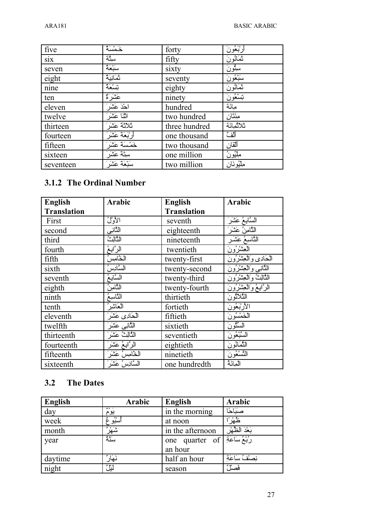| five      | خَمْسَةٌ        | forty         | أرْبَعُونَ  |
|-----------|-----------------|---------------|-------------|
| six       | ستِّة           | fifty         | ثَمَانُونَ  |
| seven     | سَبْعَةٌ        | sixty         | سِتُّونَ    |
| eight     | تَمَانِيَةٌ     | seventy       | سَبْعُونَ   |
| nine      | تِسْعَةٌ        | eighty        | ثَمَانُونَ  |
| ten       | عَشَرَ َّةٌ     | ninety        | تِسْعُونَ   |
| eleven    | آحْدَ عَشَرَ    | hundred       | ميائة       |
| twelve    | اثْنَا عَشَر    | two hundred   | مِئَنَّان   |
| thirteen  | ثلاثة عَثْىَرَ  | three hundred | تلاثمائة    |
| fourteen  | أرْبَعَةً عَشَر | one thousand  | ألف         |
| fifteen   | خَمْسَةَ عَشَرَ | two thousand  | ألفان       |
| sixteen   | سِتَةَ عَشَر    | one million   | مِلْيُونُ   |
| seventeen | سَبْعَةً عَشْرَ | two million   | مِلْيُونَان |

### **3.1.2 The Ordinal Number**

| <b>English</b>     | <b>Arabic</b>     | <b>English</b>     | <b>Arabic</b>             |
|--------------------|-------------------|--------------------|---------------------------|
| <b>Translation</b> |                   | <b>Translation</b> |                           |
| First              | الأول             | seventh            | السَّابِعُ عَشَرَ         |
| second             | النَّانِي         | eighteenth         | الثَّامِنُ عَشَر          |
| third              | الثالث            | nineteenth         | التَّاسِعُ عَشَـر         |
| fourth             | الرأبعُ           | twentieth          | العِثْنُرُونَ             |
| fifth              | الخّامِسُ         | twenty-first       | الحادي والعشرون           |
| sixth              | السَّادِسُ        | twenty-second      | الأانبي والعشرون          |
| seventh            | السَّابِعُ        | twenty-third       | الثالثُ وَالْعِشْرُونَ    |
| eighth             | الثّامينُ         | twenty-fourth      | الرَّابِعُ وَالْعِشْرُونَ |
| ninth              | التَّاسِعُ        | thirtieth          | النَّلاَثُو نَ            |
| tenth              | العَاشير          | fortieth           | الأرْبَعُونَ              |
| eleventh           | الكادى عَشَرَ     | fiftieth           | الْخَمْسُو نَ             |
| twelfth            | الثانبي عَشَرَ    | sixtieth           | السِّنُّو نَ              |
| thirteenth         | الثَّالِثُ عَشَر  | seventieth         | السَّبْعُونَ              |
| fourteenth         | الرَّابِعُ عَشَرَ | eightieth          | الثَّمَانُونَ             |
| fifteenth          | الخامسُ عَشَر     | ninetieth          | التَّسْعُونَ              |
| sixteenth          | السَّادِسُ عَشَرَ | one hundredth      | المائة                    |

### **3.2 The Dates**

| English | Arabic     | <b>English</b>                       | Arabic         |
|---------|------------|--------------------------------------|----------------|
| day     | 200<br>يوم | in the morning                       | صنَاحًا        |
| week    | أسُبُو ءٌ  | at noon                              | ڟۿۯۘٞ          |
| month   | ݰݞݱ        | in the afternoon                     | بَعْدَ الظُهْر |
| year    | سَنَّهُ    | one quarter of $\overrightarrow{sf}$ |                |
|         |            | an hour                              |                |
| daytime | نَهَارٌ    | half an hour                         | نصلفُ سَاعَةِ  |
| night   | ڵٙؾؙؚڷٞ    | season                               | فَصَلْ         |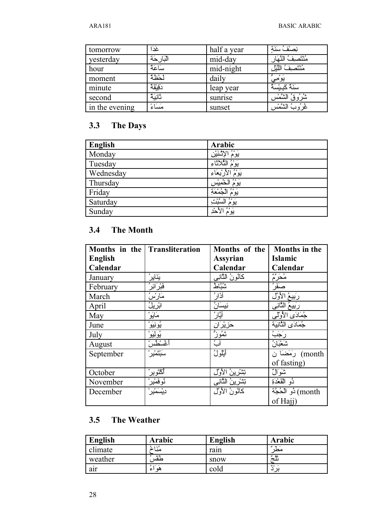| tomorrow       | غَدَا      | half a year | نصنْفُ سَنَة         |
|----------------|------------|-------------|----------------------|
| yesterday      | البَارحَة  | mid-day     | مُنْتَصِف            |
| hour           | سَاعَةٌ    | mid-night   | مُنْتَصف<br>اللَّيْل |
| moment         | لحظة       | daily       | يومي                 |
| minute         | دَقِيْقَةٌ | leap year   | سَنَةٌ كَسِسَةٌ      |
| second         | تَانِيَةٌ  | sunrise     | الشمس                |
| in the evening | مَسَاءً    | sunset      | الشَّمْس<br>عز و `   |

### **3.3 The Days**

| English   | <b>Arabic</b>                |
|-----------|------------------------------|
| Monday    | بَوْمُ الإِنْتَيْنِ          |
| Tuesday   | ۔ ہ و<br>الثُلاَنَاءِ<br>يوم |
| Wednesday | ۔ ہ و<br>لأربعاء<br>يوم      |
| Thursday  | ۔ ہ و<br>الخميس<br>يوم       |
| Friday    | جُمْعَةِ<br>يوم              |
| Saturday  | ر ه و<br>السَّبْدُ<br>يوم    |
| Sunday    | ۔ ہ و<br>لأحْدِ<br>يوم       |

### **3.4 The Month**

| Months in the Transliteration |                       | Months of the       | <b>Months in the</b>         |
|-------------------------------|-----------------------|---------------------|------------------------------|
| <b>English</b>                |                       | <b>Assyrian</b>     | Islamic                      |
| Calendar                      |                       | Calendar            | Calendar                     |
| January                       | يَنَايِرُ             | كَانُونُ النَّانِي  | مُعَرَّمٌ<br>مَعَرَّمٌ       |
| February                      | <u>فَبْرَ ائِر ُ</u>  | تثنثاط              |                              |
| March                         | مَارْسُ               | آڏار'               | <u>رَبِيعُ الأوَّل</u>       |
| April                         | ابْرِيلُ              | نيسَانُ             | رَبِيعُ الثَّانِي            |
| May                           | مَايَوْ               | أَيَّارُ            | جُمَادَى الأول <sub>ْك</sub> |
| June                          | ؽؙۅڹؽؘۅ۫              | <u>حَزِيْرَ ان</u>  | جُمَادَى الثَّانِبَة         |
| July                          | ؽؙؚۅڶۣؽؘؚۅ۠           | تَمُوزُّ            | رَجَبَ                       |
| August                        | أغْسْطُسْ             | آبُ                 | شَعْبَانُ                    |
| September                     | سَبْتَمْبِر           | أَيْلُولُ           | رَمَضَاً ن                   |
|                               |                       |                     | of fasting)                  |
| October                       | ٱػ۠ڷؘۅؠؚڔۛ            | نِشْرينُ الأوَّل    | شَوَالٌ                      |
| November                      | نُوفَ <i>م</i> ْبِر ُ | تِشْرِينُ الثَّانِي | دُو الْقَعْدَةِ              |
| December                      | <u>دی</u> ْسَمْیِر ْ  | كَأَنُونُ الأَوَّل  | month) ذُو الْحُجَّةَ        |
|                               |                       |                     | of Hajj)                     |

### **3.5 The Weather**

| English    | Arabic    | English | Arabic        |
|------------|-----------|---------|---------------|
| climate    | 2.13      | rain    | $\sim$<br>مطر |
| weather    | كحقس      | snow    | 24.95<br>نلج  |
| . .<br>air | هو<br>ا ع | cold    | 30<<br>برد    |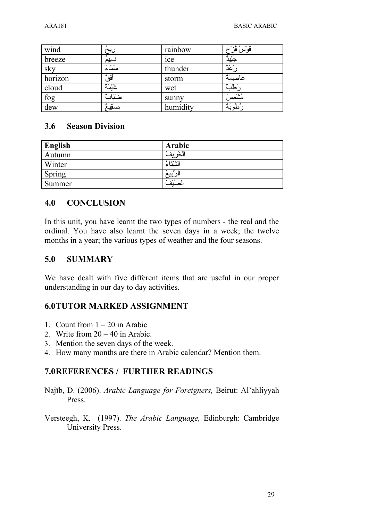| wind    | ريح      | rainbow  | قَوْسُ قُزَح            |
|---------|----------|----------|-------------------------|
| breeze  | نَسِيمُ  | ice      | جَلِيدٌ                 |
| sky     | سَمَاءُ  | thunder  | $\overline{\text{m}^2}$ |
| horizon | أَفْقُ   | storm    | عَاصِمَةٌ               |
| cloud   | غَيْمَةٌ | wet      | رَطَبُّ                 |
| fog     | ضَبَاد ٌ | sunny    | من<br>مشمسر             |
| dew     | صَقِيهُ  | humidity | ~ بې<br>طوبه            |

### **3.6 Season Division**

| <b>English</b> | Arabic           |
|----------------|------------------|
| Autumn         | ىە<br>حد<br>≂    |
| Winter         | ۱۵۰۰ میل<br>لسلا |
| Spring         | یب               |
| Summer         | يتء و<br>صننف    |

### **4.0 CONCLUSION**

In this unit, you have learnt the two types of numbers - the real and the ordinal. You have also learnt the seven days in a week; the twelve months in a year; the various types of weather and the four seasons.

### **5.0 SUMMARY**

We have dealt with five different items that are useful in our proper understanding in our day to day activities.

### **6.0TUTOR MARKED ASSIGNMENT**

- 1. Count from  $1 20$  in Arabic
- 2. Write from  $20 40$  in Arabic.
- 3. Mention the seven days of the week.
- 4. How many months are there in Arabic calendar? Mention them.

### **7.0REFERENCES / FURTHER READINGS**

- Najīb, D. (2006). *Arabic Language for Foreigners,* Beirut: Al'ahliyyah Press.
- Versteegh, K. (1997). *The Arabic Language,* Edinburgh: Cambridge University Press.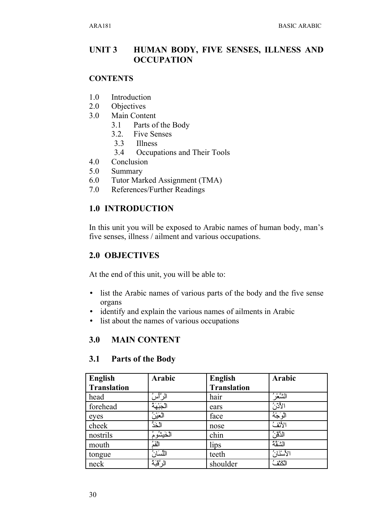### **UNIT 3** HUMAN BODY, FIVE SENSES, ILLNESS AND **OCCUPATION**

### **CONTENTS**

- $1.0$ Introduction
- $2.0$ **Objectives**
- $3.0$ Main Content
	- $3.1$ Parts of the Body
	- $3.2.$ **Five Senses**
	- $3.3$ **Illness**
	- $3.4$ Occupations and Their Tools
- 4.0 Conclusion
- 5.0 Summary
- 6.0 Tutor Marked Assignment (TMA)
- References/Further Readings 7.0

### **1.0 INTRODUCTION**

In this unit you will be exposed to Arabic names of human body, man's five senses, illness / ailment and various occupations.

### **2.0 OBJECTIVES**

At the end of this unit, you will be able to:

- list the Arabic names of various parts of the body and the five sense organs
- identify and explain the various names of ailments in Arabic
- list about the names of various occupations

#### $3.0$ **MAIN CONTENT**

| English<br><b>Translation</b> | Arabic       | <b>English</b><br><b>Translation</b> | Arabic    |
|-------------------------------|--------------|--------------------------------------|-----------|
| head                          | الرأسُّ      | hair                                 | الشُّعْرُ |
| forehead                      | الجَبْهَة    | ears                                 | الأدن     |
| eyes                          | العَيْنُ     | face                                 | الوَجْهُ  |
| cheek                         | الخَدُّ      | nose                                 | الأنفث    |
| nostrils                      | الخَيشُومُ   | chin                                 | الذَّقْنُ |
| mouth                         | الفَمُّ      | lips                                 | الشقة     |
| tongue                        | اللِّسَارِ ُ | teeth                                | الأسنّانُ |
| neck                          | الرَّقْبَةُ  | shoulder                             | الكثف     |

#### Parts of the Body  $3.1$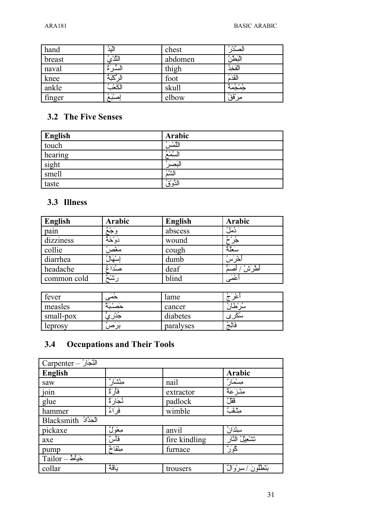| hand   | الْنَدُ      | chest   | نت ه فر<br>صد |
|--------|--------------|---------|---------------|
| breast | النَّدُى     | abdomen | البَطْنُ      |
| naval  | السد         | thigh   | الفخذ         |
| knee   | الْدُّكْنَةُ | foot    | القَدَّمُ     |
| ankle  | الكعد        | skull   | جُمْجُمَةُ    |
| finger | ۭڝڹؙۘ        | elbow   | مرْقَقُ       |

### 3.2 The Five Senses

| <b>English</b> | Arabic    |
|----------------|-----------|
| touch          | اللَّمْسُ |
| hearing        | السُّمْعُ |
| sight          | البَصَرُ  |
| smell          | الثنثة    |
| taste          | الذَّوْقُ |

### 3.3 Illness

| English     | Arabic         | <b>English</b> | Arabic        |
|-------------|----------------|----------------|---------------|
| pain        | $380 -$<br>وجه | abscess        | دُمَلُ        |
| dizziness   | دَوْخَهُ       | wound          | و ه و<br>جر ح |
| collie      | مَغْصر         | cough          | سَعْلَة       |
| diarrhea    | بسمهاا         | dumb           | ؙڂۛۯؘڛؙ       |
| headache    | صُدَاءٌ        | deaf           | ؙطرَش<br>صد   |
| common cold | ده *<br>سنح    | blind          | أعْمَى        |

| fever     | حم          | lame      | عد      |
|-----------|-------------|-----------|---------|
| measles   |             | cancer    | سد<br>∽ |
| small-pox |             | diabetes  |         |
| leprosy   | . .<br>برصر | paralyses | فالبج   |

#### **Occupations and Their Tools**  $3.4$

| Carpenter - النَّجَارُ              |           |               |                        |
|-------------------------------------|-----------|---------------|------------------------|
| <b>English</b>                      |           |               | Arabic                 |
| saw                                 | مشسار     | nail          | مسمّار                 |
| $\overline{\overline{\text{join}}}$ | فَأَرَ ةُ | extractor     | مِنْزَعَةٌ             |
| glue                                | نُجَارَةٌ | padlock       | قَقَلٌ                 |
| hammer                              | فَرْ أَءُ | wimble        | مِنْقَبٌ               |
| Blacksmith                          |           |               |                        |
| pickaxe                             | معولٌ     | anvil         | سِنْدَانُ              |
| axe                                 | فأسٌ      | fire kindling | تَتْنْعِيْلُ النَّار   |
| pump                                | مِنْفَاخٌ | furnace       | ݣُوَرٌ                 |
| Tailor – حَيَاط                     |           |               |                        |
| collar                              | بَاقَهُ   | trousers      | بَنْطْلُونَ /سِرْوَالٌ |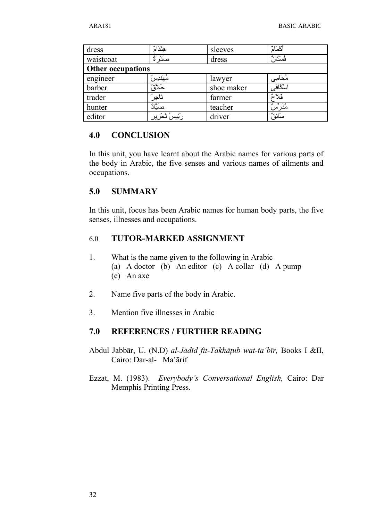| dress                    | هِنْدَاهُ          | sleeves    | أكمام     |
|--------------------------|--------------------|------------|-----------|
| waistcoat                | صدر ہ              | dress      | فُسْتَارُ |
| <b>Other occupations</b> |                    |            |           |
| engineer                 | مُهَندِس           | lawyer     | مُحَامِى  |
| barber                   | حَلأَوٌ            | shoe maker | اسْكَافِي |
| trader                   | تاجر               | farmer     | فلا-      |
| hunter                   | صَيَّادٌ           | teacher    | مُدَرِّسٌ |
| editor                   | رَنِّيسُ تَحْرِيرِ | driver     | سَائِقٌّ  |

### **4.0 CONCLUSION**

In this unit, you have learnt about the Arabic names for various parts of the body in Arabic, the five senses and various names of ailments and occupations.

### **5.0 SUMMARY**

In this unit, focus has been Arabic names for human body parts, the five senses, illnesses and occupations.

### 6.0 **TUTOR-MARKED ASSIGNMENT**

- 1. What is the name given to the following in Arabic (a) A doctor (b) An editor (c) A collar (d) A pump (e) An axe
- 2. Name five parts of the body in Arabic.
- 3. Mention five illnesses in Arabic

### **7.0 REFERENCES / FURTHER READING**

- Abdul Jabbār, U. (N.D) *al-Jadīd fit-Takhāţub wat-ta'bīr,* Books I &II, Cairo: Dar-al- Ma'ārif
- Ezzat, M. (1983). *Everybody's Conversational English,* Cairo: Dar Memphis Printing Press.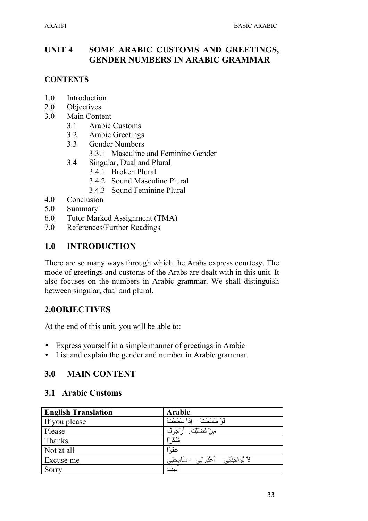### **UNIT 4 SOME ARABIC CUSTOMS AND GREETINGS, GENDER NUMBERS IN ARABIC GRAMMAR**

### **CONTENTS**

- 1.0 Introduction
- 2.0 Objectives
- 3.0 Main Content
	- 3.1 Arabic Customs
	- 3.2 Arabic Greetings
	- 3.3 Gender Numbers
		- 3.3.1 Masculine and Feminine Gender
	- 3.4 Singular, Dual and Plural
		- 3.4.1 Broken Plural
		- 3.4.2 Sound Masculine Plural
		- 3.4.3 Sound Feminine Plural
- 4.0 Conclusion
- 5.0 Summary
- 6.0 Tutor Marked Assignment (TMA)
- 7.0 References/Further Readings

### **1.0 INTRODUCTION**

There are so many ways through which the Arabs express courtesy. The mode of greetings and customs of the Arabs are dealt with in this unit. It also focuses on the numbers in Arabic grammar. We shall distinguish between singular, dual and plural.

### **2.0OBJECTIVES**

At the end of this unit, you will be able to:

- Express yourself in a simple manner of greetings in Arabic
- List and explain the gender and number in Arabic grammar.

### **3.0 MAIN CONTENT**

### **3.1 Arabic Customs**

| <b>English Translation</b> | Arabic                                      |
|----------------------------|---------------------------------------------|
| If you please              | لْهِ ْ سَمَحْتَ _ اذا سَمَحْتَ              |
| Please                     | مِنْ فَضلَٰكَ ِ<br>أرْجُوكَ                 |
| Thanks                     | شكرً                                        |
| Not at all                 | عَقْوَ                                      |
| Excuse me                  | لاَ نُؤَاخِذْنِي ۔ أَعْذِرْنِي ۔ سَامِحْنِي |
| Sorry                      | أسيف                                        |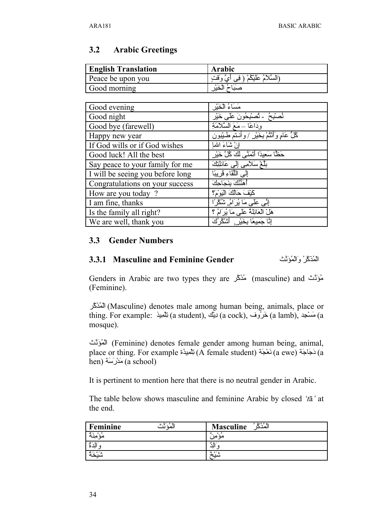### **3.2 Arabic Greetings**

| <b>English Translation</b> | <b>Arabic</b>                                  |
|----------------------------|------------------------------------------------|
| Peace be upon you          | (السَّلامُ عَلَيْكُمْ ( فِي أ<br>ِ ایٌ وَقِّفَ |
| Good morning               |                                                |

| Good evening                     | مَسَاءُ الْخَيْرِ                               |
|----------------------------------|-------------------------------------------------|
| Good night                       | نُصْبُحُ - نُصْبُحُونَ عَلَى خَيْرِ             |
| Good bye (farewell)              | وِدَاعًا ـ مَعَ السَّلَامَةِ                    |
| Happy new year                   | ݣْلُ عَامٍ وَأَنْثُمْ بِخَيْرٍ /وأنتم طَيِّبُون |
| If God wills or if God wishes    | إِنْ شَاءَ اللها                                |
| Good luck! All the best          | حَظًّا سَعِيدًا أَتَمَنَّى لَكَ كُلَّ خَيْرٍ    |
| Say peace to your family for me  | بِلِّعْ سَلامِي إِلَى عَائِلِتِكَ               |
| I will be seeing you before long | إِلَى اللَّقَاءِ قَرِيبًا                       |
| Congratulations on your success  | أهنِّنُكَ بنَجَاجِكَ                            |
| How are you today?               | كَيْفَ حَالُكَ الْيَوْمَ؟                       |
| I am fine, thanks                | إِنِّي عَلَى مَا يُرَامُ, شُكْرًا               |
| Is the family all right?         | هَلْ الْعَائِلَةُ عَلَى مَا يُرَامُ ؟           |
| We are well, thank you           | إِنَّا جَمِيعًا بِخَيْرٍ ۗ أَشْكُرُكَ           |

### **3.3 Gender Numbers**

### **3.3.1 Masculine and Feminine Gender** ثUنVؤQمSالVو QرUكVذQمSال

Genders in Arabic are two types they are مُؤَنَّث (masculine) and مُؤَنَّث (Feminine).

لَمُذَكَّر) (Masculine) denotes male among human being, animals, place or thing. For example: يَمْكِيْنِ (a student), كَيْرُوف (a cock), كيبان (a lamb), مَسْجِد) a cock) a lamb mosque).

لْمُؤَنَّث) (Feminine) denotes female gender among human being, animal, place or thing. For example تَجَاجَة (A female student) تِلْمِيدُة (a ewe) المَجَاجَة (a ewe)  $a$ hen) مَدْرَسَة (a school)

It is pertinent to mention here that there is no neutral gender in Arabic.

The table below shows masculine and feminine Arabic by closed *'t*ā*'* at the end.

| Feminine<br>المه        | ، ۵ ۶ ۹ ست<br><b>Masculine</b><br>المدحا |
|-------------------------|------------------------------------------|
| مه                      | <u>مر</u><br>مه                          |
| $\sim$                  | <b>ALC 1999</b><br>יע                    |
| $0<\epsilon$<br>$\cdot$ | 2.015<br>7.11                            |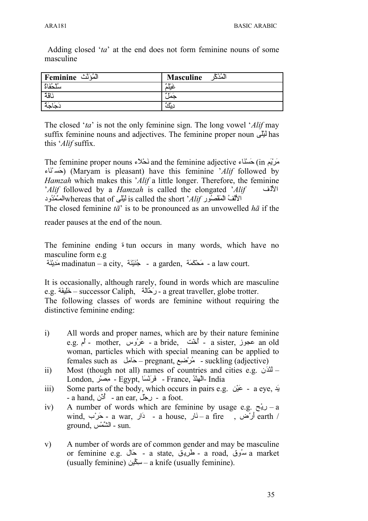Adding closed '*ta*' at the end does not form feminine nouns of some masculine

| الْمُهُ نَّد<br>Feminine<br>÷ | ه ۶ مت<br><b>Masculine</b>              |
|-------------------------------|-----------------------------------------|
| سُلْحُفَاةٌ                   | $340 -$<br>عىلم                         |
| نَاقَهُ                       | $\sim$ $\sim$ $\sim$<br>جمر             |
| ~ يې                          | ە 19.<br>د،<br>$\overline{\phantom{a}}$ |

The closed '*ta*' is not the only feminine sign. The long vowel '*Alif* may suffix feminine nouns and adjectives. The feminine proper noun  $\mathcal{L}$  has this '*Alif* suffix.

The feminine proper nouns نَحْلاًء and the feminine adjective اسَتَاء The feminine proper nouns اءVنS سVح) (Maryam is pleasant) have this feminine '*Alif* followed by *Hamzah* which makes this '*Alif* a little longer. Therefore, the feminine '*Alif* followed by a *Hamzah* is called the elongated '*Alif*  $\blacksquare$ الألفُ المَقْصُورِ is called the short '*Alif* المَعْدُود is called the short'

The closed feminine *tā*' is to be pronounced as an unvowelled *hā* if the

reader pauses at the end of the noun.

The feminine ending ة tun occurs in many words, which have no masculine form e.g

ة - جُنَيْنَة madinatun – a city, جُنَيْنَة - a garden, مَدِيْنَة - a law court.

It is occasionally, although rarely, found in words which are masculine e.g. خَلِيفَة – successor Caliph, وَحَالَة – a great traveller, globe trotter.

The following classes of words are feminine without requiring the distinctive feminine ending:

- i) All words and proper names, which are by their nature feminine e.g. مجوز - a bride, عَرُوس - a sister, عَرُوس - mother, أم woman, particles which with special meaning can be applied to females such as لaامVح – pregnant, عaضSرQم - suckling (adjective)
- ii) Most (though not all) names of countries and cities e.g.  $\mathcal{L}$ London, - فَرَنْسَا - Egypt, فَرَنْسَا - France, مِصْر
- iii) Some parts of the body, which occurs in pairs e.g. بَدِّ a eye, ديكي a eye, د - a hand, أَدْن - an ear, دجل - a foot.
- iv) A number of words which are feminine by usage e.g.  $\zeta$ ي a wind, أرخن - a war, أرحم - a house, أرض - a fire , أرض - a fire - ذكر ground, الشَّمْس - sun.
- v) A number of words are of common gender and may be masculine or feminine e.g. الحريق - a state, عَال - a road, سُوق a market (usually feminine) سِكِّيْن—a knife (usually feminine).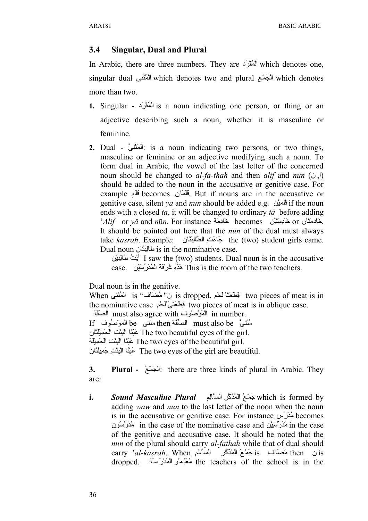### **3.4 Singular, Dual and Plural**

In Arabic, there are three numbers. They are الْمُغْرَبَ which denotes one, singular dual الْبَعْد which denotes two and plural المُئتَنَى which denotes more than two.

- **1.** Singular أَلْمُقْرَد is a noun indicating one person, or thing or an adjective describing such a noun, whether it is masculine or feminine.
- **2.** Dual الْمُنْتَىّ: is a noun indicating two persons, or two things, masculine or feminine or an adjective modifying such a noun. To form dual in Arabic, the vowel of the last letter of the concerned noun should be changed to *al-fa-thah* and then *alif* and *nun* (ن ,ا( should be added to the noun in the accusative or genitive case. For example فَلَم becomes  $\Delta$ قاهاند becomes وانV But if nouns are in the accusative or genitive case, silent *ya* and *nun* should be added e.g. نقل if the noun ends with a closed *ta*, it will be changed to ordinary *tā* before adding '*Alif* or *vā* and *n*ū*n*. For instance خَادِمَة becomes نحَادِمَتَيْن if and nūn. For instance خَادِمَتَيْن It should be pointed out here that the *nun* of the dual must always take *kasrah*. Example: أَبَاءَتْ الطَّالِبَتَان atake *kasrah*. Example: جَاءَتْ الطَّالِبَتَان Dual noun الحاليّتَان is in the nominative case.

لَيْتُ طَالِبَيْن I saw the (two) students. Dual noun is in the accusative case. نَذُهِ غُرِ قَهُ الْمُدَرِّسِيْن case. مَنْ قَوْمِ غُرِّفَةُ الْمُدَرِّسِيْن

Dual noun is in the genitive.

When نِ" مُضَافٍ" is dropped. فِطْعَتَا لَحْم s dropped. فِيَا الْمُنْتَى When الْمُنْتَى the nominative case فِطْعَتَى َلْحُم two pieces of meat is in oblique case. must also agree with المَوْصُوف must also agree with المسكّفة

If وفَتَتَ مثَّتَ be الصَّفَة then الصَّفَة then مثَّتَى be المَوْصُوف

انَ The two beautiful eyes of the girl.

قِينَا الْبِنْتِ الْجَمِيلَة The two eyes of the beautiful girl.

انَ تَبَيْنَا الْبِنْتِ جَمِيلَتَان The two eyes of the girl are beautiful.

**3. Plural -** الْجَمْعُ: there are three kinds of plural in Arabic. They are:

i. *Sound Masculine Plural* مَصْغُ الْعُنْكَرِ السَّالِم **i**s Sound Masculine Plural adding *waw* and *nun* to the last letter of the noon when the noun is in the accusative or genitive case. For instance  $\omega\tilde{\omega}$  becomes ونQس¤رVدQم in the case of the nominative case and نSيaس¤رVدQم in the case of the genitive and accusative case. It should be noted that the *nun* of the plural should carry *al*-*fathah* while that of dual should carry '*al-kasrah*. When مُضاف is جَمْعُ الْمُذَكَّرِ السَّالِم dropped. مُعَلِّمُو الْمَدْرَسَة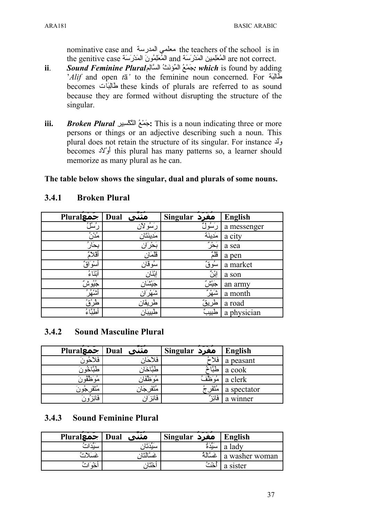nominative case and معلمى المدرسة the teachers of the school is in the genitive case المُعَلِّمِين المَدْرَسَة and المُعْلِمُونَ المَدْرَسَة the genitive case

- Sound Feminine Plural الْمَوْنَتْ السَّالِم Sound Feminine Plural ii. 'Alif and open tā' to the feminine noun concerned. For خالبة becomes طَالِبَاْت these kinds of plurals are referred to as sound because they are formed without disrupting the structure of the singular.
- Broken Plural : جَمْعُ النَّكْسِيرِ Fhis is a noun indicating three or more iii. persons or things or an adjective describing such a noun. This plural does not retain the structure of its singular. For instance  $\mathcal{N}_2$ becomes  $\sqrt[3]{t}$  this plural has many patterns so, a learner should memorize as many plural as he can.

### The table below shows the singular, dual and plurals of some nouns.

| Plurale -          | مُثَنَّى<br>Dual | Singular<br>مفرد | <b>English</b> |
|--------------------|------------------|------------------|----------------|
| رَسُلُ             | رَسُولان         | ۱۰ سول           | a messenger    |
| مَدْنُ             | مَدِينَتَانِ     | مَدِينَة         | a city         |
| بجَار              | بَحْرَان         | ڹۜۮڒؙ            | a sea          |
| أقلام              | قلمَان           | قُلْمٌ           | a pen          |
| أسوَّاقٌ           | سُوڤان           | سُوقٌ            | a market       |
| أبْنَاءُ           | إيثان            | ٳۑ۠ڹؙ            | a son          |
| <u>جُيُوشٌ</u>     | جَيْشَـار        | <u>جَيْشٌ</u>    | an army        |
| أتننهُنُ           | شَهْرَان         | ݰݞݱ              | a month        |
| <del>طُر</del> ُقُ | طريقان           | طَرِيقٌ          | a road         |
| أطِبَّاءُ          | طبيبار           | طبيب             | a physician    |

#### $3.4.1$ **Broken Plural**

#### **Sound Masculine Plural**  $3.4.2$

| <b>Plural احمع Plural</b> | ີ<br>مثنيي     | مفرد Singular     | <b>English</b> |
|---------------------------|----------------|-------------------|----------------|
| فلأحور                    | فلأحان         | فُلاَ             | a peasant      |
|                           |                | $1 - 1$           | a cook         |
| مه طقه                    | امو طف         | و ۔ بہتر<br>مو ظف | a clerk        |
| <sup>ا</sup> مُثَّفَرجوں  | وپيه<br>منفرجي | ُ گُفَّل <i>ب</i> | a spectator    |
| فَائِز ٰ                  | فَائِز         | فَانَن ُ          | a winner       |

#### **Sound Feminine Plural**  $3.4.3$

| Dual   جَمَعِPlural | ᢍᡔ<br>مثنيي | مفرد Singular   | English        |
|---------------------|-------------|-----------------|----------------|
| سىد                 | سىد         | ر یو رو<br>سىدە | a lady         |
| غسكلا               | عسالا       | غسَّالة         | a washer woman |
|                     | .150.<br>حد | .               | a sister       |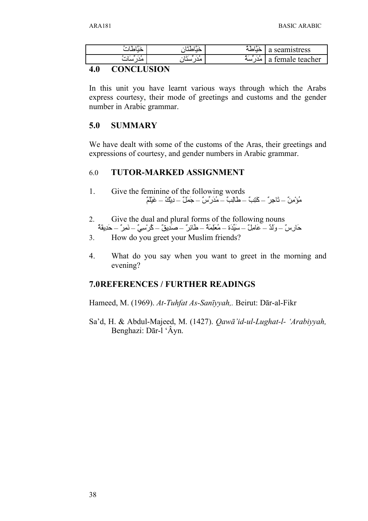| سن به<br>$\rightarrow$ | $\sim$<br>سنت په | مقته<br>$\sim$<br>صه | seamistress<br>u |
|------------------------|------------------|----------------------|------------------|
| ر س<br>سات<br>مدا      | و بر س<br>سىدار  | و بـ یو بـ م<br>سە   | temale teacher   |

### **4.0 CONCLUSION**

In this unit you have learnt various ways through which the Arabs express courtesy, their mode of greetings and customs and the gender number in Arabic grammar.

### **5.0 SUMMARY**

We have dealt with some of the customs of the Aras, their greetings and expressions of courtesy, and gender numbers in Arabic grammar.

### 6.0 **TUTOR-MARKED ASSIGNMENT**

- 1. Give the feminine of the following words مُؤْمِنٌ – تَاجِرٍ ٌ – كَتِبٌ – طالِبٌ – مُدَرٍ ِّسٌ – جَمَلٌ – دِيْكٌ – غَيْلَمٌ
- 2. Give the dual and plural forms of the following nouns حَارِسٌ – ولَدٌ – عَامِلٌ – سَيِّدَة – مُعَلِّمَةٌ – طَائِرٌ" – صَدِيقٌ – كُرِ سِيٍّ – نَمِرٌ – حَدِيقَةٌ
- 3. How do you greet your Muslim friends?
- 4. What do you say when you want to greet in the morning and evening?

### **7.0REFERENCES / FURTHER READINGS**

Hameed, M. (1969). *At-Tuhfat As-Sanīyyah,.* Beirut: Dār-al-Fikr

Sa'd, H. & Abdul-Majeed, M. (1427). *Qawā'id-ul-Lughat-l- 'Arabiyyah,* Benghazi: Dār-l 'Âyn.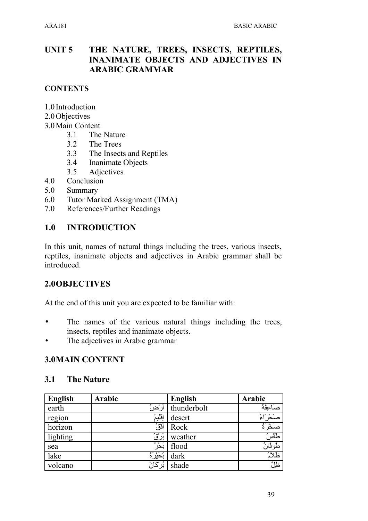### **UNIT 5 THE NATURE, TREES, INSECTS, REPTILES, INANIMATE OBJECTS AND ADJECTIVES IN ARABIC GRAMMAR**

### **CONTENTS**

- 1.0 Introduction
- 2.0Objectives
- 3.0Main Content
	- 3.1 The Nature
	- 3.2 The Trees
	- 3.3 The Insects and Reptiles
	- 3.4 Inanimate Objects
	- 3.5 Adjectives
- 4.0 Conclusion
- 5.0 Summary
- 6.0 Tutor Marked Assignment (TMA)
- 7.0 References/Further Readings

### **1.0 INTRODUCTION**

In this unit, names of natural things including the trees, various insects, reptiles, inanimate objects and adjectives in Arabic grammar shall be introduced.

### **2.0OBJECTIVES**

At the end of this unit you are expected to be familiar with:

- The names of the various natural things including the trees, insects, reptiles and inanimate objects.
- The adjectives in Arabic grammar

### **3.0MAIN CONTENT**

### **3.1 The Nature**

| <b>English</b> | <b>Arabic</b> | <b>English</b> | <b>Arabic</b>   |
|----------------|---------------|----------------|-----------------|
| earth          | أرْضُ         | thunderbolt    | صَاعِقَهُ       |
| region         | إقليمُ        | desert         | ا ع             |
| horizon        | أفقُ          | Rock           | صَخْرَةُ        |
| lighting       | ؘڹۜڗؙۛڨؙ      | weather        | طَقْسُ          |
| sea            | بَدْرُ        | flood          | <u>طُوفَانُ</u> |
| lake           | بُحَيْرَةُ    | dark           | ظلأة            |
| volcano        | بُرْكَانُ     | shade          | ؘڟؚڶٞ           |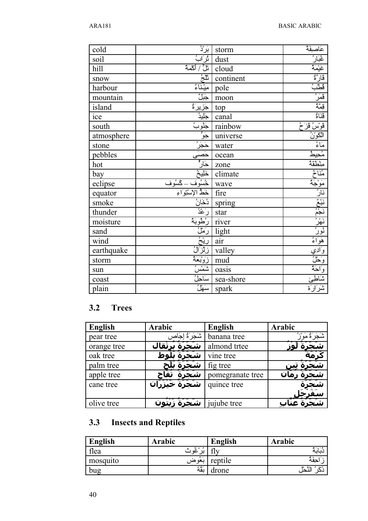| cold       | $\ddot{\mathbf{u}}$ بَرْدُ                                                                                                                                                                                                                                                                               | storm                                                     | عَاصِفِهٔ                                                                                     |
|------------|----------------------------------------------------------------------------------------------------------------------------------------------------------------------------------------------------------------------------------------------------------------------------------------------------------|-----------------------------------------------------------|-----------------------------------------------------------------------------------------------|
| soil       | ثَرَابُ<br>تَلَّ / أَكْمَةٌ                                                                                                                                                                                                                                                                              | dust                                                      |                                                                                               |
| hill       |                                                                                                                                                                                                                                                                                                          | cloud                                                     | <u>غُبَارُ :</u><br>غَيْمَةُ :<br>قَارَةٌ :<br>قَدَمٌ :<br>قَدَّةٌ :<br>قَدَمُ :<br>قَدَّةٌ : |
| snow       | أثلجُ<br>اللجُ                                                                                                                                                                                                                                                                                           | continent                                                 |                                                                                               |
| harbour    |                                                                                                                                                                                                                                                                                                          |                                                           |                                                                                               |
| mountain   |                                                                                                                                                                                                                                                                                                          |                                                           |                                                                                               |
| island     |                                                                                                                                                                                                                                                                                                          |                                                           |                                                                                               |
| ice        |                                                                                                                                                                                                                                                                                                          |                                                           |                                                                                               |
| south      |                                                                                                                                                                                                                                                                                                          |                                                           |                                                                                               |
| atmosphere |                                                                                                                                                                                                                                                                                                          |                                                           |                                                                                               |
| stone      |                                                                                                                                                                                                                                                                                                          |                                                           |                                                                                               |
| pebbles    |                                                                                                                                                                                                                                                                                                          |                                                           |                                                                                               |
| hot        |                                                                                                                                                                                                                                                                                                          |                                                           |                                                                                               |
|            |                                                                                                                                                                                                                                                                                                          |                                                           |                                                                                               |
| bay        |                                                                                                                                                                                                                                                                                                          |                                                           |                                                                                               |
| eclipse    |                                                                                                                                                                                                                                                                                                          |                                                           |                                                                                               |
| equator    |                                                                                                                                                                                                                                                                                                          |                                                           |                                                                                               |
| smoke      |                                                                                                                                                                                                                                                                                                          |                                                           |                                                                                               |
| thunder    |                                                                                                                                                                                                                                                                                                          | star                                                      |                                                                                               |
| moisture   | oution<br>pole<br>informal<br>informal<br>informal<br>informal<br>informal<br>informal<br>informal<br>informal<br>informal<br>informal<br>informal<br>informal<br>informal<br>informal<br>informal<br>informal<br>informal<br>informal<br>informal<br>informal<br>informal<br>informal<br>informal<br>in | river                                                     |                                                                                               |
| sand       |                                                                                                                                                                                                                                                                                                          |                                                           |                                                                                               |
| wind       |                                                                                                                                                                                                                                                                                                          | light<br>air                                              |                                                                                               |
| earthquake |                                                                                                                                                                                                                                                                                                          | valley                                                    |                                                                                               |
| storm      | <u>احتال</u><br>رَعْدُ الْمَوْبَهُ<br>رَبِّيْنَ الْمَوْبَهُ<br>الْمَوْبَانِ                                                                                                                                                                                                                              |                                                           |                                                                                               |
| sun        |                                                                                                                                                                                                                                                                                                          |                                                           |                                                                                               |
| coast      | سَهْلُ                                                                                                                                                                                                                                                                                                   | rancy<br>ind<br>in loasis<br>in sea-shore<br>in sea-shore | <u>شاطئ</u><br>شاطئ                                                                           |

## **3.2 Trees**

| <b>English</b> | Arabic                            | <b>English</b>   | <b>Arabic</b> |
|----------------|-----------------------------------|------------------|---------------|
| pear tree      | شَجَرَةُ لِجَا                    | banana tree      |               |
| orange tree    |                                   | almond trtee     |               |
| oak tree       |                                   | vine tree        |               |
| palm tree      |                                   | fig tree         |               |
| apple tree     | تفا<br>شح                         | pomegranate tree |               |
| cane tree      | شَ <del>جَرَةُ خَبْزَرَ</del> انَ | quince tree      |               |
|                |                                   |                  |               |
| olive tree     |                                   | ujube tree       |               |

## **3.3 Insects and Reptiles**

| English  | Arabic             | English | Arabic                     |
|----------|--------------------|---------|----------------------------|
| flea     | ۶ ه<br>൶           |         |                            |
| mosquito | $\sim$<br>نعو صر ، | reptile | حفه                        |
| bug      | سملة مد<br>ىقە     | drone   | $\bullet$<br>જ્. ક<br>لنحا |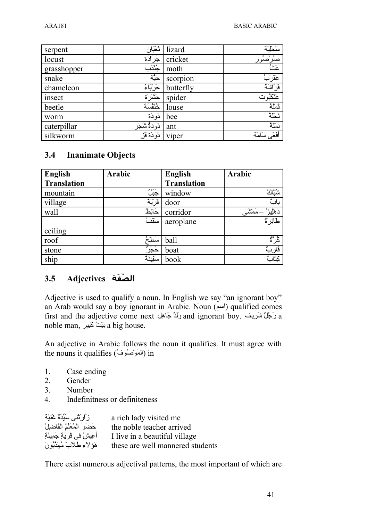| serpent     | ثغْبَان        | lizard    | سَحْلِيَة                     |
|-------------|----------------|-----------|-------------------------------|
| locust      | جَرَادَة       | cricket   | صُرْصُوْر                     |
| grasshopper | جُثْدُب        | moth      | عَثٌ                          |
| snake       | حَيَّة         | scorpion  | عَقْرَبُ                      |
| chameleon   | حَرْبَاءُ      | butterfly | فَرَاشَهُ                     |
| insect      | حَشَرَ َة      | spider    | <u>عَنْكَبُوت</u><br>قَمْلَةُ |
| beetle      | خنفسة          | louse     |                               |
| worm        | دُو دَة        | bee       | نَحْلَهُ                      |
| caterpillar | دُودَةٌ شَجَرَ | ant       | نَمْلَهُ                      |
| silkworm    | دُودَة قَز     | viper     | أفمعَى سَامَة                 |

### **3.4 Inanimate Objects**

| <b>English</b>     | <b>Arabic</b>  | <b>English</b>     | Arabic            |
|--------------------|----------------|--------------------|-------------------|
| <b>Translation</b> |                | <b>Translation</b> |                   |
| mountain           | جَبَلٌ         | window             | ستاڭ              |
| village            | قَرْيَةٌ       | door               |                   |
| wall               | حَائِطُ        | corridor           | مَمْشَى<br>ؘۿڷؽۯؙ |
|                    | $\frac{1}{2}$  | aeroplane          | طائِر َةٌ         |
| ceiling            |                |                    |                   |
| roof               | سَطَّ          | ball               | ڴڒٞ <sup>ٷ</sup>  |
| stone              | $x - 1$<br>حجر | boat               | ڦاربٌ             |
| ship               | سَفِينَهُ      | book               | كِتَابٌ           |

### **الصLف ة Adjectives 3.5**

Adjective is used to qualify a noun. In English we say "an ignorant boy" an Arab would say a boy ignorant in Arabic. Noun (اسم) qualified comes first and the adjective come next وَلَدٌ جَاهِل and ignorant boy. وَجُلٌ شَرِيف  $a$ noble man, بَيْتٌ كَبِير a big house.

An adjective in Arabic follows the noun it qualifies. It must agree with the nouns it qualifies (المَوْصُوف) in

- 1. Case ending
- 2. Gender
- 3. Number
- 4. Indefinitness or definiteness

| زَ ارتَّنِي سَيِّدَةٌ غَنِيَّة   | a rich lady visited me           |
|----------------------------------|----------------------------------|
| حَضَرَ الْمُعَلِّمُ الْفَاضْلِلُ | the noble teacher arrived        |
| أُعِيشُ في قَرِيَةِ جَمِيلَةِ    | I live in a beautiful village    |
| هَوَ لاءِ طُلابٌ مُهَدَّبُونَ    | these are well mannered students |

There exist numerous adjectival patterns, the most important of which are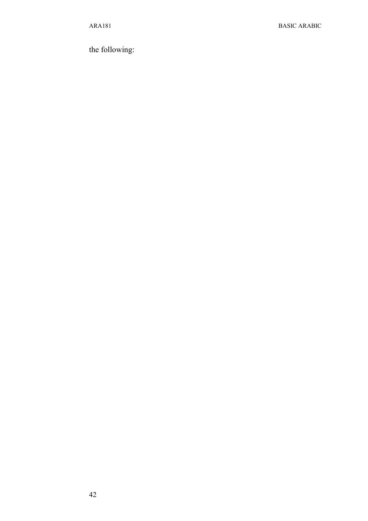the following: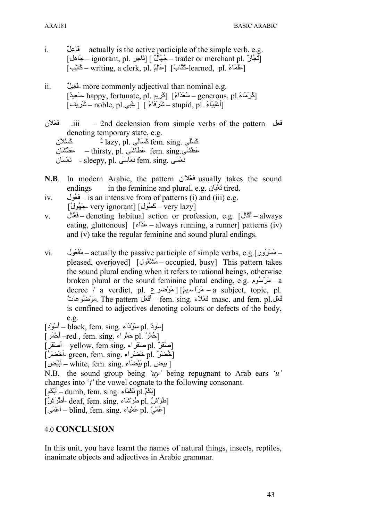- i. **actually is the active participle of the simple verb. e.g.**  $\lceil \frac{1}{2}\rangle$ جُّأَلٌ ]  $\lceil \frac{1}{2}\rangle$ تَجَارُ .j $\lceil \frac{1}{2}\rangle$  – trader or merchant pl. آثْجَار  $\bar{\text{Permiting}}$ , a clerk, pl. حَالِمٌ [earned, pl. حَالِبٌ =
- ii. فَعِيلٌ more commonly adjectival than nominal e.g.  $[$ كُرِمَاءُ happy, fortunate, pl. إِلَى اللهِ – generous, pl.  $\left[1 + \frac{1}{2} \sin \theta + \frac{1}{2} \sin \theta\right]$ اغْيِيَاءُ) – stupid, pl. أغْنِيَاءُ
- نVلSعVف .iii 2nd declension from simple verbs of the pattern لaعVف denoting temporary state, e.g. كَسْلَى  $\log_{10}p$ . كَسَلان fem. sing. كَسْلان عَطْشَى fem. sing. عَطْسْنَان – thirsty, pl. عَطْشَان انَعْسَى fem. sing. نَعْسَى fem. sing. - لَعْسَان
- **N.B**. In modern Arabic, the pattern نَعْلان usually takes the sound endings in the feminine and plural, e.g. انتعبَّان
- iv. فَعُول is an intensive from of patterns (i) and (iii) e.g. [very ignorant] – كَسُول very ignorant] -جَهُولُ
- v. الUعVف denoting habitual action or profession, e.g. [الUكVأ always eating, gluttonous] [مَذَاء] – always running, a runner] patterns (iv) and (v) take the regular feminine and sound plural endings.
- vi. مَسْرُورٍ actually the passive participle of simple verbs, e.g. مَقْعُول pleased, overjoyed] [مَشْغُول] – occupied, busy] This pattern takes the sound plural ending when it refers to rational beings, otherwise broken plural or the sound feminine plural ending, e.g.  $\alpha$  $\rightarrow$  – a decree / a verdict, pl. عَرَاسَيمُ] [ مَوْضوع – a subject, topic, pl. فعلْ.masc. and fem. pl فَعْلاء fem. sing. أَفْعَلْ The pattern مَوْضُوعاتٌ is confined to adjectives denoting colours or defects of the body, e.g.
- $\lceil -\frac{1}{2} \ln \frac{1}{\cosh \theta} \frac{1}{2} \ln \cosh \theta \rceil$ سُودَ
- $\overline{C}$  حَمْرُ أَبِي –red , fem. sing. أَحْمَرُ  $\overline{D}$
- $\sim$  vellow, fem sing. اصْغَر pl. [صَفَر
- $\left[ \right]$ خُضْرٌ green, fem. sing. أَخْضَرُ
- $\lceil$ بِيض . white, fem. sing. ابْيَض pl. ابْيَض

N.B. the sound group being *'uy'* being repugnant to Arab ears *'u'* changes into '*i'* the vowel cognate to the following consonant.

- $\left[\right]$  dumb, fem. sing. ابْكُمْ pl. أَبْكَم
- $\vec{p}$ [طُرِيْشُ pl. أطْرِيَشُ] deaf, fem. sing. -أطْرِيشُ

 $\bar{p}$ ] – أعْمَى – blind, fem. sing. إينه عملياء  $\bar{p}$ 

### 4.0 **CONCLUSION**

In this unit, you have learnt the names of natural things, insects, reptiles, inanimate objects and adjectives in Arabic grammar.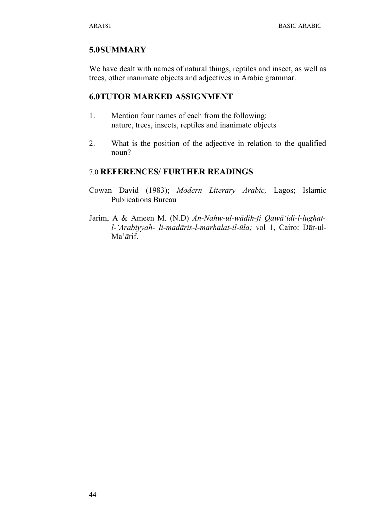### **5.0SUMMARY**

We have dealt with names of natural things, reptiles and insect, as well as trees, other inanimate objects and adjectives in Arabic grammar.

### **6.0TUTOR MARKED ASSIGNMENT**

- 1. Mention four names of each from the following: nature, trees, insects, reptiles and inanimate objects
- 2. What is the position of the adjective in relation to the qualified noun?

### 7.0 **REFERENCES/ FURTHER READINGS**

- Cowan David (1983); *Modern Literary Arabic,* Lagos; Islamic Publications Bureau
- Jarim, A & Ameen M. (N.D) *An-Nahw-ul-wādih-fi Qawā'idi-l-lughatl-'Arabiyyah- li-madāris-l-marhalat-il-ūla; v*ol 1, Cairo: Dār-ul-Ma'*ā*rif.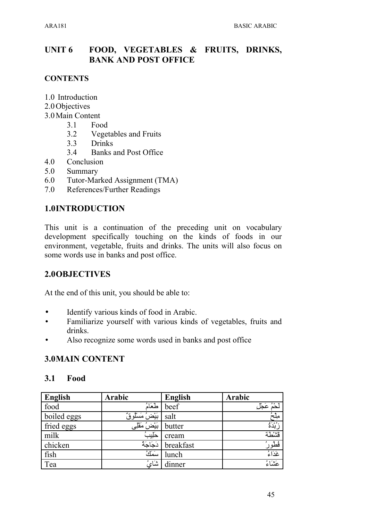#### FOOD, VEGETABLES & FRUITS, DRINKS, **UNIT 6 BANK AND POST OFFICE**

### **CONTENTS**

- 1.0 Introduction
- 2.0 Objectives
- 3.0 Main Content
	- $3.1$ Food
		- $32$ **Vegetables and Fruits**
		- **Drinks**  $3.3$
		- $3.4$ **Banks and Post Office**
- 4.0 Conclusion
- 5.0 Summary
- Tutor-Marked Assignment (TMA) 6.0
- References/Further Readings 7.0

### 1.0INTRODUCTION

This unit is a continuation of the preceding unit on vocabulary development specifically touching on the kinds of foods in our environment, vegetable, fruits and drinks. The units will also focus on some words use in banks and post office.

### 2.0OBJECTIVES

At the end of this unit, you should be able to:

- Identify various kinds of food in Arabic.  $\bullet$
- Familiarize yourself with various kinds of vegetables, fruits and drinks.
- Also recognize some words used in banks and post office  $\bullet$

### **3.0MAIN CONTENT**

#### $3.1$ Food

| English     | Arabic           | <b>English</b> | Arabic              |
|-------------|------------------|----------------|---------------------|
| food        | طعَامُ           | beef           | لَحْمُ عَجْل        |
| boiled eggs | بَيْضُ مَسْلُوقٌ | salt           | ميلح                |
| fried eggs  | بَيْضُ مَقْلِي   | butter         | ڒڹٛۮؙۿ۠             |
| milk        | حليب             | cream          | قشطة                |
| chicken     | دَجَاجَةُ        | breakfast      | فْطُورُ'<br>غَذَاءُ |
| fish        | سَمَكُ           | lunch          |                     |
| Tea         | شَايُ            | dinner         | عتناءُ              |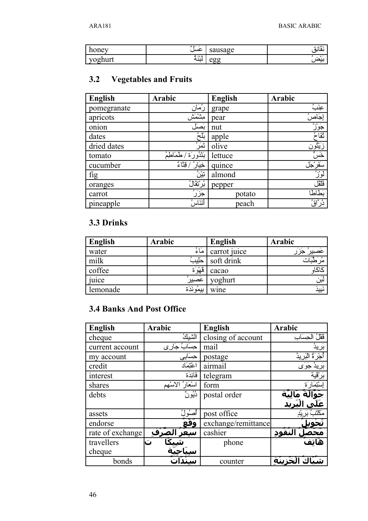| honey   | $\sim$<br>عسل | sausage       | $\sim 1.5$<br>عانه |
|---------|---------------|---------------|--------------------|
| yoghurt | ۹ - ۵۹        | $\sim$ $\sim$ | ' هر ا             |
|         | ىيە           | .             | $\mathbf{r}$       |

## 3.2 Vegetables and Fruits

| <b>English</b> | Arabic                 | <b>English</b> | Arabic                                          |
|----------------|------------------------|----------------|-------------------------------------------------|
| pomegranate    | رُمَان                 | grape          | عِنَبَ                                          |
| apricots       | مشمش                   | pear           | إجَاصُ                                          |
| onion          | بصل                    | nut            | <u>جَوَزُ</u>                                   |
| dates          | بلخ                    | apple          | ثقاحُ                                           |
| dried dates    | ثَمَرُ ُ               | olive          |                                                 |
| tomato         | بَنْدُورَة ُ<br>طماطه  | lettuce        |                                                 |
| cucumber       | ُ / قِنَاءُ ُ<br>خيَار | quince         | زَيْثُون<br>خَسُّ<br><u>سَفَرْجَل</u><br>إِذْرُ |
| fig            | ؾؿؙڽؙ                  | almond         |                                                 |
| oranges        | ڹؙرْتِقَالُ            | pepper         | فلثل                                            |
| carrot         | ڿؘڗؘڒؙ                 | potato         | بَطَاطًا                                        |
| pineapple      | أنَنَاسُ               | peach          | ۮؙڔٵۜۊؙ                                         |

## 3.3 Drinks

| English  | Arabic     | <b>English</b> | Arabic               |
|----------|------------|----------------|----------------------|
| water    | مَاءُ      | carrot juice   | متَصي <u>يرَ جزر</u> |
| milk     | حليب       | soft drink     |                      |
| coffee   | قَهْرَة    | cacao          |                      |
| juice    | ُ عَصِيِرِ | yoghurt        | لبَن                 |
| lemonade | بيمُونَدَة | wine           | نَين                 |

## **3.4 Banks And Post Office**

| <b>English</b>   | <b>Arabic</b>      | <b>English</b>      | <b>Arabic</b>                            |
|------------------|--------------------|---------------------|------------------------------------------|
| cheque           | الشيكُ             | closing of account  | قَقْلُ الْحِسَاب                         |
| current account  | حِسَابُ جَار ِي    | mail                | بَريدُ                                   |
| my account       | حسابى              | postage             | ٱُجْرَۃُ ا <del>ل</del> ٓبَرِيدُ         |
| credit           | اعْتِمَاد          | airmail             | بَرِيدُ جَوَى                            |
| interest         | فَائِدَة           | telegram            | بَرْقَية                                 |
| shares           | آستَعَارُ الاسْهِم | form                | إستيمارة                                 |
| debts            | ۮؙؽؙۄڽٞ            | postal order        | ِحَوَّالَةُ مَالِيَّة<br>عَلَى الْبَرِيد |
|                  |                    |                     |                                          |
| assets           | أصنُولُ            | post office         | مَكَنْنَ                                 |
| endorse          | وَقعَ              | exchange/remittance |                                          |
| rate of exchange | ُ الصَرْف<br>سعر   | cashier             | النُقُود                                 |
| travellers       |                    | phone               | هَاتف                                    |
| cheque           |                    |                     |                                          |
| bonds            |                    | counter             | لْخَزِينَة                               |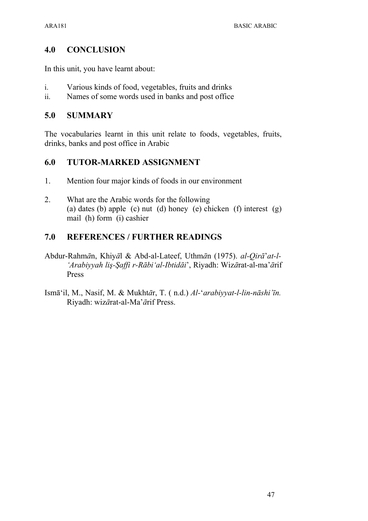### **4.0 CONCLUSION**

In this unit, you have learnt about:

- i. Various kinds of food, vegetables, fruits and drinks
- ii. Names of some words used in banks and post office

### **5.0 SUMMARY**

The vocabularies learnt in this unit relate to foods, vegetables, fruits, drinks, banks and post office in Arabic

### **6.0 TUTOR-MARKED ASSIGNMENT**

- 1. Mention four major kinds of foods in our environment
- 2. What are the Arabic words for the following (a) dates (b) apple (c) nut (d) honey (e) chicken (f) interest (g) mail (h) form (i) cashier

## **7.0 REFERENCES / FURTHER READINGS**

- Abdur-Rahm*ā*n, Khiy*ā*l & Abd-al-Lateef, Uthm*ā*n (1975). *al-Qirā*'*at-l- 'Arabiyyah liş-Şaffi r-Rābi'al-Ibtidāi*', Riyadh: Wiz*ā*rat-al-ma'*ā*rif Press
- Ismā'il, M., Nasif, M. & Mukht*ā*r, T. ( n.d.) *Al-*'*arabiyyat-l-lin-nāshi'īn.* Riyadh: wiz*ā*rat-al-Ma'*ā*rif Press.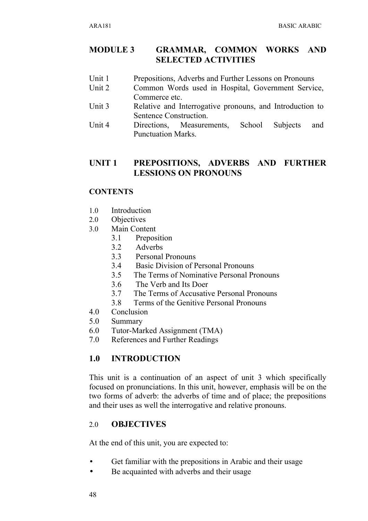### **MODULE 3 GRAMMAR, COMMON WORKS AND SELECTED ACTIVITIES**

- Unit 1 Prepositions, Adverbs and Further Lessons on Pronouns
- Unit 2 Common Words used in Hospital, Government Service, Commerce etc.
- Unit 3 Relative and Interrogative pronouns, and Introduction to Sentence Construction.
- Unit 4 Directions, Measurements, School Subjects and Punctuation Marks.

### **UNIT 1 PREPOSITIONS, ADVERBS AND FURTHER LESSIONS ON PRONOUNS**

### **CONTENTS**

- 1.0 Introduction
- 2.0 Objectives
- 3.0 Main Content
	- 3.1 Preposition
	- 3.2 Adverbs
	- 3.3 Personal Pronouns
	- 3.4 Basic Division of Personal Pronouns
	- 3.5 The Terms of Nominative Personal Pronouns
	- 3.6 The Verb and Its Doer
	- 3.7 The Terms of Accusative Personal Pronouns
	- 3.8 Terms of the Genitive Personal Pronouns
- 4.0 Conclusion
- 5.0 Summary
- 6.0 Tutor-Marked Assignment (TMA)
- 7.0 References and Further Readings

### **1.0 INTRODUCTION**

This unit is a continuation of an aspect of unit 3 which specifically focused on pronunciations. In this unit, however, emphasis will be on the two forms of adverb: the adverbs of time and of place; the prepositions and their uses as well the interrogative and relative pronouns.

### 2.0 **OBJECTIVES**

At the end of this unit, you are expected to:

- Get familiar with the prepositions in Arabic and their usage
- Be acquainted with adverbs and their usage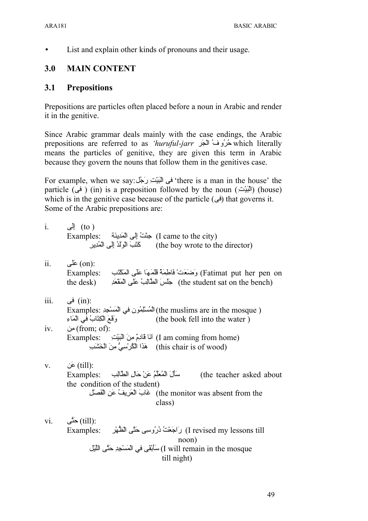• List and explain other kinds of pronouns and their usage.

## **3.0 MAIN CONTENT**

### **3.1 Prepositions**

Prepositions are particles often placed before a noun in Arabic and render it in the genitive.

Since Arabic grammar deals mainly with the case endings, the Arabic prepositions are referred to as *'huruful-jarr* حُرُوفُ الْجَرِ $\lambda$ which literally means the particles of genitive, they are given this term in Arabic because they govern the nouns that follow them in the genitives case.

For example, when we say: في الْبَيْتِ رَجْل a man in the house' the particle (فى) (in) is a preposition followed by the noun (الْبَيْت) (house) which is in the genitive case because of the particle ( $\epsilon$  $)$ ) that governs it. Some of the Arabic prepositions are:

| $\mathbf{i}$ .         | للى إلى $(to)$<br>Examples: حِثْثُ إِلَى الْمَدِينَةِ (I came to the city)<br>(the boy wrote to the director) كَتَبَ الْوَلَدُ إِلَى الْمُدِيرِ                                                                    |
|------------------------|--------------------------------------------------------------------------------------------------------------------------------------------------------------------------------------------------------------------|
| ii.                    | (on): عَلَى<br>Fatimat put her pen on) وَضَعَتْ فَاطِمَةً قَلَمَهَا عَلَى الْمَكْتَبِ     :Examples<br>the student sat on the bench) جَلَسَ الطَّالِبُ عَلَى الْمَقْعَدِ (the student sat on the bench             |
| $\dddot{\mathbf{m}}$ . | :(in) في<br>( the muslims are in the mosque) المُسلِّمُون في الْمَسْجِدِ) Examples:                                                                                                                                |
| iv.                    | وقَعَ الْكِتَابُ في الْمَاءِ<br>(the book fell into the water)<br>:(from; of) مِن<br>(I am coming from home) أَنَا قَادِمٌ مِنَ الْبَيْتِ (Examples:<br>(this chair is of wood) هَذَا الْكُرْسِيُّ مِنَ الْخَشَبَ  |
| V.                     | :(till) عَن<br>Examples: سَأَلَ الْمُعَلِّمُ عَنْ حَالِ الطَّالِبِ<br>(the teacher asked about<br>the condition of the student)<br>the monitor was absent from the) غَابَ الْعَرِيفُ عَنِ الْفَصَلْ<br>class)      |
|                        | vi. $\overrightarrow{c}$ (till):<br>I revised my lessons till) رَاجَعْتُ دُرُوسِي حَتَّى الْظُهْرِ       :Examples<br>noon)<br>I will remain in the mosque) سَأبْقَى في الْمَسْجِدِ حَتَّى اللَّيْل<br>till night) |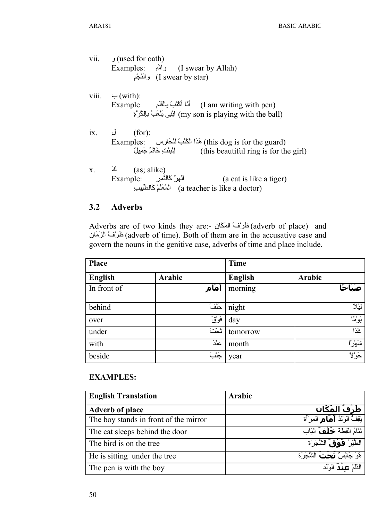|           | vii. <b>(used for oath)</b><br>Examples: والله (I swear by Allah)<br>(I swear by star) والنَّجْم                                  |
|-----------|-----------------------------------------------------------------------------------------------------------------------------------|
|           | viii. $\leftrightarrow$ (with):<br>(my son is playing with the ball) ابْنِي يَلْعَبُ بِالْكُرِّةِ                                 |
| $ix.$ $J$ | (for):<br>(this dog is for the guard) هَذَا الْكَلْبُ لَلْحَارِس     :Examples:                                                   |
| X.        | كَ $(as; alike)$<br>Example: الْهِرُ كَالنَّصِر [a cat is like a tiger]<br>(a teacher is like a doctor) الْمُعَلَّمُ كَالطَّبِيبِ |

#### $3.2$ **Adverbs**

Adverbs are of two kinds they are:- طَرْفُ الْمَكَان (adverb of place) and (adverb of time). Both of them are in the accusative case and طْرْفُ الزَمَان govern the nouns in the genitive case, adverbs of time and place include.

| Place       |        | <b>Time</b>    |             |
|-------------|--------|----------------|-------------|
| English     | Arabic | <b>English</b> | Arabic      |
| In front of | أمَام  | morning        | صَنَاحًا    |
| behind      | حَلّفَ | night          | ليُلا       |
| over        | فَوْقَ | day            | ؘؽؘؚۅ۫ۛٛۿؘٲ |
| under       | أثثث   | tomorrow       | غَذًا       |
| with        | عِنْدَ | month          | شَهْرًا     |
| beside      | جَثْبَ | year           | حَوْلا      |

### **EXAMPLES:**

| <b>English Translation</b>            | <b>Arabic</b>                              |
|---------------------------------------|--------------------------------------------|
| <b>Adverb of place</b>                | <u>َظَرْفُ المَكَان</u>                    |
| The boy stands in front of the mirror | بَقِفٌ الْوَلَدُ <b>أَهَاهِ</b> الْمِرْأَة |
| The cat sleeps behind the door        | تَنَامُ الْقِطَّةُ حَلَّفَ الْبَاب         |
| The bird is on the tree               | الطَّيْرُ <b>' فَوْقَ</b> الشَّجَرَة       |
| He is sitting under the tree          | َهُوَ جَالِسٌ <b>تَحْتَ</b> الشَّجَرَة     |
| The pen is with the boy               | القَلْمُ عِمْلَمَ الوَلَد                  |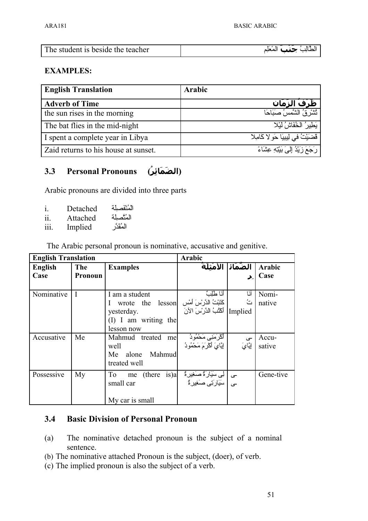| The student is beside the teacher | الطَّالِبُ جَعْفَ المَعَلِمِ |
|-----------------------------------|------------------------------|

### **EXAMPLES:**

| <b>English Translation</b>           | Arabic                                 |
|--------------------------------------|----------------------------------------|
| <b>Adverb of Time</b>                | َظَرْفُ الزَمَان                       |
| the sun rises in the morning         | نُشْرُ فِيُ الشَّمِسُ صَبَاحًا         |
| The bat flies in the mid-night       | يَطِيرُ ۗ الْخُفَاشُ لَيْلا            |
| I spent a complete year in Libya     | قَضَيْتُ في لِيبِيَا حَوِ لا كَامِلا   |
| Zaid returns to his house at sunset. | [رَجَعَ زَيْدُ إِلَىَ بَيْتِهِ عِشَاءً |

#### **(الض م 3.3** Personal Pronouns

Arabic pronouns are divided into three parts

| 1. | Detached | المُنْفَصِلِة |
|----|----------|---------------|
|    |          |               |

- ii. Attached المُتَّصِلِّة<br>iii Imnlied المُقَدَّ
- iii. Implied

The Arabic personal pronoun is nominative, accusative and genitive.

|                        | <b>English Translation</b> |                                                                                   |                                                                                          | Arabic                        |                 |  |  |
|------------------------|----------------------------|-----------------------------------------------------------------------------------|------------------------------------------------------------------------------------------|-------------------------------|-----------------|--|--|
| <b>English</b><br>Case | The<br>Pronoun             | <b>Examples</b>                                                                   |                                                                                          | <u>  الصّمَائل الأمْثلَةُ</u> | Arabic<br>Case  |  |  |
| Nominative             | T                          | I am a student<br>wrote the<br>yesterday.<br>$(I)$ I am writing the<br>lesson now | أنَا طَلِبٌ<br>  كَتَبْتُ الدَّرْسَ أَمْس  lesson<br>Implied   أَكْثُبُ الدَّرِّسَ الآنَ | أنا<br>تُ                     | Nomi-<br>native |  |  |
| Accusative             | Me                         | Mahmud<br>treated mel<br>well<br>Mahmud<br>Me<br>alone<br>treated well            | أَكْرَمَنِي مَحْمُودُ<br>  إِيَّايَ أَكْرَمَ مَحْمُودُ                                   | ى<br>إِيَّايَ                 | Accu-<br>sative |  |  |
| Possessive             | My                         | (there is)<br>To<br>me<br>small car<br>My car is small                            | ـى   لِى سَيَارَةٌ صَغَيْرِهٌ<br>__   سَيَارَتِي صَغِيْرِهُ                              |                               | Gene-tive       |  |  |

## **3.4 Basic Division of Personal Pronoun**

- (a) The nominative detached pronoun is the subject of a nominal sentence.
- (b) The nominative attached Pronoun is the subject, (doer), of verb.
- (c) The implied pronoun is also the subject of a verb.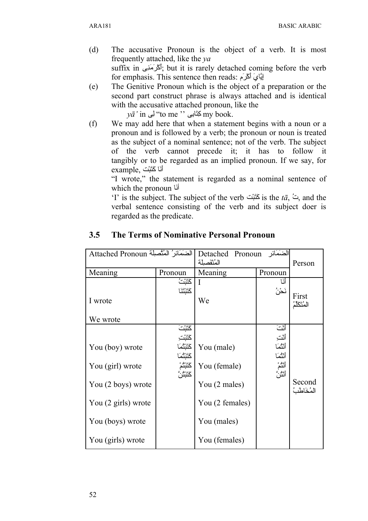- (d) The accusative Pronoun is the object of a verb. It is most frequently attached, like the *ya* suffix in  $\mathcal{V}$ أكرَمَنِي, but it is rarely detached coming before the verb for emphasis. This sentence then reads: إِيَّايَ أَكْرَمَ
- (e) The Genitive Pronoun which is the object of a preparation or the second part construct phrase is always attached and is identical with the accusative attached pronoun, like the

 $y\bar{a}$ ' in كِتَابى ''to me '' لِى my book.

(f) We may add here that when a statement begins with a noun or a pronoun and is followed by a verb; the pronoun or noun is treated as the subject of a nominal sentence; not of the verb. The subject of the verb cannot precede it; it has to follow it tangibly or to be regarded as an implied pronoun. If we say, for example, أنَا كَتَبْت

"I wrote," the statement is regarded as a nominal sentence of which the pronoun أنّا

'I' is the subject. The subject of the verb تُ $\vec{a}$ ,  $\vec{a}$  and the verbal sentence consisting of the verb and its subject doer is regarded as the predicate.

| Attached Pronoun                                                                                                          |                                                                   | Detached Pronoun<br>الضَمَائر<br>المُنْفَصلَة                                                  |                                                      | Person                 |
|---------------------------------------------------------------------------------------------------------------------------|-------------------------------------------------------------------|------------------------------------------------------------------------------------------------|------------------------------------------------------|------------------------|
| Meaning                                                                                                                   | Pronoun                                                           | Meaning                                                                                        | Pronoun                                              |                        |
| I wrote<br>We wrote                                                                                                       | ݿݨݑݖ<br>كَنْتَنَا                                                 | We                                                                                             | ា៍<br>ئځنُ                                           | First<br>المُتَكَلِّدُ |
| You (boy) wrote<br>You (girl) wrote<br>You (2 boys) wrote<br>You (2 girls) wrote<br>You (boys) wrote<br>You (girls) wrote | كَنَّبْتَ<br>ݿݨݑݖ<br>ݿݨݑݨݥ<br>ݿݨݺݖݥ<br>ػۘۘٮٞڹ <b>ؙۮ</b><br>ػؘڷڹڷڽ | You (male)<br>You (female)<br>You (2 males)<br>You (2 females)<br>You (males)<br>You (females) | أنثَتَ<br>أثت<br>أنثما<br>أنثما<br>أنثُمْ<br>أنثُنَّ | Second<br>المُخَاطَبُ  |

### **3.5 The Terms of Nominative Personal Pronoun**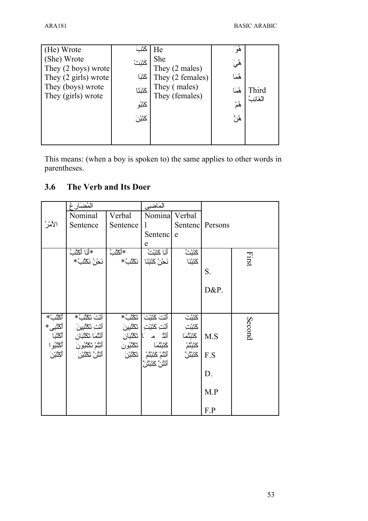| (He) Wrote                     | كَتَبَ   | He               | هُوَ  |           |
|--------------------------------|----------|------------------|-------|-----------|
| (She) Wrote                    | كَتَبَتْ | She              | ۿؙؠؘ  |           |
| They $(2 \text{ boys})$ wrote  |          | They (2 males)   |       |           |
| They $(2 \text{ girls})$ wrote | كَتَبَا  | They (2 females) | هُمَا |           |
| They (boys) wrote              | كَنْتَا  | They (males)     | هُمَا | Third     |
| They (girls) wrote             |          | They (females)   |       | الغَائِبُ |
|                                | كَتَبُو  |                  | ۿۄ۠   |           |
|                                | ݿݨݑݧ     |                  | ۿؙڽٞ  |           |
|                                |          |                  |       |           |
|                                |          |                  |       |           |

This means: (when a boy is spoken to) the same applies to other words in parentheses.

#### The Verb and Its Doer  $3.6$

|         | المُضَارِغ                                                                                                                                          |            | المكاضيي                                                                                                                                                  |                                                          |         |        |
|---------|-----------------------------------------------------------------------------------------------------------------------------------------------------|------------|-----------------------------------------------------------------------------------------------------------------------------------------------------------|----------------------------------------------------------|---------|--------|
|         | Nominal                                                                                                                                             | Verbal     | Nomina                                                                                                                                                    | Verbal                                                   |         |        |
| الأمْرُ | Sentence                                                                                                                                            | Sentence   | $\mathbf{1}$                                                                                                                                              | Sentenc                                                  | Persons |        |
|         |                                                                                                                                                     |            | Sentenc                                                                                                                                                   | e                                                        |         |        |
|         |                                                                                                                                                     |            | e                                                                                                                                                         |                                                          |         |        |
|         | *أَنَا أَكْنُبُ                                                                                                                                     | *أكْنُبُ   | أَنَا كَتَبْتُ                                                                                                                                            | ݿݨݑݖ                                                     |         | First  |
|         | ٰ نَحۡنُ نَكۡتُبۡ*                                                                                                                                  | نَكْشُبُّ* | نَحْنُ كَتَبْنَا                                                                                                                                          | <b>كَتَبْنَا</b>                                         |         |        |
|         |                                                                                                                                                     |            |                                                                                                                                                           |                                                          | S.      |        |
|         |                                                                                                                                                     |            |                                                                                                                                                           |                                                          |         |        |
|         |                                                                                                                                                     |            |                                                                                                                                                           |                                                          | D&P.    |        |
|         |                                                                                                                                                     |            |                                                                                                                                                           |                                                          |         |        |
| ٲػڷؙڹ۫  | أَنْتَ تَكْنُبُّ*                                                                                                                                   |            |                                                                                                                                                           |                                                          |         |        |
|         |                                                                                                                                                     |            | أَلْتَ كَتَبْتَ أَتَكْلُبُ*<br>أَلْتَ كَتَبْتِ أَتَكْلُبِينَ<br>أَلْثُ م التَّكْلُبُونَ<br>كَتَبْتُمَا أَتَكْلُبُونَ<br>أَلْثَمْ كَتَبْتُمْ أَتَكْلُبُونَ | ػؘؘؘؘؾ۫ڹۘ<br>ػؘؾٞڹۛٮؚٙ<br>ػؾؘڹؠؙٝ؞<br>ػؾؘڹؠؙٝ؞۠<br>ػؾؘڹڹ |         | Second |
|         |                                                                                                                                                     |            |                                                                                                                                                           |                                                          | M.S     |        |
|         |                                                                                                                                                     |            |                                                                                                                                                           |                                                          |         |        |
|         | أَنْتِ تَكْتُبِينَ   أَكْتُبِي*<br>  أَنْتُمَا تَكْتُبَانِ   أَكْتُبَا<br>  أَنْتُمْ تَكْتُبُونَ   أَكْتُبُوا<br>  أَنْتُنَ تَكْتُبْنَ   أَكْتُبْنَ |            | ػؘؘۘڷڹ۫ؿؙڡؘٳ<br>ٲٮٝڷؙم۫ػؘڷڹۛڷؙمۨ<br>ٲٮٝڷؙڽۘٞػڷڹڷڽ <i>ۜ</i>                                                                                                |                                                          | F.S     |        |
|         |                                                                                                                                                     |            |                                                                                                                                                           |                                                          |         |        |
|         |                                                                                                                                                     |            |                                                                                                                                                           |                                                          | D.      |        |
|         |                                                                                                                                                     |            |                                                                                                                                                           |                                                          |         |        |
|         |                                                                                                                                                     |            |                                                                                                                                                           |                                                          | M.P     |        |
|         |                                                                                                                                                     |            |                                                                                                                                                           |                                                          | F.P     |        |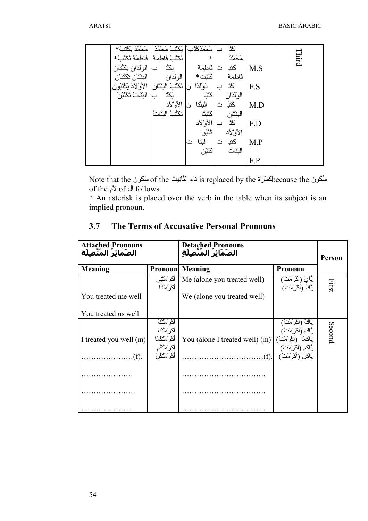| مَحَمَّدُ بِكَنْبُ*    | نَكْنُبُ مَحَمَّدُ    | مَحَمَّدُكَّتَبَ | ػڎ        |     |       |
|------------------------|-----------------------|------------------|-----------|-----|-------|
| فَاطِمَهُ تَكْنُبُ*    | تكثث فاطمة            | $\ast$           | مَحَمَّدُ |     | Third |
| الوكذان يكثبان         | یَکْڈ                 | فاطمَة           | ݣْڹ<br>ت  | M.S |       |
| البِثْتَانِ تَكْتُبَان | الوكذان               | كَتَبَت *        | فاطمة     |     |       |
| الأوْلاَدُ يَكْتُبُون  | تَكْتُبُ الْبِنْتَانِ | الولذا           | ݿڎ        | F.S |       |
| النَنَاتُ تَكْثُرْ َ   | یَکُدُّ               | ݣَنْبَا          | الولذان   |     |       |
|                        | الأوْلاد              | البِثنَا         | ݣْݑ<br>ت  | M.D |       |
|                        | تَكْثُبُ الْبَنَاتُ   | ݿݨݑݨݳ            | البثثان   |     |       |
|                        |                       | الأوْلاد         | ݿڐ        | F.D |       |
|                        |                       | كَتَبُو ا        | الأوْلاد  |     |       |
|                        |                       | النَنَا<br>د م   | ݣْݑ<br>ٽا | M.P |       |
|                        |                       | ݿݨݑݧ             | البَنَات  |     |       |
|                        |                       |                  |           | F.P |       |

Mote that the سُكُون of the تَاء التَّانِيث is replaced by the سُكُون because the of the  $\sqrt{2}$  of  $\cup$  follows

\* An asterisk is placed over the verb in the table when its subject is an implied pronoun.

| 3.7 |                                                      | The Terms of Accusative Personal Pronouns |
|-----|------------------------------------------------------|-------------------------------------------|
|     | <b>Attached Pronouns</b><br><b></b> - <sup>و ت</sup> | Detached Pronouns                         |

| <b>Attached Pronouns</b><br>الضَمائِرُ المُتَّصَلَةُ |                                                                                                                                  | <b>Detached Pronouns</b><br>الضَمَائرُ المُتَّصلَة | Person                                         |        |  |
|------------------------------------------------------|----------------------------------------------------------------------------------------------------------------------------------|----------------------------------------------------|------------------------------------------------|--------|--|
| Meaning                                              | <b>Pronoun</b>                                                                                                                   | Meaning                                            | <b>Pronoun</b>                                 |        |  |
|                                                      | أكرَمْتَنِى<br>أكر َمْتَنَا                                                                                                      | Me (alone you treated well)                        | إِيَّايَ (أَكْرَمْتَ)<br>إِيَّانا (أَكْرَمْتَ) | First  |  |
| You treated me well                                  |                                                                                                                                  | We (alone you treated well)                        |                                                |        |  |
| You treated us well                                  |                                                                                                                                  |                                                    |                                                |        |  |
| I treated you well (m)<br>$\cdot(f)$ .               | ٲڴڔؘڡ <sup>۠ؿ</sup> ڬ<br>ٲڴڔؘڡ <sup>ؿ</sup> ۠ڬ<br>ٲڴڔؘڡ <sup>ؿ</sup> ۠ڴڡؘٳ<br>ٲڴڔؘڡ <sup>ؿ</sup> ۠ڴؙڂ<br>ٲڴڕؘڡ <sup>ؿ</sup> ۠ڴڹٞ |                                                    |                                                | Second |  |
|                                                      |                                                                                                                                  |                                                    |                                                |        |  |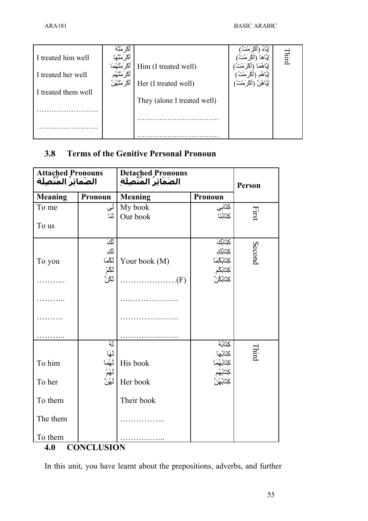|                     | اڭر َمثَّهُ     |                             |              |
|---------------------|-----------------|-----------------------------|--------------|
| I treated him well  | أكر َمثَّهَا    |                             | <b>Third</b> |
|                     | أكرَمْتُهُمَا   | Him (I treated well)        |              |
| I treated her well  | أكْر َمثثهُم    |                             |              |
|                     | ٲػۯؘۘڡؙٮؙٛۿؙڽٞٞ | Her (I treated well)        |              |
| I treated them well |                 |                             |              |
|                     |                 | They (alone I treated well) |              |
|                     |                 |                             |              |
|                     |                 |                             |              |
|                     |                 |                             |              |
|                     |                 |                             |              |

## **3.8 Terms of the Genitive Personal Pronoun**

| Attached Pronouns<br>الضَمائِرُ المُتَّصِلَة |                                       | Detached Pronouns<br>الضَمَائِرُ المُتَّصِلَةِ |                                                          |        |
|----------------------------------------------|---------------------------------------|------------------------------------------------|----------------------------------------------------------|--------|
|                                              |                                       |                                                |                                                          | Person |
| <b>Meaning</b>                               | Pronoun                               | <b>Meaning</b>                                 | Pronoun                                                  |        |
| To me                                        | لئ                                    | My book                                        | كتابى                                                    | First  |
|                                              | لنَا                                  | Our book                                       | كِتَابُنَا                                               |        |
| To us                                        |                                       |                                                |                                                          |        |
|                                              | أأفَ                                  |                                                | كِتَابُكَ                                                |        |
|                                              | للئ                                   |                                                | كِتَابُكِ                                                |        |
| To you                                       | لگما                                  | Your book (M)                                  | كِتَابُكُمَا                                             | Second |
|                                              | لڭمْ<br>لڭنَّ                         |                                                | كِتَابُكُم                                               |        |
|                                              |                                       | $\ldots \ldots \ldots \ldots \ldots (F)$       | <b>ڮؾٞ</b> ٳڹؙڴڹۘٞ                                       |        |
|                                              |                                       | .                                              |                                                          |        |
|                                              |                                       |                                                |                                                          |        |
|                                              |                                       |                                                |                                                          |        |
|                                              | لەُ                                   |                                                | كِتَابُهُ                                                |        |
| To him                                       | لَهَا<br>لَهُمَا<br>لَهُمْ<br>لَهُنَّ | His book                                       | كِتَابُهَا<br>كِتَابُهُمَا<br>كِتَابُهُم<br>كِتَابُهُنَّ | Third  |
| To her                                       |                                       | Her book                                       |                                                          |        |
| To them                                      |                                       | Their book                                     |                                                          |        |
| The them                                     |                                       |                                                |                                                          |        |
| To them                                      |                                       |                                                |                                                          |        |
| <b>CONCLUSION</b><br>4.0                     |                                       |                                                |                                                          |        |

In this unit, you have learnt about the prepositions, adverbs, and further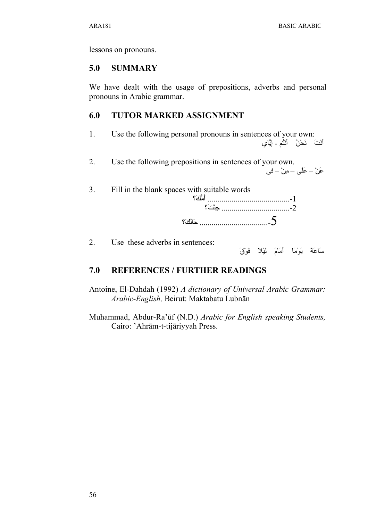$\overline{3}$ 

lessons on pronouns.

#### $5.0$ **SUMMARY**

We have dealt with the usage of prepositions, adverbs and personal pronouns in Arabic grammar.

#### 6.0 **TUTOR MARKED ASSIGNMENT**

- $\mathbf{1}$ Use the following personal pronouns in sentences of your own: أَنْتَ – نَحْنُ – أَنْثُم - إِيَّاي
- $\overline{2}$ . Use the following prepositions in sentences of your own. عَنْ – عَلَى – مِنْ – في
	- Fill in the blank spaces with suitable words  $?$  -2

 $\overline{2}$ . Use these adverbs in sentences:

سَاعَةً – يَوْمَا – أَمَامَ – لَيْلاً – فَوْقَ

#### 7.0 **REFERENCES / FURTHER READINGS**

- Antoine, El-Dahdah (1992) A dictionary of Universal Arabic Grammar: Arabic-English, Beirut: Maktabatu Lubnān
- Muhammad, Abdur-Ra'ūf (N.D.) Arabic for English speaking Students, Cairo: 'Ahrām-t-tijāriyyah Press.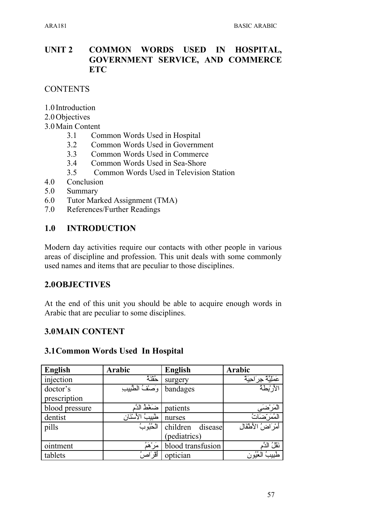#### **UNIT 2 COMMON WORDS USED IN** HOSPITAL, **GOVERNMENT SERVICE, AND COMMERCE ETC**

**CONTENTS** 

- 1.0 Introduction
- 2.0 Objectives
- 3.0 Main Content
	- $3<sub>1</sub>$ Common Words Used in Hospital
	- $3.2$ Common Words Used in Government
	- $3.3$ Common Words Used in Commerce
	- Common Words Used in Sea-Shore 3.4
	- $3.5$ Common Words Used in Television Station
- 4.0 Conclusion
- $5.0$ Summary
- 6.0 Tutor Marked Assignment (TMA)
- 7.0 References/Further Readings

#### $1.0$ **INTRODUCTION**

Modern day activities require our contacts with other people in various areas of discipline and profession. This unit deals with some commonly used names and items that are peculiar to those disciplines.

### 2.00BJECTIVES

At the end of this unit you should be able to acquire enough words in Arabic that are peculiar to some disciplines.

### **3.0MAIN CONTENT**

### 3.1 Common Words Used In Hospital

| <b>English</b> | Arabic            | <b>English</b>      | Arabic                      |
|----------------|-------------------|---------------------|-----------------------------|
| injection      | حقنة              | surgery             | عَمَلِيَّةٌ حِرَاحِيَةٌ     |
| doctor's       | وَصَفْ الطَّبِيبِ | bandages            | الأربطة                     |
| prescription   |                   |                     |                             |
| blood pressure | ضَغْطُ الذَّ      | patients            | المَرْضَى<br>المُمَرِّضَاتُ |
| dentist        | طبيبُ الأسْنَانِ  | nurses              |                             |
| pills          | الْحُبُوبُ        | children<br>disease | أَمْرَ اضْ الأَطْفَال       |
|                |                   | (pediatrics)        |                             |
| ointment       | َمَرْهَمُ         | blood transfusion   | نَقْلُ الذَّمِ              |
| tablets        | أقر اصنُ          | optician            | ُ الْمُخْيُونِ .<br>طبيب    |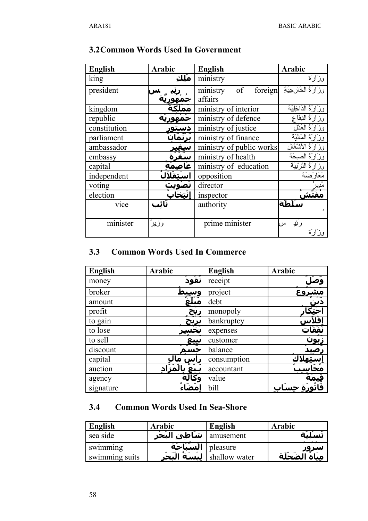| <b>English</b> | <b>Arabic</b> | <b>English</b>            | <b>Arabic</b>           |
|----------------|---------------|---------------------------|-------------------------|
| king           | مَلك          | ministry                  | وزَارَة                 |
| president      |               | foreign<br>of<br>ministry | وزَارَةُ الْخَارِجِيَةِ |
|                |               | affairs                   |                         |
| kingdom        |               | ministry of interior      | وزَارَةُ الدَاخِلِيَة   |
| republic       |               | ministry of defence       | وزَارَةُ الدِفَاعِ      |
| constitution   | دستو          | ministry of justice       | وزَارَةُ الْعَدْلَ      |
| parliament     | ترثمان        | ministry of finance       | وزَارَةُ الْمَالِيَةَ   |
| ambassador     | سيفِير        | ministry of public works  | وزَارَةُ الأَتْنْغَالَ  |
| embassy        | سفرة          | ministry of health        | وزَارَةُ الصِحَة        |
| capital        | عاصمة         | ministry of education     | وزَارَةُ النَّرْبَيَةَ  |
| independent    | اسْتقْلاً     | opposition                | مَعَارَضَة              |
| voting         | تصويت         | director                  | ؞ؙٟۮٟۑڔ                 |
| election       | انتخابَ       | inspector                 |                         |
| vice           | نَائب         | authority                 | أمآة                    |
|                |               |                           |                         |
| minister       | وَزِيزَ       | prime minister            | رئيه<br>س               |
|                |               |                           | وزَارَة                 |

### **3.2Common Words Used In Government**

### **3.3 Common Words Used In Commerce**

| <b>English</b> | Arabic      | <b>English</b> | Arabic              |
|----------------|-------------|----------------|---------------------|
| money          | نُقُودُ     | receipt        |                     |
| broker         | وسيبد       | project        |                     |
| amount         | مبلع        | debt           |                     |
| profit         | <u>ربح</u>  | monopoly       | <u>دین</u><br>حُتِک |
| to gain        | یربح        | bankruptcy     |                     |
| to lose        |             | expenses       | نَفَقَاتُ           |
| to sell        | <u>يىبع</u> | customer       | ِبُون               |
| discount       | حسه         | balance        |                     |
| capital        | اس ،        | consumption    |                     |
| auction        |             | accountant     |                     |
| agency         |             | value          |                     |
| signature      |             | bill           |                     |

## **3.4 Common Words Used In Sea-Shore**

| English        | <b>Arabic</b>              | English       | <b>Arabic</b>     |
|----------------|----------------------------|---------------|-------------------|
| sea side       | amusement   شاَطِئ البَحْر |               |                   |
| swimming       | الْسَنَاحَة                | pleasure      | سرور              |
| swimming suits | البسة البحر                | shallow water | مبَاهَ الضَخَّلَة |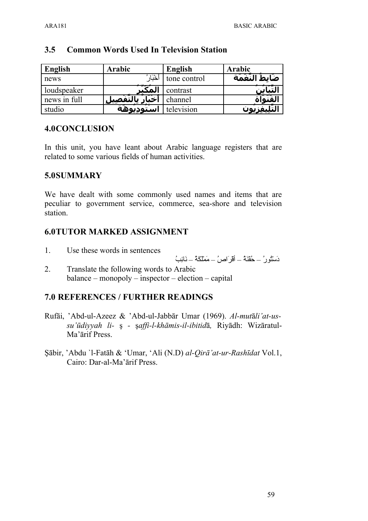| English      | Arabic           | <b>English</b> | Arabic              |
|--------------|------------------|----------------|---------------------|
| news         | خْبَار           | tone control   | صَابطُ النَّعَمَة   |
| loudspeaker  | لمك              | contrast       |                     |
| news in full | بالتّفْصيا<br>اخ | channel        | لقنما               |
| studio       | استودىوهة<br>--- | television     | ىەد<br><i>---</i> - |

### **3.5 Common Words Used In Television Station**

### **4.0CONCLUSION**

In this unit, you have leant about Arabic language registers that are related to some various fields of human activities.

### **5.0SUMMARY**

We have dealt with some commonly used names and items that are peculiar to government service, commerce, sea-shore and television station.

### **6.0TUTOR MARKED ASSIGNMENT**

1. Use these words in sentences

دَستُو ر $-$  حُقْنَهُ – أقر اص $\zeta$  – مَمْلكَهُ – نَائِبُ

2. Translate the following words to Arabic balance – monopoly – inspector – election – capital

### **7.0 REFERENCES / FURTHER READINGS**

- Rufāi, 'Abd-ul-Azeez & 'Abd-ul-Jabbār Umar (1969). *Al-mut*ā*li'at-ussu'ūdiyyah li-* ş *-* ş*affi-l-khāmis-il-ibitid*ā*,* Riyādh: Wizāratul-Ma'ārif Press.
- Şābir, 'Abdu `l-Fatāh & 'Umar, 'Ali (N.D) *al-Qirā'at-ur-Rashīdat* Vol.1, Cairo: Dar-al-Ma'ārif Press.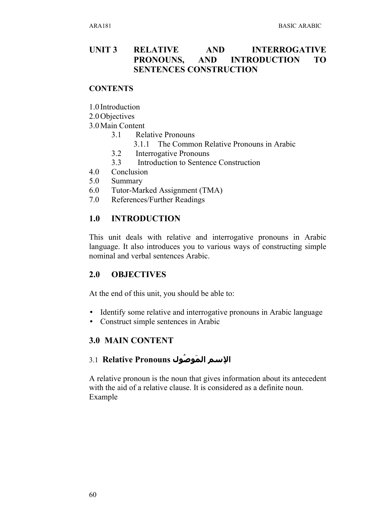### **UNIT 3 RELATIVE AND INTERROGATIVE PRONOUNS, AND INTRODUCTION TO SENTENCES CONSTRUCTION**

### **CONTENTS**

1.0 Introduction

2.0Objectives

3.0Main Content

- 3.1 Relative Pronouns
	- 3.1.1 The Common Relative Pronouns in Arabic
- 3.2 Interrogative Pronouns
- 3.3 Introduction to Sentence Construction
- 4.0 Conclusion
- 5.0 Summary
- 6.0 Tutor-Marked Assignment (TMA)
- 7.0 References/Further Readings

### **1.0 INTRODUCTION**

This unit deals with relative and interrogative pronouns in Arabic language. It also introduces you to various ways of constructing simple nominal and verbal sentences Arabic.

### **2.0 OBJECTIVES**

At the end of this unit, you should be able to:

- Identify some relative and interrogative pronouns in Arabic language
- Construct simple sentences in Arabic

### **3.0 MAIN CONTENT**

### **السم الم وصول Pronouns Relative** 3.1

A relative pronoun is the noun that gives information about its antecedent with the aid of a relative clause. It is considered as a definite noun. Example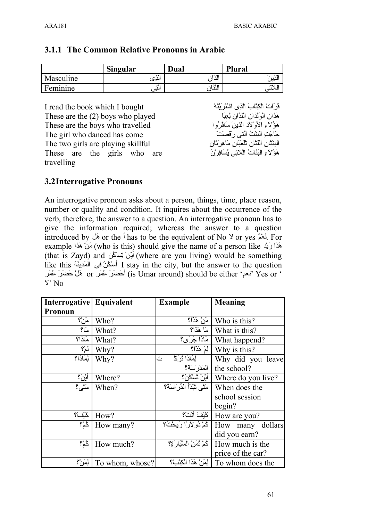**3.1.1 The Common Relative Pronouns in Arabic**

|           | <b>Singular</b> | Dual            | <b>Plural</b> |
|-----------|-----------------|-----------------|---------------|
| Masculine | ، به ۰<br>الدى  | وشنخت<br>יוב וו | . .<br>سير    |
| Feminine  | التبى           |                 |               |

| I read the book which I bought      | قَرِ َاتُ الْكِتَابَ الَّذِي اسْتَرَ بَتْهُ     |
|-------------------------------------|-------------------------------------------------|
| These are the $(2)$ boys who played | هَذَانِ الْوَلْدَانِ الْلَّذَانِ لِعِبَا        |
| These are the boys who travelled    | هَوْ ُلاَءِ الأَوْ لَادِ الَّذِينَ سَافَرٍ وُ ا |
| The girl who danced has come        | جَاءَتِ الْبِنْتُ الَّتِي رَ قَصَتْ             |
| The two girls are playing skillful  | البِنْتَانِ اللِّتَانِ تَلْعَبَانِ مَاهِرِتَانِ |
| These are the girls who are         | هَوْ لاءِ الْبَنَاتُ الْلاتِي يُسَافِرِ ْنَ     |
| travelling                          |                                                 |

### **3.2Interrogative Pronouns**

An interrogative pronoun asks about a person, things, time, place reason, number or quality and condition. It inquires about the occurrence of the verb, therefore, the answer to a question. An interrogative pronoun has to give the information required; whereas the answer to a question introduced by لَعْمُ or the <sup>j</sup> has to be the equivalent of No Y or yes. يَعْمُ For example أَهَذَا زَيْد (who is this) should give the name of a person like مَذَا زَيْد (that is Zayd) and أَيْنَ نِسْكُن (where are you living) would be something like this أسْكُنُ في الْمَدَيِّنَة I stay in the city, but the answer to the question نعم' Yes or نعم) is Umar around) should be either 'نعم' Yes or '  $Y'$  No

| Interrogative Equivalent |                 | <b>Example</b>                | <b>Meaning</b>                             |
|--------------------------|-----------------|-------------------------------|--------------------------------------------|
| Pronoun                  |                 |                               |                                            |
| مَنْ؟                    | Who?            | َ مَنْ هَذَا؟                 | Who is this?                               |
| مَا؟                     | What?           | مَا هَذَا؟                    | What is this?                              |
| مَاذا؟                   | What?           | مَاذَا جَرَى؟                 | What happend?                              |
| لِمَ؟                    | Why?            | ا لِمَ هَذَا؟                 | Why is this?                               |
| لِمَاذَا؟                | Why?            | لِمَاذَا تَرَ كَـٰ<br>ت       | Why did you leave                          |
|                          |                 | الْمَدْرِ سَنَةٌ؟             | the school?                                |
| أَيْنَ؟                  | Where?          | أَيْنَ تَسْكُنُ؟              | Where do you live?                         |
| مَتَى؟                   | When?           | مَتَى تَبْدَأُ الدِّرِ اسَهُ؟ | When does the                              |
|                          |                 |                               | school session                             |
|                          |                 |                               | begin?                                     |
| كَيْفَ؟                  | How?            | كَيْفَ أَنْتَ؟                | How are you?                               |
| گمْ؟                     | How many?       | كَمْ دُو لأرًا رَبِحْتَ؟      | How many dollars                           |
|                          |                 |                               | did you earn?                              |
| گمْ؟                     | How much?       | كَمْ نَمَنُ السَّيَارَةِ؟     | How much is the                            |
|                          |                 |                               | price of the car?                          |
| لِمَنْ؟                  | To whom, whose? |                               | To whom does the   لِمَنْ هَذَا الْكِتَبُ؟ |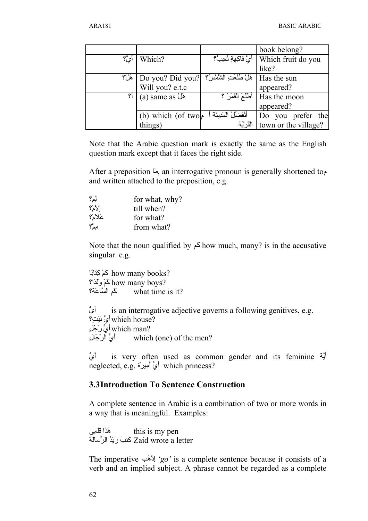|                                                |                   |                             | book belong?                                  |
|------------------------------------------------|-------------------|-----------------------------|-----------------------------------------------|
| $\mathfrak{P}_{\mathcal{L}}^{\mathfrak{s}}$ ای | Which?            |                             | Which fruit do you   أَيَّ فَاكِهَةِ نُحِبُّ؟ |
|                                                |                   |                             | like?                                         |
| هل؟                                            | Do you? Did you?  | هَلْ طَلَعَتِ الشَّمْسُ؟    | Has the sun                                   |
|                                                | Will you? e.t.c   |                             | appeared?                                     |
| ۴Ì                                             | (a) same as هَلْ  | أَطْلَعَ الْقَمَرُ ؟        | Has the moon                                  |
|                                                |                   |                             | appeared?                                     |
|                                                | (b) which (of two | أَتْفَضَّلْ الْمَدِينَةَ أَ | Do you prefer the                             |
|                                                | things)           | القريّة                     | town or the village?                          |

Note that the Arabic question mark is exactly the same as the English question mark except that it faces the right side.

After a preposition  $\overline{\mu}$ , an interrogative pronoun is generally shortened to and written attached to the preposition, e.g.

| لِمَ؟                                     | for what, why? |
|-------------------------------------------|----------------|
| $S_{\mathsf{P}}^{\mathsf{P}}(\mathsf{Y})$ | till when?     |
| عَلاَمَ؟                                  | for what?      |
| مِمٌ؟                                     | from what?     |

Note that the noun qualified by  $\geq$  how much, many? is in the accusative singular. e.g.

how many books? ?how many boys كَمْ وَلَدًا؟ كَمِ السَّاعَةَ؟ what time is it?

is an interrogative adjective governs a following genitives, e.g. which house? which man? أَيُّ رَجُّلٍ أَيُّ الرِّجَالِ which (one) of the men?

ا م ش is very often used as common gender and its feminine أَيَّة neglected, e.g. أَيُّ أَمِيرَةَ which princess?

### **3.3Introduction To Sentence Construction**

A complete sentence in Arabic is a combination of two or more words in a way that is meaningful. Examples:

هَذَا قَلْمِي this is my pen Zaid wrote a letter كَتَبَ زَيْدُ الرِّسَالَةَ

The imperative ' $\varphi$ ' is a complete sentence because it consists of a verb and an implied subject. A phrase cannot be regarded as a complete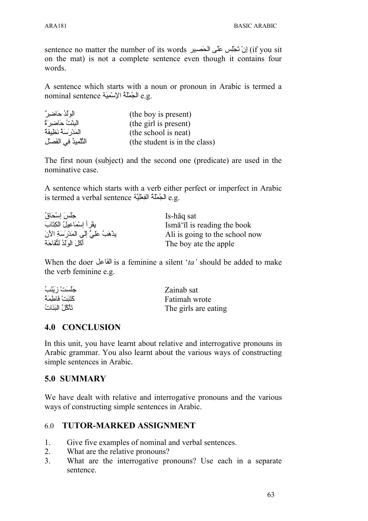sentence no matter the number of its words إنْ تَجْلِس عَلَى الْحَصِيرِ (if you sit on the mat) is not a complete sentence even though it contains four words.

A sentence which starts with a noun or pronoun in Arabic is termed a nominal sentence الجُمْلَةُ الإسْمِيَةِ e.g.

| الوَلَدُ حَاضِرٍ "       | (the boy is present)          |
|--------------------------|-------------------------------|
| البِنْتُ حَاضِرٍ ۚ ةٌ    | (the girl is present)         |
| المَدْرِ سَهُ نَظِيفَهٌ  | (the school is neat)          |
| النَّلْمِيدُ في الفَصلِّ | (the student is in the class) |

The first noun (subject) and the second one (predicate) are used in the nominative case.

A sentence which starts with a verb either perfect or imperfect in Arabic is termed a verbal sentence الجُمْلَةُ الْفِعْلِيَّةَ e.g.

| جَلّسَ اِسْحَاقُ                          | Is-hāq sat                                           |
|-------------------------------------------|------------------------------------------------------|
| يِقْرِ أَ إِسْمَاعِيلُ الْكِتَابَ         | Isma <sup>'</sup> <sub>I</sub> l is reading the book |
| يدْهَبُ عَلِيٌّ إِلَى المَدْرَسَةِ الأَنّ | Ali is going to the school now                       |
| أكَلَ الولَدُ لِتُفَاحَة                  | The boy ate the apple                                |

When the doer الفاعل is a feminine a silent '*ta'* should be added to make the verb feminine e.g.

| جَلَسَتْ رَيْنَبُ  | Zainab sat           |
|--------------------|----------------------|
| كَتَنَتْ فَاطْمَهُ | Fatimah wrote        |
| تَأْكُلُ النَنَاتُ | The girls are eating |

### **4.0 CONCLUSION**

In this unit, you have learnt about relative and interrogative pronouns in Arabic grammar. You also learnt about the various ways of constructing simple sentences in Arabic.

### **5.0 SUMMARY**

We have dealt with relative and interrogative pronouns and the various ways of constructing simple sentences in Arabic.

### 6.0 **TUTOR-MARKED ASSIGNMENT**

- 1. Give five examples of nominal and verbal sentences.
- 2. What are the relative pronouns?
- 3. What are the interrogative pronouns? Use each in a separate sentence.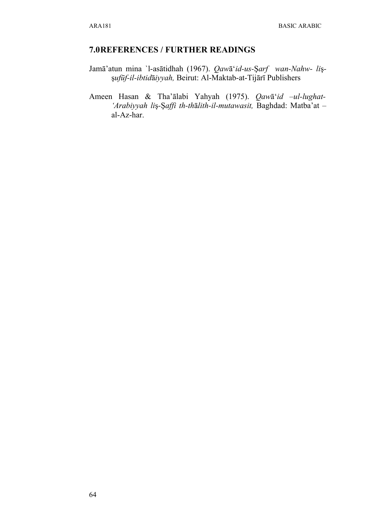### **7.0REFERENCES / FURTHER READINGS**

- Jamā'atun mina `l-asātidhah (1967). *Qaw*ā'*id-us-*Ş*arf wan-Nahw- li*şş*ufūf-il-ibtid*ā*iyyah,* Beirut: Al-Maktab-at-Tijārī Publishers
- Ameen Hasan & Tha'ālabi Yahyah (1975). *Qaw*ā'*id –ul-lughat- 'Arabiyyah li*ş*-*Ş*affi th-th*ā*lith-il-mutawasit,* Baghdad: Matba'at – al-Az-har.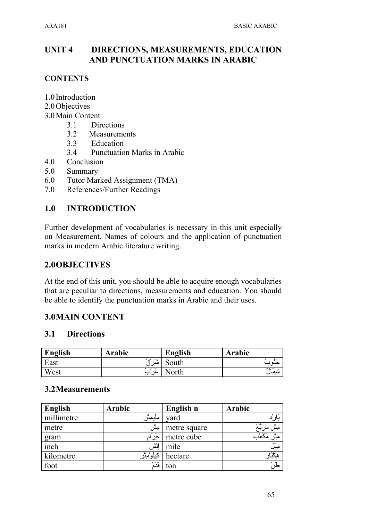### **UNIT 4 DIRECTIONS, MEASUREMENTS, EDUCATION AND PUNCTUATION MARKS IN ARABIC**

### **CONTENTS**

- 1.0 Introduction
- 2.0Objectives
- 3.0Main Content
	- 3.1 Directions
	- 3.2 Measurements
	- 3.3 Education
	- 3.4 Punctuation Marks in Arabic
- 4.0 Conclusion
- 5.0 Summary
- 6.0 Tutor Marked Assignment (TMA)
- 7.0 References/Further Readings

### **1.0 INTRODUCTION**

Further development of vocabularies is necessary in this unit especially on Measurement, Names of colours and the application of punctuation marks in modern Arabic literature writing.

### **2.0OBJECTIVES**

At the end of this unit, you should be able to acquire enough vocabularies that are peculiar to directions, measurements and education. You should be able to identify the punctuation marks in Arabic and their uses.

### **3.0MAIN CONTENT**

### **3.1 Directions**

| English | Arabic                   | English | Arabic  |
|---------|--------------------------|---------|---------|
| East    | - 24<br>ەمەلا<br>سد ۹    | South   | منم     |
| West    | $\circ$ $\sim$<br>$\sim$ | 'orth   | شيمَالُ |

### **3.2Measurements**

| English    | Arabic     | English n    | Arabic                  |
|------------|------------|--------------|-------------------------|
| millimetre | ملِيمِثْر  | yard         | يار                     |
| metre      | مبثر       | metre square | مِثْر مَرَبَّعْ         |
| gram       | جِر ام     | metre cube   | مِثْر مَكَعْب           |
| inch       | إئش        | mile         | ميل                     |
| kilometre  | كيلوْمِثْر | hectare      | هكتار                   |
| foot       | قُدَمُ     | ton          | $\overline{\mathbb{Z}}$ |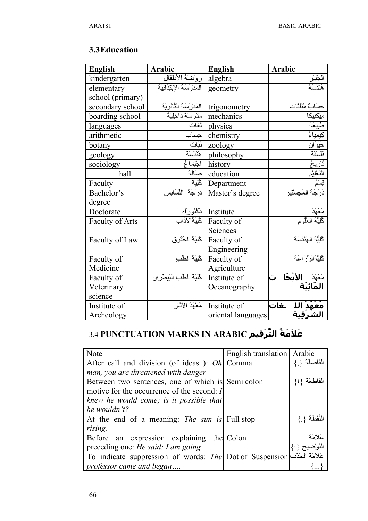## 3.3 Education

| <b>English</b>         | <b>Arabic</b>                 | <b>English</b>     | Arabic                                       |
|------------------------|-------------------------------|--------------------|----------------------------------------------|
| kindergarten           | رَوْضَةُ الأطْفَال            | algebra            | <u>لجَبَّرَ</u><br>فَلْدَسَهُ                |
| elementary             | المَدْرِسَةُ الإِبْتِدَائِيَة | geometry           |                                              |
| school (primary)       |                               |                    |                                              |
| secondary school       | المَدْرَسَةُ الثَّانَوِيَة    | trigonometry       | حِسَابٌ مُثَلَّثَات                          |
| boarding school        | مَدْرَسَةٌ دَاخِلِيَةٌ        | mechanics          | مِیْکَنِیکَا                                 |
| languages              | لغات                          | physics            |                                              |
| arithmetic             | حساب                          | chemistry          |                                              |
| botany                 | نَبَات                        | zoology            | حَيَوَان                                     |
| geology                | هَنْدَسَة                     | philosophy         | فلسفة                                        |
| sociology              | اجْتِماغ                      | history            | تَاريخُ                                      |
| hall                   | سَالَةُ                       | education          | التَعْلِيْم                                  |
| Faculty                | كْلِيَة                       | Department         | قِسمٌ                                        |
| Bachelor's             | دَرَجَةُ اللِّسَانِس          | Master's degree    | دَرَجَةُ المَحِسْتِيرِ                       |
| degree                 |                               |                    |                                              |
| Doctorate              | دَكْتُورَاه                   | Institute          | <u>مَعْهَدُ</u><br>كُلِيَّةُ العُلُوم        |
| <b>Faculty of Arts</b> | كُلِيَةُالآدَاب               | Faculty of         |                                              |
|                        |                               | Sciences           |                                              |
| Faculty of Law         | كُلِيَهُ الْحُقُو ق           | Faculty of         | كْلِيَّةُ الْهَنْدَسَة                       |
|                        |                               | Engineering        |                                              |
| Faculty of             | الخَلِيَةُ الطِّب             | Faculty of         | ݣْلِيَّةُالْزِرِّ اعَة                       |
| Medicine               |                               | Agriculture        |                                              |
| Faculty of             | كُلِيَةُ الطِّبِ الْبَيطَرِي  | Institute of       | الأبْحَا ث<br>مَغْهَدُ  <br><b>المَائيَة</b> |
| Veterinary             |                               | Oceanography       |                                              |
| science                |                               |                    |                                              |
| Institute of           | مَعْهَدُ الآثَار              | Institute of       | ـغات                                         |
| Archeology             |                               | oriental languages |                                              |

# 3.4 PUNCTUATION MARKS IN ARABIC عَلاَمَةُ التَّرْقِيم

| Note                                                                                                                                                                                                                                    | English translation   Arabic |                |
|-----------------------------------------------------------------------------------------------------------------------------------------------------------------------------------------------------------------------------------------|------------------------------|----------------|
| After call and division (of ideas): Oh  Comma                                                                                                                                                                                           |                              | الفاصلة        |
| man, you are threatened with danger                                                                                                                                                                                                     |                              |                |
| Between two sentences, one of which is Semi colon                                                                                                                                                                                       |                              | القَاطِعَة {؛} |
| motive for the occurrence of the second: I                                                                                                                                                                                              |                              |                |
| knew he would come; is it possible that                                                                                                                                                                                                 |                              |                |
| he wouldn't?                                                                                                                                                                                                                            |                              |                |
| At the end of a meaning: <i>The sun is</i> Full stop                                                                                                                                                                                    |                              |                |
| rising.                                                                                                                                                                                                                                 |                              |                |
| Before an expression explaining                                                                                                                                                                                                         | the Colon                    | عَلاَمَةَ      |
| preceding one: He said: I am going                                                                                                                                                                                                      |                              |                |
| To indicate suppression of words: The Dot of Suspension = $\Rightarrow$ 3 and 3 and 3 and 3 and 4 and 4 and 4 and 4 and 4 and 4 and 4 and 4 and 4 and 4 and 4 and 4 and 4 and 4 and 4 and 4 and 4 and 4 and 4 and 4 and 4 and 4 and 4 a |                              |                |
| professor came and began                                                                                                                                                                                                                |                              |                |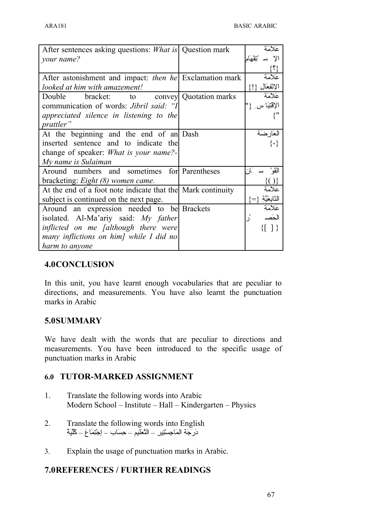| After sentences asking questions: <i>What is</i> Question mark |                           | عَلاَمَة                   |
|----------------------------------------------------------------|---------------------------|----------------------------|
| your name?                                                     |                           | مبشر<br>نقط                |
|                                                                |                           | $\{i\}$                    |
| After astonishment and impact: <i>then he</i> Exclamation mark |                           | عَلاَمَة                   |
| looked at him with amazement!                                  |                           | الإثفِعَالِ {!}            |
| Double<br>bracket:                                             | to convey Quotation marks | عَلاَمَة                   |
| communication of words: Jibril said: "I                        |                           | الإقتِبَا س                |
| appreciated silence in listening to the                        |                           |                            |
| <i>prattler</i> "                                              |                           |                            |
| At the beginning and the end of an Dash                        |                           | العَارضَة                  |
| inserted sentence and to indicate the                          |                           | $\{-\}$                    |
| change of speaker: <i>What is your name?</i> -                 |                           |                            |
| My name is Sulaiman                                            |                           |                            |
| Around numbers and sometimes for Parentheses                   |                           | القَوْ<br>َان<br>سد        |
| bracketing: <i>Eight (8) women came</i> .                      |                           |                            |
| At the end of a foot note indicate that the Mark continuity    |                           | عَلاَمَة                   |
| subject is continued on the next page.                         |                           | النَّابِعْيَّةِ<br>$i = i$ |
| Around an expression needed to be Brackets                     |                           | عَلاَمَة                   |
| isolated. Al-Ma'ariy said: My father                           |                           | الحَصد                     |
| inflicted on me <i>falthough</i> there were                    |                           |                            |
| many inflictions on him] while I did no                        |                           |                            |
| harm to anyone                                                 |                           |                            |

### **4.0CONCLUSION**

In this unit, you have learnt enough vocabularies that are peculiar to directions, and measurements. You have also learnt the punctuation marks in Arabic

### **5.0SUMMARY**

We have dealt with the words that are peculiar to directions and measurements. You have been introduced to the specific usage of punctuation marks in Arabic

### **6.0 TUTOR-MARKED ASSIGNMENT**

- 1. Translate the following words into Arabic Modern School – Institute – Hall – Kindergarten – Physics
- 2. Translate the following words into English دَرَجَة المَاجِسْتِير – التَّعَليم – حِسَاب – إجْتِمَاعَ – كُلِّيَةُ
- 3. Explain the usage of punctuation marks in Arabic.

### **7.0REFERENCES / FURTHER READINGS**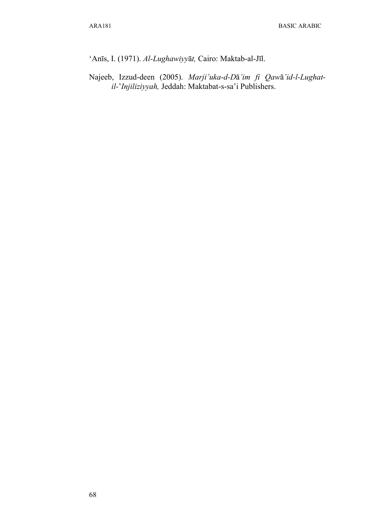'Anīs, I. (1971). *Al-Lughawiyy*ā*t,* Cairo: Maktab-al-Jīl.

Najeeb, Izzud-deen (2005). *Marji'uka-d-D*ā*'im fi Qaw*ā*'id-l-Lughatil-*'*Injiliziyyah,* Jeddah: Maktabat-s-sa'i Publishers.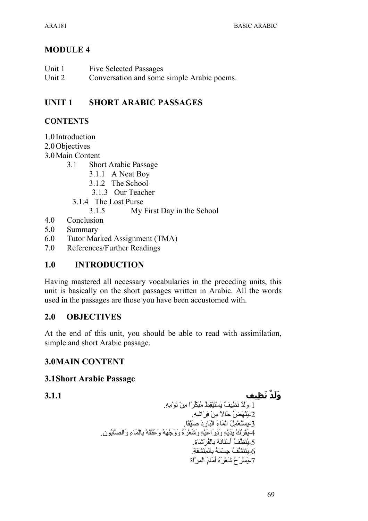# **MODULE 4**

- Unit 1 **Five Selected Passages**
- Unit 2 Conversation and some simple Arabic poems.

### **UNIT1 SHORT ARABIC PASSAGES**

# **CONTENTS**

- 1.0 Introduction
- 2.0 Objectives
- 3.0 Main Content
	- $3.1$ **Short Arabic Passage** 
		- 3.1.1 A Neat Boy
		- 3.1.2 The School
		- 3.1.3 Our Teacher
		- 3.1.4 The Lost Purse
			- $3.1.5$ My First Day in the School
- $4.0$ Conclusion
- $5.0$ Summary
- Tutor Marked Assignment (TMA) 6.0
- $7.0$ References/Further Readings

### $1.0$ **INTRODUCTION**

Having mastered all necessary vocabularies in the preceding units, this unit is basically on the short passages written in Arabic. All the words used in the passages are those you have been accustomed with.

### $2.0$ **OBJECTIVES**

At the end of this unit, you should be able to read with assimilation, simple and short Arabic passage.

# **3.0MAIN CONTENT**

# **3.1 Short Arabic Passage**

 $3.1.1$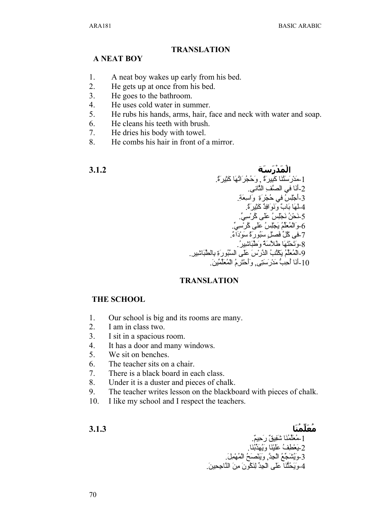## **TRANSLATION**

# **A NEAT BOY**

- 1. A neat boy wakes up early from his bed.
- 2. He gets up at once from his bed.
- 3. He goes to the bathroom.
- 4. He uses cold water in summer.
- 5. He rubs his hands, arms, hair, face and neck with water and soap.
- 6. He cleans his teeth with brush.
- 7. He dries his body with towel.
- 8. He combs his hair in front of a mirror.

**الم در س ة 3.1.2** 1-مَدْرَسَتَنَا كَبِيرَةٌ ¸ وَحُجُرَاتُهَا كَثِيرَةٌ. 2-أنَا في الصَّفِّ الثَّاني. 3-أجْلِسٌ في حُجْرَةِ ۖ وَاسِعَةِ. 4-لمهَا بَابٌ ونَوَافِدٌ كَثِيرٍ َةٌ. 5-نَحْنُ نَجْلِسُ عَلَى كُرْسِيِّ. 6-وَالْمُعَلِّمُ يَجْلِسُ عَلَى كُرْسِي 7-فى كُلِّ فَصلٍّ سَبُور<sup>ِ</sup>ةٌ سَو<sup>ر</sup>ْاَءٌ. و<br>8-وَتَحْتَهَا طَلاَسَةٌ وَطَّبَاشِير و-المُعَلّمُ يَكْتُبُ الدَّرِّسِ عَلَى السَّبُورَةِ بِالطَّبَاشِيرِ. .<br>10-أنَا أُحِبُّ مَدْر سَتِي, و أَحْتَرِمُ الْمُعَلِّمِينَ

# **TRANSLATION**

## **THE SCHOOL**

- 1. Our school is big and its rooms are many.
- 2. I am in class two.
- 3. I sit in a spacious room.
- 4. It has a door and many windows.
- 5. We sit on benches.
- 6. The teacher sits on a chair.
- 7. There is a black board in each class.
- 8. Under it is a duster and pieces of chalk.
- 9. The teacher writes lesson on the blackboard with pieces of chalk.
- 10. I like my school and I respect the teachers.

**مع لLمن ا 3.1.3** 1-مُعَلِّمُنَا شَفِيقٌ رَحِيمٌ. 2-يَعْطِفُ عَلَيْنَا وَيُهَدَّبُنَا. -3وVيQشVج¤عQ الSجaدU, وVيVنSصVحQ الSمQهSمaلV. 4-وبَـحُثُّنَا على الْجِدُّ لِنَكُونَ مِنَ النَّاجِحِينَ.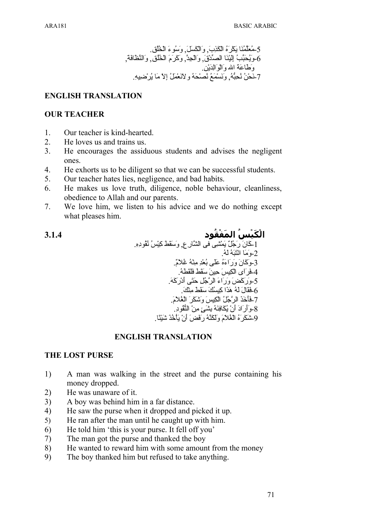$3.1.4$ 

# **ENGLISH TRANSLATION**

## **OUR TEACHER**

- $1<sup>1</sup>$ Our teacher is kind-hearted.
- 2. He loves us and trains us.
- $\mathcal{E}$ He encourages the assiduous students and advises the negligent ones.
- $\overline{4}$ . He exhorts us to be diligent so that we can be successful students.
- $5<sub>1</sub>$ Our teacher hates lies, negligence, and bad habits.
- He makes us love truth, diligence, noble behaviour, cleanliness, 6 obedience to Allah and our parents.
- $7<sub>1</sub>$ We love him, we listen to his advice and we do nothing except what pleases him.

الْكَنْسُ المَفْقُود 2-وَمَا انْتَنَهُ لَهُ 3-وَكَانَ وَرَاءَهُ عَلَى بُعْدِ مِنْهُ غُلاَمٌ 5-وَرَكَضَ وَرَاءَ الرَّجُلِ حَتَّى أَدْرَكَهَ ۖ 6-فَقَالَ لَهُ هَذَا كِسِنُكَ سَقَطَ مِنْكَ 7-فَأَخَذَ الرَّجُلُ الْكِيسَ وَشَكَرَ الْغُلاَمَ. 8-وَأَرَادَ أَنْ يُكَافِئَهُ بِشَيَءٍ مِنْ النُّقُودِ ِ 9شَكَرَ هُ الْغُلاَمَ وَلَكَتَهُ رَفَضَ أَنْ يَأْخُذَ شَيْئًا ِ

# **ENGLISH TRANSLATION**

# **THE LOST PURSE**

- A man was walking in the street and the purse containing his 1) money dropped.
- $2)$ He was unaware of it.
- $3)$ A boy was behind him in a far distance.
- He saw the purse when it dropped and picked it up.  $4)$
- He ran after the man until he caught up with him.  $5)$
- $6)$ He told him 'this is your purse. It fell off you'
- The man got the purse and thanked the boy  $7)$
- He wanted to reward him with some amount from the money 8)
- The boy thanked him but refused to take anything. 9)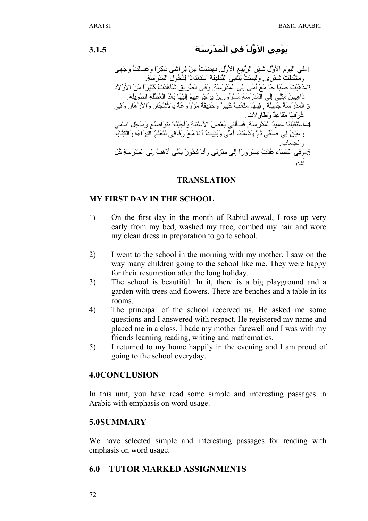3.1.5

# نَوْميَ الأَوَّلْ في الْمَدْرَسَة

1-في الْبَوْمِ الأُوَّلِ شَهْرِ الرَّبِيعِ الأُوَّلِ فَهَضْتُ مِنْ فِرَاشِي بَاكِراً وَغَسَلَتْ وَجْهِي وَمَشَطَّتْ شَعْرِي وَلَبِسْتُ ثِثَّابِيَ النَّظِيفَةَ اسْتِعْدَادًا لِذُخُولِ الْمَدْرِ سَةِ 2-ذَهَبْتُ صَبَا حًا مَعَ أُمِّي إِلَى الْمَدْرَسَةِ. وَفِي الطَّرِيقِ شَاهَدْتُ كَثِيرًا مَنَ الأَوْلاد ذَاهِبِينَ مِثْلِي إِلَى الْمَدْرَسَةِ مَسْرُورِينَ بِرُجُوعِهِمْ إِلَيْهَا بَعْدَ الْعُطْلَةِ الطَّويلة 3-الْمَدْرِ سَهُ جَمِيلَةٌ ۚ فِيهَا مَلْعَبٌ كَبِيرٌ ۗ وَحَدِيقَةٌ مَرْ رُوعَةٌ بِالأَشْجَارِ وَالأَزْهَارِ وَفِي غُرٍ فِهَا مَقَاعِدٌ وَطَاوِلاَت 4-اسْتَقْبَلْنَا عَمِيدُ الْمَدْرِ سَةِ ۖ فَسَأَلَنِي بَعْضَ الأَسْئِلَةِ وَأَجَبْتُهُ بِنَوَاضِهُعِ وَسَجَّلَ اسْمِي وَعَيَّنَ لِي صَفِّي ثُمَّ وَدَّعَثْنَا أُمِّي وبَقِيتُ أنا مَعَ رِفَاقِي نَتَعَلَّمُ الْقِرَاءَةَ وَالْكِتَابَة و الجسَاب 5-وَّفِي الْمَسَاءِ عُدْتُ مِسْرُوراً إلى مَنْزِلِي وَأَنَا فَخُورٌ بِأَنِّي أَدْهَبُ إِلَى الْمَدْرَسَةِ كُل يُوم.

### **TRANSLATION**

## **MY FIRST DAY IN THE SCHOOL**

- $1)$ On the first day in the month of Rabiul-awwal, I rose up very early from my bed, washed my face, combed my hair and wore my clean dress in preparation to go to school.
- 2) I went to the school in the morning with my mother. I saw on the way many children going to the school like me. They were happy for their resumption after the long holiday.
- $3)$ The school is beautiful. In it, there is a big playground and a garden with trees and flowers. There are benches and a table in its rooms.
- The principal of the school received us. He asked me some 4) questions and I answered with respect. He registered my name and placed me in a class. I bade my mother farewell and I was with my friends learning reading, writing and mathematics.
- $5)$ I returned to my home happily in the evening and I am proud of going to the school everyday.

### **4.0CONCLUSION**

In this unit, you have read some simple and interesting passages in Arabic with emphasis on word usage.

## 5.0SUMMARY

We have selected simple and interesting passages for reading with emphasis on word usage.

#### 6.0 **TUTOR MARKED ASSIGNMENTS**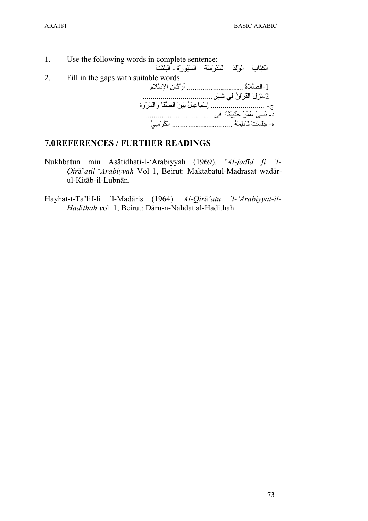1. Use the following words in complete sentence: الكِتَابُ – الْولَدُ – الْمَدْرِسَةُ – السَّبُورِةُ - البلِنْتُ 2. Fill in the gaps with suitable words 1-الصَّلاةُ ................................ أرْكَانِ الإسْلامِ -2نVزVلV الSقQرSانQ فيa شVهSرa................................... ج- ........................... إaسSمaاعaيلQ بVينV الصUفVا وVالSمVرSوVة د- نVسaىV عQمVرQ حVقaيبVتVهQ فىa ................................. ه- جَلَسَتْ فَاطِمَةُ ................................... الكُرْسِيِّ

# **7.0REFERENCES / FURTHER READINGS**

- Nukhbatun min Asātidhati-l-'Arabiyyah (1969). '*Al-jad*ī*d fi `l-Qir*ā'*atil-*'*Arabiyyah* Vol 1, Beirut: Maktabatul-Madrasat wadārul-Kitāb-il-Lubnān.
- Hayhat-t-Ta'lif-li `l-Madāris (1964). *Al-Qir*ā*'atu `l-'Arabiyyat-il-Had*ī*thah v*ol. 1, Beirut: Dāru-n-Nahdat al-Hadīthah.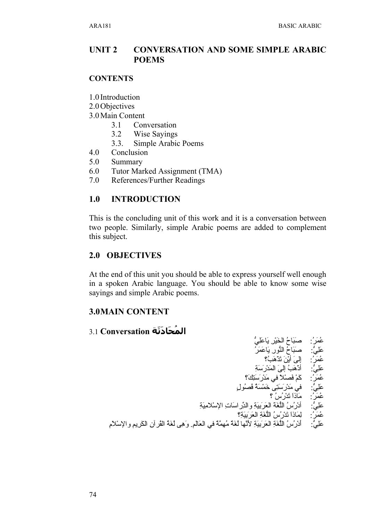### **CONVERSATION AND SOME SIMPLE ARABIC UNIT 2 POEMS**

## **CONTENTS**

- 1.0 Introduction
- 2.0 Objectives
- 3.0 Main Content
	- $3.1$ Conversation
	- $3.2$ **Wise Savings**
	- Simple Arabic Poems  $3.3.$
- 4.0 Conclusion
- 5.0 Summary
- Tutor Marked Assignment (TMA) 6.0
- 7.0 References/Further Readings

### **INTRODUCTION**  $1.0$

This is the concluding unit of this work and it is a conversation between two people. Similarly, simple Arabic poems are added to complement this subject.

## 2.0 OBJECTIVES

At the end of this unit you should be able to express yourself well enough in a spoken Arabic language. You should be able to know some wise sayings and simple Arabic poems.

## **3.0MAIN CONTENT**

# المُحَادَثَة Conversation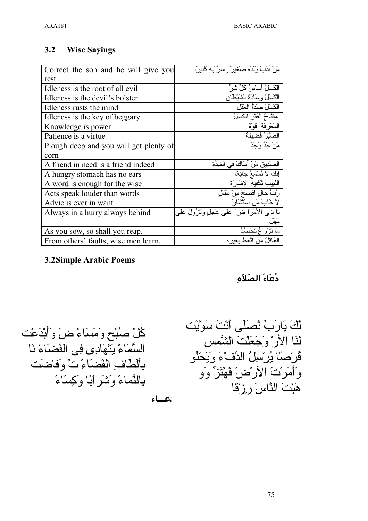### **Wise Sayings**  $3.2$

| Correct the son and he will give you   | مَنْ أَدَّبَ وَلَدَهُ صَغِيرًا, سُرَّ بِهِ كَبِيرًا  |
|----------------------------------------|------------------------------------------------------|
| rest                                   |                                                      |
| Idleness is the root of all evil       | الْكَسَلُ أَسَاسُ كُلِّ شَرَّ ۖ                      |
| Idleness is the devil's bolster.       | الكَسَلُ وسِلدَةُ الشَّيْطَانِ                       |
| Idleness rusts the mind                | الكَسَلُّ صَدَأُ الْعَقَل                            |
| Idleness is the key of beggary.        | مِثْنَاحُ الْفَقْرِ الْكَسْلُ                        |
| Knowledge is power                     | الْمَعْرِفَةْ قُوَّةٌ                                |
| Patience is a virtue                   | الصَّبْرُ فَضيلَةٌ                                   |
| Plough deep and you will get plenty of | َمَنْ جَدَّ وَجَدَ                                   |
| corn                                   |                                                      |
| A friend in need is a friend indeed    | الصَدِيقُ مَنْ آسَاكَ في الشِّدَّةِ                  |
| A hungry stomach has no ears           | إِنَّكَ لاَ تُسْمِعُ جَائِعًا                        |
| A word is enough for the wise          | اللبيبُ تَكْفِيهِ الإشَارِ َةِ                       |
| Acts speak louder than words           | رُبَّ حَالِ اقْصَحُ مِنْ مَقَالِ                     |
| Advie is ever in want                  | لاَ خَابَ مَنِ اسْتَشْنَارَ                          |
| Always in a hurry always behind        | نَا ذ بِي الأَمْرَا ض ُ عَلَى عَجَلٍ وَثَرْولُ عَلَى |
|                                        | مَهْل                                                |
| As you sow, so shall you reap.         | مَا نَزْ رُ عُ تَحْصُدُ                              |
| From others' faults, wise men learn.   | الْعَاقِلُ مَنِ اتَّعَظَ بِغَدِ هِ                   |

# **3.2Simple Arabic Poems**

دُعَاءُ الصَلاَةِ

كْلِّ صُبْحٍ وَمَسَاءْ ضَ وَأَبْدَعْت السَّمَاءْ يَتَهَادِي فِي الْفَضَاءْ نَا بِأَلْطَافٍ الْفَضَاءْ تْ وَفَاضَتْ بِالنَّمَاءْ وَ تَنْبَر إِبًا وكِسَاءْ

 $-2$ 

لَّكَ يَارَبِّ نُصلِّى أَنْتَ سَوَّيْت ق<br>لَنَا الأَرْ وَجَعَلْتَ الشَّمس<br>قُرْصنًا يُرْسلِّ الدِّفْءَ وَيَحْنُو وَأَمَرْتَ الأَرْضَ فَهْتَزٌ وَو هَبْتَ النَّاسَ رِزْقَا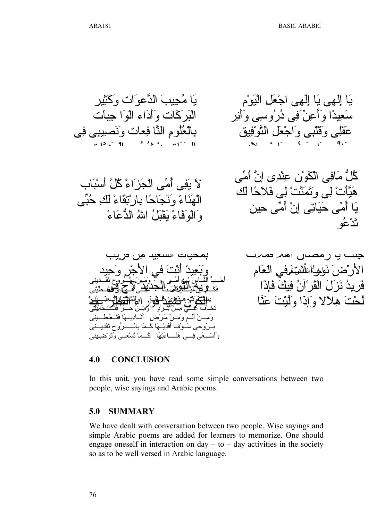### $4.0$ **CONCLUSION**

In this unit, you have read some simple conversations between two people, wise sayings and Arabic poems.

#### $5.0$ **SUMMARY**

We have dealt with conversation between two people. Wise sayings and simple Arabic poems are added for learners to memorize. One should engage oneself in interaction on  $day - to - day$  activities in the society so as to be well versed in Arabic language.